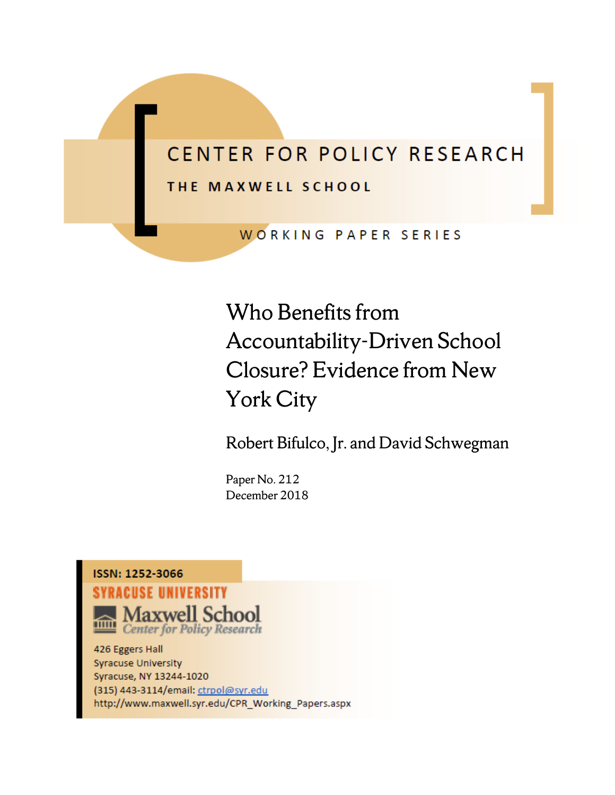# CENTER FOR POLICY RESEARCH

## THE MAXWELL SCHOOL

WORKING PAPER SERIES

Who Benefits from Accountability-Driven School Closure? Evidence from New York City

Robert Bifulco, Jr. and David Schwegman

Paper No. 212 December 2018

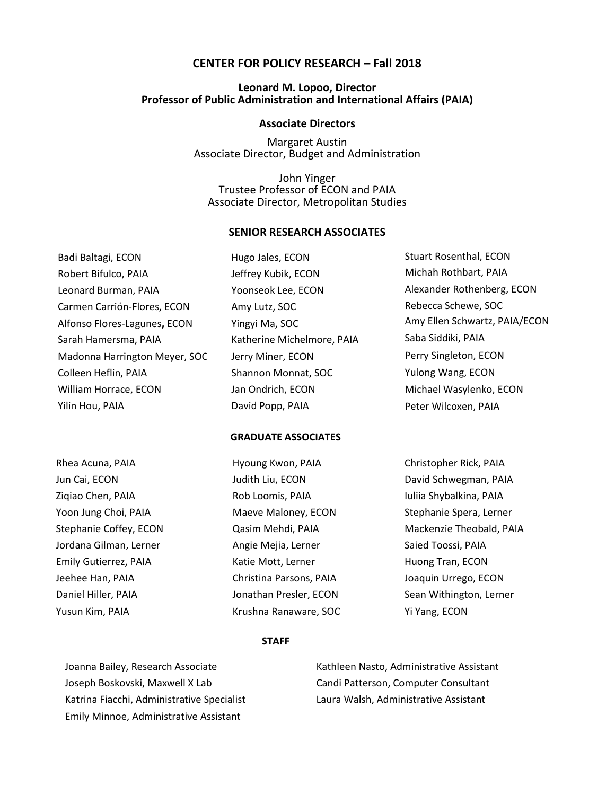## **CENTER FOR POLICY RESEARCH – Fall 2018**

## **Leonard M. Lopoo, Director Professor of Public Administration and International Affairs (PAIA)**

#### **Associate Directors**

Margaret Austin Associate Director, Budget and Administration

John Yinger Trustee Professor of ECON and PAIA Associate Director, Metropolitan Studies

#### **SENIOR RESEARCH ASSOCIATES**

Badi Baltagi, ECON Robert Bifulco, PAIA Leonard Burman, PAIA Carmen Carrión-Flores, ECON Alfonso Flores-Lagunes**,** ECON Sarah Hamersma, PAIA Madonna Harrington Meyer, SOC Colleen Heflin, PAIA William Horrace, ECON Yilin Hou, PAIA

Hugo Jales, ECON Jeffrey Kubik, ECON Yoonseok Lee, ECON Amy Lutz, SOC Yingyi Ma, SOC Katherine Michelmore, PAIA Jerry Miner, ECON Shannon Monnat, SOC Jan Ondrich, ECON David Popp, PAIA

Stuart Rosenthal, ECON Michah Rothbart, PAIA Alexander Rothenberg, ECON Rebecca Schewe, SOC Amy Ellen Schwartz, PAIA/ECON Saba Siddiki, PAIA Perry Singleton, ECON Yulong Wang, ECON Michael Wasylenko, ECON Peter Wilcoxen, PAIA

#### **GRADUATE ASSOCIATES**

Rhea Acuna, PAIA Jun Cai, ECON Ziqiao Chen, PAIA Yoon Jung Choi, PAIA Stephanie Coffey, ECON Jordana Gilman, Lerner Emily Gutierrez, PAIA Jeehee Han, PAIA Daniel Hiller, PAIA Yusun Kim, PAIA

Hyoung Kwon, PAIA Judith Liu, ECON Rob Loomis, PAIA Maeve Maloney, ECON Qasim Mehdi, PAIA Angie Mejia, Lerner Katie Mott, Lerner Christina Parsons, PAIA Jonathan Presler, ECON Krushna Ranaware, SOC Christopher Rick, PAIA David Schwegman, PAIA Iuliia Shybalkina, PAIA Stephanie Spera, Lerner Mackenzie Theobald, PAIA Saied Toossi, PAIA Huong Tran, ECON Joaquin Urrego, ECON Sean Withington, Lerner Yi Yang, ECON

#### **STAFF**

Joanna Bailey, Research Associate Joseph Boskovski, Maxwell X Lab Katrina Fiacchi, Administrative Specialist Emily Minnoe, Administrative Assistant

Kathleen Nasto, Administrative Assistant Candi Patterson, Computer Consultant Laura Walsh, Administrative Assistant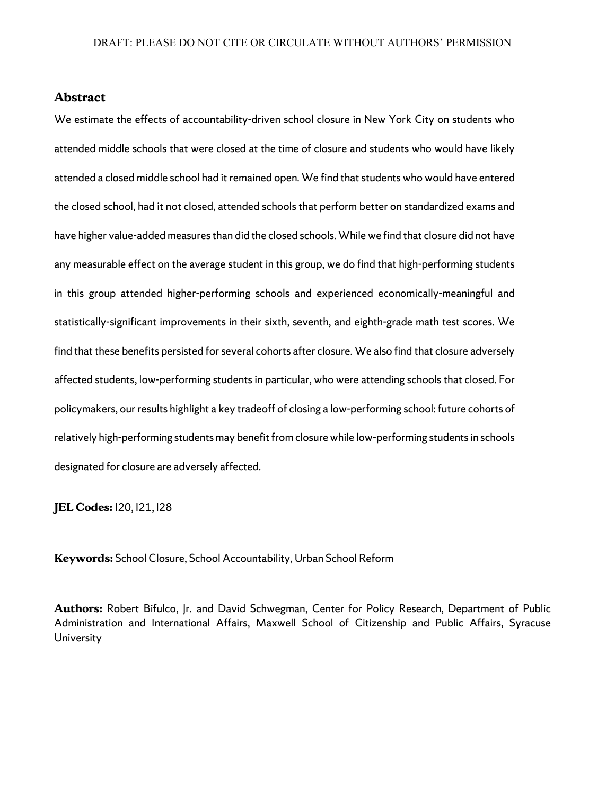#### **Abstract**

We estimate the effects of accountability-driven school closure in New York City on students who attended middle schools that were closed at the time of closure and students who would have likely attended a closed middle school had it remained open. We find that studentswho would have entered the closed school, had it not closed, attended schools that perform better on standardized exams and have higher value-added measures than did the closed schools. While we find that closure did not have any measurable effect on the average student in this group, we do find that high-performing students in this group attended higher-performing schools and experienced economically-meaningful and statistically-significant improvements in their sixth, seventh, and eighth-grade math test scores. We find that these benefits persisted for several cohorts after closure. We also find that closure adversely affected students, low-performing students in particular, who were attending schools that closed. For policymakers, our results highlight a key tradeoff of closing a low-performing school: future cohorts of relatively high-performing students may benefit from closure while low-performing students in schools designated for closure are adversely affected.

**JEL Codes:** I20, I21, I28

**Keywords:** School Closure, School Accountability, Urban School Reform

**Authors:** Robert Bifulco, Jr. and David Schwegman, Center for Policy Research, Department of Public Administration and International Affairs, Maxwell School of Citizenship and Public Affairs, Syracuse University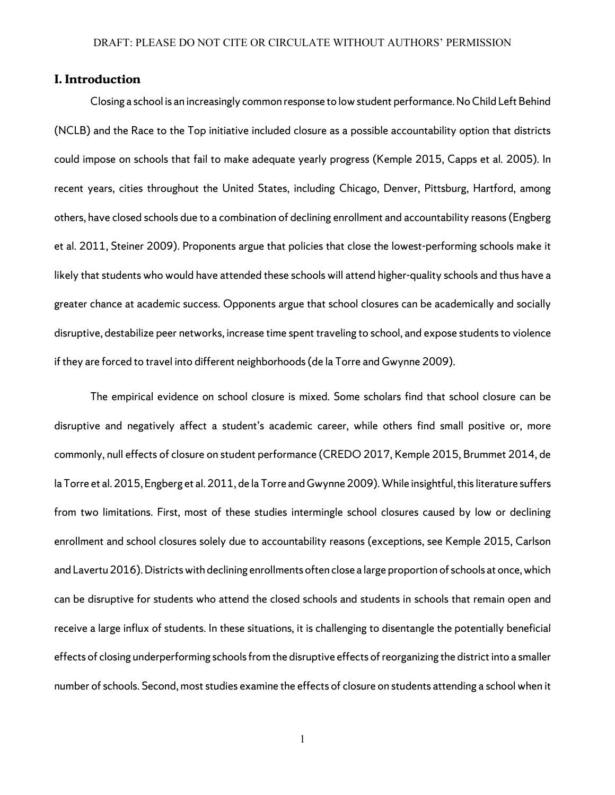## **I. Introduction**

Closing a school is an increasingly common response to low student performance. No Child Left Behind (NCLB) and the Race to the Top initiative included closure as a possible accountability option that districts could impose on schools that fail to make adequate yearly progress (Kemple 2015, Capps et al*.* 2005). In recent years, cities throughout the United States, including Chicago, Denver, Pittsburg, Hartford, among others, have closed schools due to a combination of declining enrollment and accountability reasons(Engberg et al. 2011, Steiner 2009). Proponents argue that policies that close the lowest-performing schools make it likely that students who would have attended these schools will attend higher-quality schools and thus have a greater chance at academic success. Opponents argue that school closures can be academically and socially disruptive, destabilize peer networks, increase time spent traveling to school, and expose students to violence if they are forced to travel into different neighborhoods (de la Torre and Gwynne 2009).

The empirical evidence on school closure is mixed. Some scholars find that school closure can be disruptive and negatively affect a student's academic career, while others find small positive or, more commonly, null effects of closure on student performance (CREDO 2017, Kemple 2015, Brummet 2014, de la Torre et al. 2015, Engberg et al. 2011, de la Torre and Gwynne 2009).While insightful, this literature suffers from two limitations. First, most of these studies intermingle school closures caused by low or declining enrollment and school closures solely due to accountability reasons (exceptions, see Kemple 2015, Carlson and Lavertu 2016). Districtswith declining enrollments often close a large proportion of schools at once, which can be disruptive for students who attend the closed schools and students in schools that remain open and receive a large influx of students. In these situations, it is challenging to disentangle the potentially beneficial effects of closing underperforming schools from the disruptive effects of reorganizing the district into a smaller number ofschools. Second, most studies examine the effects of closure on students attending a school when it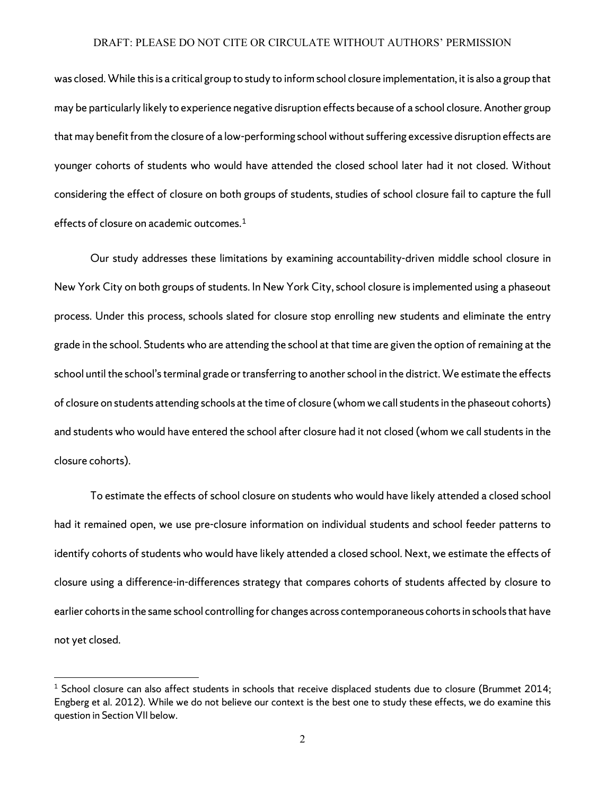was closed.While this is a critical group to study to inform school closure implementation, it is also a group that may be particularly likely to experience negative disruption effects because of a school closure.Another group that may benefit from the closure of a low-performing school without suffering excessive disruption effects are younger cohorts of students who would have attended the closed school later had it not closed. Without considering the effect of closure on both groups of students, studies of school closure fail to capture the full effects of closure on academic outcomes.<sup>[1](#page-4-0)</sup>

Our study addresses these limitations by examining accountability-driven middle school closure in New York City on both groups of students. In New York City, school closure is implemented using a phaseout process. Under this process, schools slated for closure stop enrolling new students and eliminate the entry grade in the school. Students who are attending the school at that time are given the option of remaining at the school until the school's terminal grade or transferring to another school in the district. We estimate the effects of closure on students attending schools at the time of closure (whom we call students in the phaseout cohorts) and students who would have entered the school after closure had it not closed (whom we call students in the closure cohorts).

To estimate the effects of school closure on students who would have likely attended a closed school had it remained open, we use pre-closure information on individual students and school feeder patterns to identify cohorts of students who would have likely attended a closed school. Next, we estimate the effects of closure using a difference-in-differences strategy that compares cohorts of students affected by closure to earlier cohorts in the same school controlling for changes across contemporaneous cohorts in schools that have not yet closed.

l

<span id="page-4-0"></span> $1$  School closure can also affect students in schools that receive displaced students due to closure (Brummet 2014; Engberg et al. 2012). While we do not believe our context is the best one to study these effects, we do examine this question in Section VII below.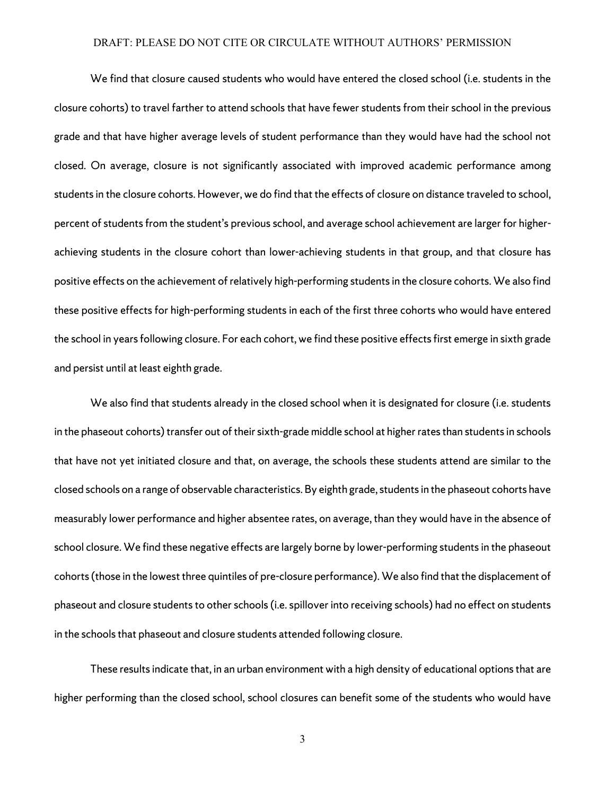We find that closure caused students who would have entered the closed school (i.e. students in the closure cohorts) to travel farther to attend schools that have fewer students from their school in the previous grade and that have higher average levels of student performance than they would have had the school not closed. On average, closure is not significantly associated with improved academic performance among students in the closure cohorts. However, we do find that the effects of closure on distance traveled to school, percent of students from the student's previous school, and average school achievement are larger for higherachieving students in the closure cohort than lower-achieving students in that group, and that closure has positive effects on the achievement of relatively high-performing students in the closure cohorts. We also find these positive effects for high-performing students in each of the first three cohorts who would have entered the school in years following closure. For each cohort, we find these positive effects first emerge in sixth grade and persist until at least eighth grade.

We also find that students already in the closed school when it is designated for closure (i.e. students in the phaseout cohorts) transfer out of their sixth-grade middle school at higher rates than students in schools that have not yet initiated closure and that, on average, the schools these students attend are similar to the closed schools on a range of observable characteristics. By eighth grade, students in the phaseout cohorts have measurably lower performance and higher absentee rates, on average, than they would have in the absence of school closure. We find these negative effects are largely borne by lower-performing students in the phaseout cohorts (those in the lowest three quintiles of pre-closure performance).We also find that the displacement of phaseout and closure students to other schools (i.e. spillover into receiving schools) had no effect on students in the schools that phaseout and closure students attended following closure.

These results indicate that, in an urban environment with a high density of educational optionsthat are higher performing than the closed school, school closures can benefit some of the students who would have

3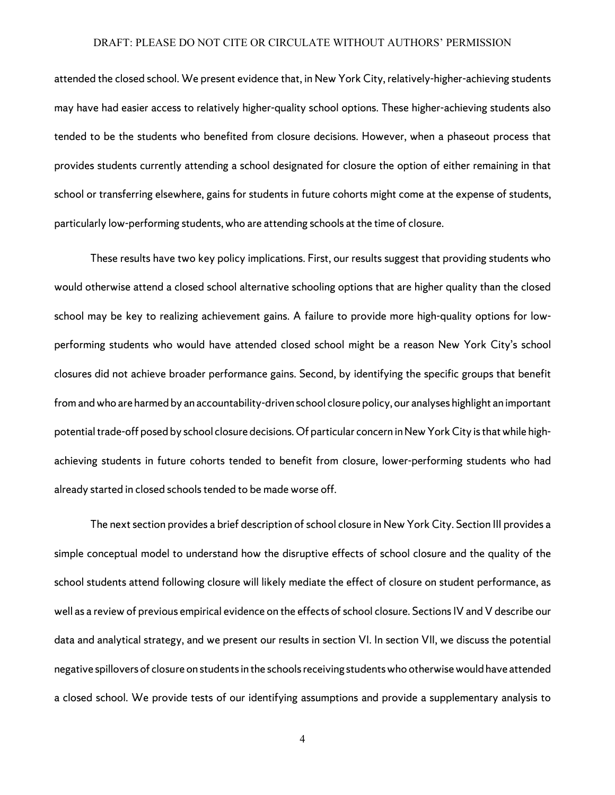attended the closed school. We present evidence that, in New York City, relatively-higher-achieving students may have had easier access to relatively higher-quality school options. These higher-achieving students also tended to be the students who benefited from closure decisions. However, when a phaseout process that provides students currently attending a school designated for closure the option of either remaining in that school or transferring elsewhere, gains for students in future cohorts might come at the expense of students, particularly low-performing students, who are attending schools at the time of closure.

These results have two key policy implications. First, our results suggest that providing students who would otherwise attend a closed school alternative schooling options that are higher quality than the closed school may be key to realizing achievement gains. A failure to provide more high-quality options for lowperforming students who would have attended closed school might be a reason New York City's school closures did not achieve broader performance gains. Second, by identifying the specific groups that benefit from and who are harmed by an accountability-driven school closure policy, our analyses highlight an important potential trade-off posed by school closure decisions.Of particular concern in New York City is that while highachieving students in future cohorts tended to benefit from closure, lower-performing students who had already started in closed schools tended to be made worse off.

The next section provides a brief description of school closure in New York City. Section III provides a simple conceptual model to understand how the disruptive effects of school closure and the quality of the school students attend following closure will likely mediate the effect of closure on student performance, as well as a review of previous empirical evidence on the effects of school closure. Sections IV and V describe our data and analytical strategy, and we present our results in section VI. In section VII, we discuss the potential negative spillovers of closure on students in the schools receiving students who otherwise would have attended a closed school. We provide tests of our identifying assumptions and provide a supplementary analysis to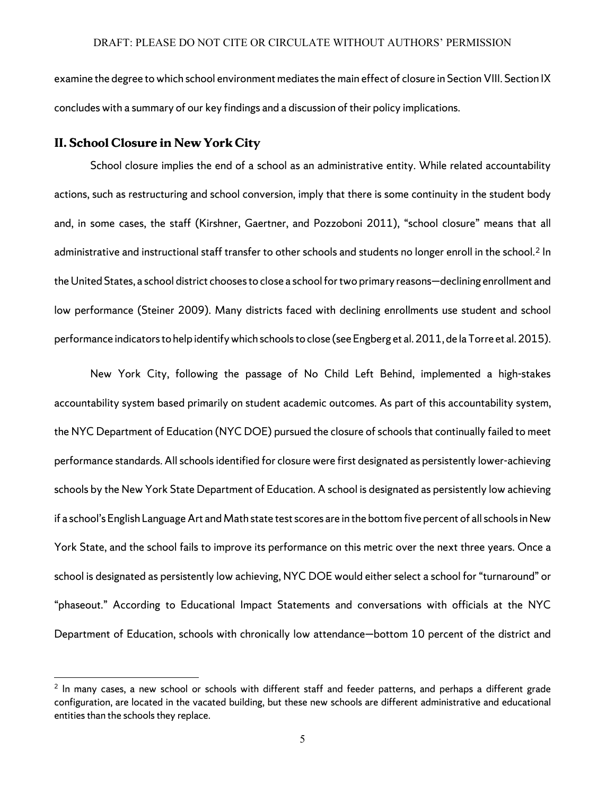examine the degree to which school environment mediates the main effect of closure in Section VIII. Section IX concludeswith a summary of our key findings and a discussion of their policy implications.

## **II. School Closure in New York City**

l

School closure implies the end of a school as an administrative entity. While related accountability actions, such as restructuring and school conversion, imply that there is some continuity in the student body and, in some cases, the staff (Kirshner, Gaertner, and Pozzoboni 2011), "school closure" means that all administrative and instructional staff transfer to other schools and students no longer enroll in the school.<sup>[2](#page-7-0)</sup> In the United States, a school district chooses to close a school for two primary reasons—declining enrollment and low performance (Steiner 2009). Many districts faced with declining enrollments use student and school performance indicatorstohelp identify which schools to close (see Engberg et al. 2011, de la Torre et al. 2015).

New York City, following the passage of No Child Left Behind, implemented a high-stakes accountability system based primarily on student academic outcomes. As part of this accountability system, the NYC Department of Education (NYC DOE) pursued the closure of schools that continually failed to meet performance standards. All schools identified for closure were first designated as persistently lower-achieving schools by the New York State Department of Education. A school is designated as persistently low achieving if a school's English Language Art and Math state test scores are in the bottom five percent of all schools in New York State, and the school fails to improve its performance on this metric over the next three years. Once a school is designated as persistently low achieving, NYC DOE would either select a school for "turnaround" or "phaseout." According to Educational Impact Statements and conversations with officials at the NYC Department of Education, schools with chronically low attendance—bottom 10 percent of the district and

<span id="page-7-0"></span><sup>&</sup>lt;sup>2</sup> In many cases, a new school or schools with different staff and feeder patterns, and perhaps a different grade configuration, are located in the vacated building, but these new schools are different administrative and educational entities than the schools they replace.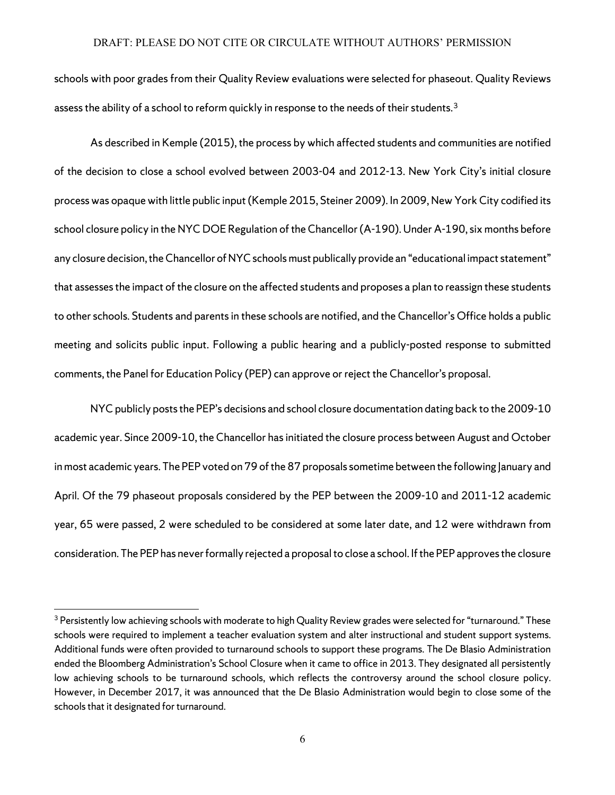schools with poor grades from their Quality Review evaluations were selected for phaseout. Quality Reviews assess the ability of a school to reform quickly in response to the needs of their students.<sup>[3](#page-8-0)</sup>

As described in Kemple (2015), the process by which affected students and communities are notified of the decision to close a school evolved between 2003-04 and 2012-13. New York City's initial closure process was opaque with little public input(Kemple 2015, Steiner 2009). In 2009, New York City codified its school closure policy in the NYCDOE Regulation of the Chancellor (A-190). Under A-190, six months before any closure decision, the Chancellor of NYC schools must publically provide an "educational impact statement" that assesses the impact of the closure on the affected students and proposes a plan to reassign these students to other schools. Students and parents in these schools are notified, and the Chancellor's Office holds a public meeting and solicits public input. Following a public hearing and a publicly-posted response to submitted comments, the Panel for Education Policy (PEP) can approve or reject the Chancellor's proposal.

NYC publicly posts the PEP's decisions and school closure documentation dating back to the 2009-10 academic year. Since 2009-10, the Chancellor has initiated the closure process between August and October in most academic years. The PEP voted on 79 ofthe 87 proposals sometime between the following January and April. Of the 79 phaseout proposals considered by the PEP between the 2009-10 and 2011-12 academic year, 65 were passed, 2 were scheduled to be considered at some later date, and 12 were withdrawn from consideration. The PEP has never formally rejected a proposal to close a school. If the PEP approves the closure

<span id="page-8-0"></span> $3$  Persistently low achieving schools with moderate to high Quality Review grades were selected for "turnaround." These schools were required to implement a teacher evaluation system and alter instructional and student support systems. Additional funds were often provided to turnaround schools to support these programs. The De Blasio Administration ended the Bloomberg Administration's School Closure when it came to office in 2013. They designated all persistently low achieving schools to be turnaround schools, which reflects the controversy around the school closure policy. However, in December 2017, it was announced that the De Blasio Administration would begin to close some of the schools that it designated for turnaround.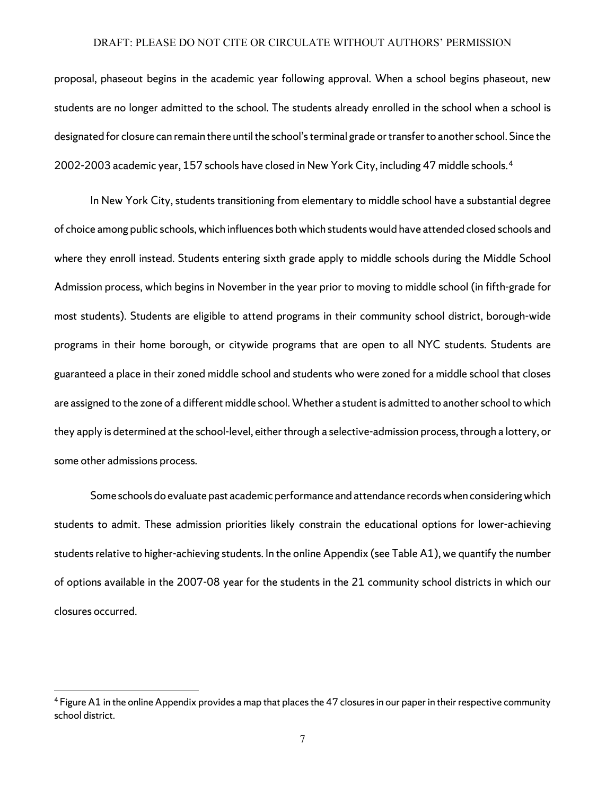proposal, phaseout begins in the academic year following approval. When a school begins phaseout, new students are no longer admitted to the school. The students already enrolled in the school when a school is designated for closure can remain there until the school's terminal grade or transfer to another school. Since the 2002-2003 academic year, 157 schools have closed in New York City, including 47 middle schools. [4](#page-9-0)

In New York City, students transitioning from elementary to middle school have a substantial degree of choice among public schools, which influences both which students would have attended closed schools and where they enroll instead. Students entering sixth grade apply to middle schools during the Middle School Admission process, which begins in November in the year prior to moving to middle school (in fifth-grade for most students). Students are eligible to attend programs in their community school district, borough-wide programs in their home borough, or citywide programs that are open to all NYC students. Students are guaranteed a place in their zoned middle school and students who were zoned for a middle school that closes are assigned to the zone of a different middle school. Whether a student is admitted to another school to which they apply is determined at the school-level, either through a selective-admission process, through a lottery, or some other admissions process.

Some schools do evaluate past academic performance and attendance records when considering which students to admit. These admission priorities likely constrain the educational options for lower-achieving students relative to higher-achieving students. In the online Appendix (see Table A1), we quantify the number of options available in the 2007-08 year for the students in the 21 community school districts in which our closures occurred.

<span id="page-9-0"></span><sup>4</sup> Figure A1 in the online Appendix provides a map that places the 47 closures in our paper in their respective community school district.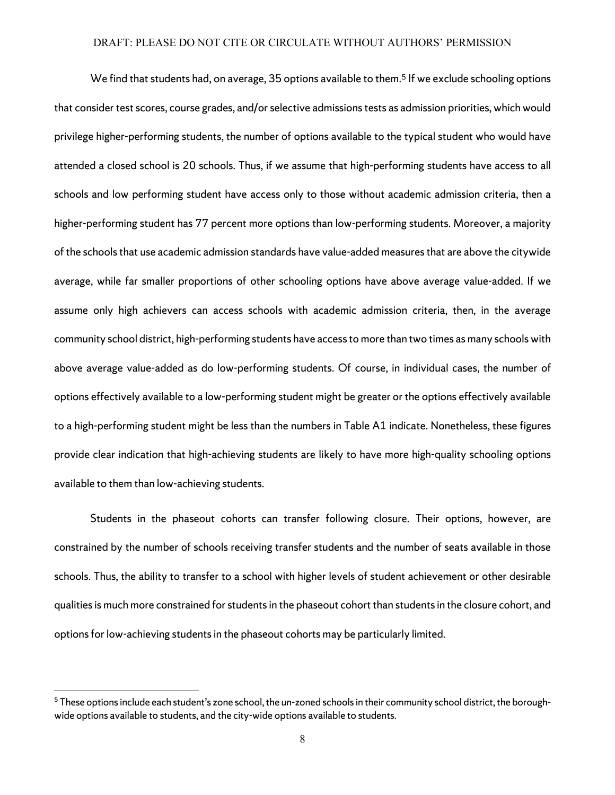We find that students had, on average, 35 options available to them. [5](#page-10-0) If we exclude schooling options that consider test scores, course grades, and/or selective admissions tests as admission priorities, which would privilege higher-performing students, the number of options available to the typical student who would have attended a closed school is 20 schools. Thus, if we assume that high-performing students have access to all schools and low performing student have access only to those without academic admission criteria, then a higher-performing student has 77 percent more options than low-performing students. Moreover, a majority of the schools that use academic admission standards have value-added measures that are above the citywide average, while far smaller proportions of other schooling options have above average value-added. If we assume only high achievers can access schools with academic admission criteria, then, in the average community school district, high-performing students have access to more than two times as many schools with above average value-added as do low-performing students. Of course, in individual cases, the number of options effectively available to a low-performing student might be greater or the options effectively available to a high-performing student might be less than the numbers in Table A1 indicate. Nonetheless, these figures provide clear indication that high-achieving students are likely to have more high-quality schooling options available to them than low-achieving students.

Students in the phaseout cohorts can transfer following closure. Their options, however, are constrained by the number of schools receiving transfer students and the number of seats available in those schools. Thus, the ability to transfer to a school with higher levels of student achievement or other desirable qualities is much more constrained for studentsin the phaseout cohort than students in the closure cohort, and options for low-achieving students in the phaseout cohorts may be particularly limited.

<span id="page-10-0"></span><sup>&</sup>lt;sup>5</sup> These options include each student's zone school, the un-zoned schools in their community school district, the boroughwide options available to students, and the city-wide options available to students.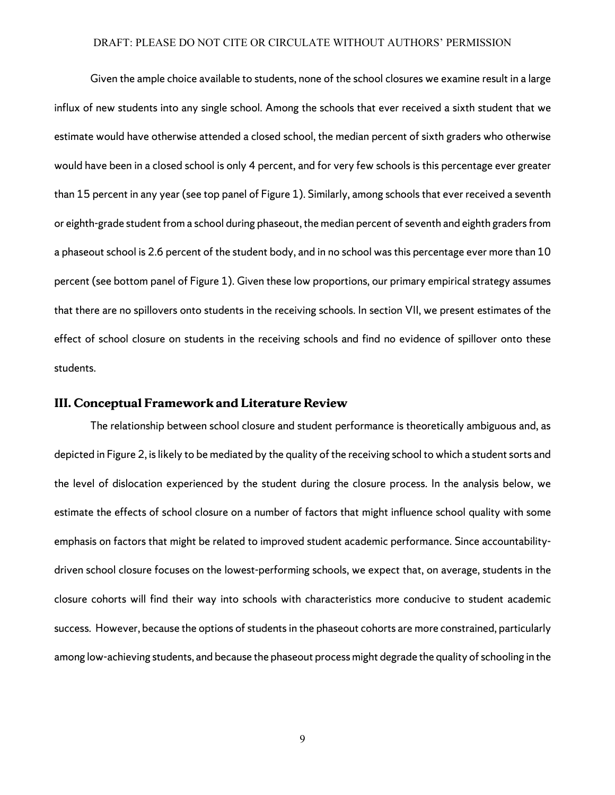Given the ample choice available to students, none of the school closures we examine result in a large influx of new students into any single school. Among the schools that ever received a sixth student that we estimate would have otherwise attended a closed school, the median percent of sixth graders who otherwise would have been in a closed school is only 4 percent, and for very few schools is this percentage ever greater than 15 percent in any year (see top panel of Figure 1). Similarly, among schools that ever received a seventh or eighth-grade student from a school during phaseout, the median percent of seventh and eighth graders from a phaseout school is 2.6 percent of the student body, and in no school was this percentage ever more than 10 percent (see bottom panel of Figure 1). Given these low proportions, our primary empirical strategy assumes that there are no spillovers onto students in the receiving schools. In section VII, we present estimates of the effect of school closure on students in the receiving schools and find no evidence of spillover onto these students.

## **III. Conceptual Framework and Literature Review**

The relationship between school closure and student performance is theoretically ambiguous and, as depicted in Figure 2, islikely to be mediated by the quality of the receiving school to which a student sorts and the level of dislocation experienced by the student during the closure process. In the analysis below, we estimate the effects of school closure on a number of factors that might influence school quality with some emphasis on factors that might be related to improved student academic performance. Since accountabilitydriven school closure focuses on the lowest-performing schools, we expect that, on average, students in the closure cohorts will find their way into schools with characteristics more conducive to student academic success. However, because the options of students in the phaseout cohorts are more constrained, particularly among low-achieving students, and because the phaseout process might degrade the quality of schooling in the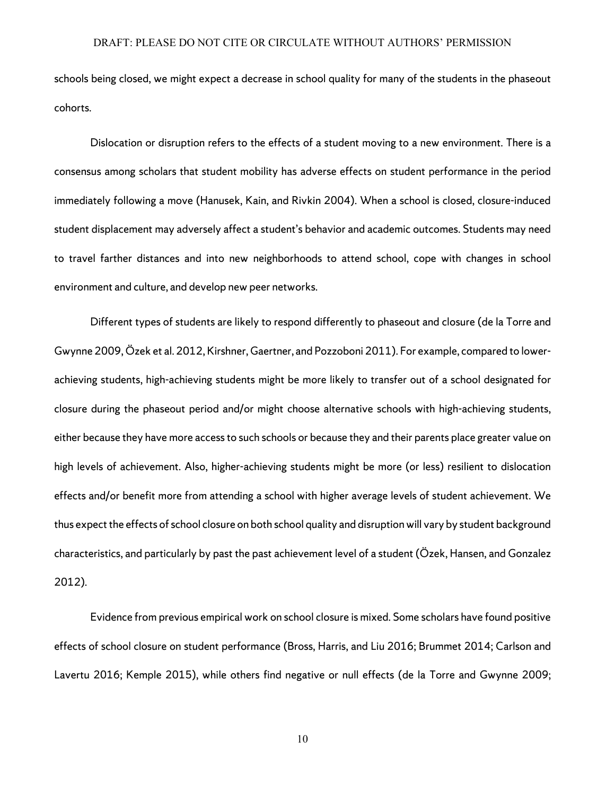schools being closed, we might expect a decrease in school quality for many of the students in the phaseout cohorts.

Dislocation or disruption refers to the effects of a student moving to a new environment. There is a consensus among scholars that student mobility has adverse effects on student performance in the period immediately following a move (Hanusek, Kain, and Rivkin 2004). When a school is closed, closure-induced student displacement may adversely affect a student's behavior and academic outcomes. Students may need to travel farther distances and into new neighborhoods to attend school, cope with changes in school environment and culture, and develop new peer networks.

Different types of students are likely to respond differently to phaseout and closure (de la Torre and Gwynne 2009, Özek et al. 2012, Kirshner, Gaertner, and Pozzoboni 2011). For example, compared to lowerachieving students, high-achieving students might be more likely to transfer out of a school designated for closure during the phaseout period and/or might choose alternative schools with high-achieving students, either because they have more access to such schools or because they and their parents place greater value on high levels of achievement. Also, higher-achieving students might be more (or less) resilient to dislocation effects and/or benefit more from attending a school with higher average levels of student achievement. We thus expect the effects of school closure on both school quality and disruption will vary by student background characteristics, and particularly by past the past achievement level of a student (Özek, Hansen, and Gonzalez 2012).

Evidence from previous empirical work on school closure is mixed. Some scholars have found positive effects of school closure on student performance (Bross, Harris, and Liu 2016; Brummet 2014; Carlson and Lavertu 2016; Kemple 2015), while others find negative or null effects (de la Torre and Gwynne 2009;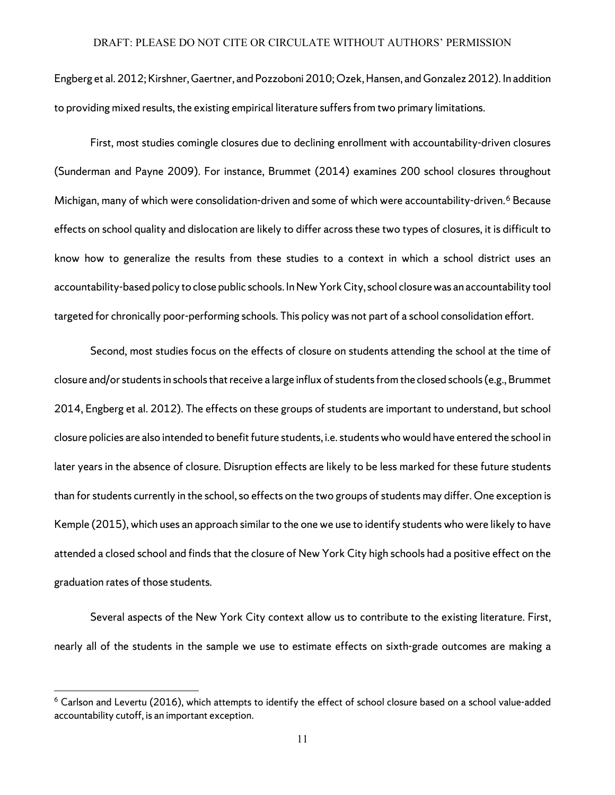Engberg et al. 2012; Kirshner, Gaertner, and Pozzoboni 2010; Ozek, Hansen, and Gonzalez 2012). In addition to providing mixed results, the existing empirical literature suffers from two primary limitations.

First, most studies comingle closures due to declining enrollment with accountability-driven closures (Sunderman and Payne 2009). For instance, Brummet (2014) examines 200 school closures throughout Michigan, many of which were consolidation-driven and some of which were accountability-driven.<sup>[6](#page-13-0)</sup> Because effects on school quality and dislocation are likely to differ across these two types of closures, it is difficult to know how to generalize the results from these studies to a context in which a school district uses an accountability-based policy to close public schools. In New York City, school closure was an accountability tool targeted for chronically poor-performing schools. This policy was not part of a school consolidation effort.

Second, most studies focus on the effects of closure on students attending the school at the time of closure and/or students in schools that receive a large influx of students from the closed schools (e.g., Brummet 2014, Engberg et al. 2012). The effects on these groups of students are important to understand, but school closure policies are also intended to benefit future students, i.e. students who would have entered the school in later years in the absence of closure. Disruption effects are likely to be less marked for these future students than for students currently in the school, so effects on the two groups of students may differ. One exception is Kemple (2015), which uses an approach similar to the one we use to identify students who were likely to have attended a closed school and finds that the closure of New York City high schools had a positive effect on the graduation rates of those students.

Several aspects of the New York City context allow us to contribute to the existing literature. First, nearly all of the students in the sample we use to estimate effects on sixth-grade outcomes are making a

<span id="page-13-0"></span> $6$  Carlson and Levertu (2016), which attempts to identify the effect of school closure based on a school value-added accountability cutoff, is an important exception.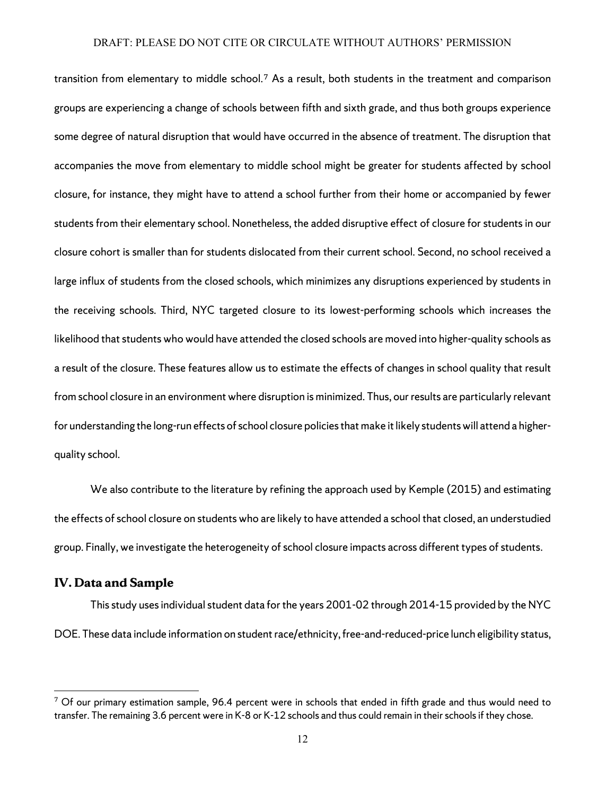transition from elementary to middle school.[7](#page-14-0) As a result, both students in the treatment and comparison groups are experiencing a change of schools between fifth and sixth grade, and thus both groups experience some degree of natural disruption that would have occurred in the absence of treatment. The disruption that accompanies the move from elementary to middle school might be greater for students affected by school closure, for instance, they might have to attend a school further from their home or accompanied by fewer students from their elementary school. Nonetheless, the added disruptive effect of closure for students in our closure cohort is smaller than for students dislocated from their current school. Second, no school received a large influx of students from the closed schools, which minimizes any disruptions experienced by students in the receiving schools. Third, NYC targeted closure to its lowest-performing schools which increases the likelihood that students who would have attended the closed schools are moved into higher-quality schools as a result of the closure. These features allow us to estimate the effects of changes in school quality that result from school closure in an environment where disruption is minimized. Thus, our results are particularly relevant for understanding the long-run effects of school closure policies that make it likely students will attend a higherquality school.

We also contribute to the literature by refining the approach used by Kemple (2015) and estimating the effects of school closure on students who are likely to have attended a school that closed, an understudied group. Finally, we investigate the heterogeneity of school closure impacts across different types of students.

## **IV. Data and Sample**

 $\overline{\phantom{a}}$ 

Thisstudy uses individual student data for the years 2001-02 through 2014-15 provided by the NYC DOE. These data include information on student race/ethnicity, free-and-reduced-price lunch eligibility status,

<span id="page-14-0"></span> $7$  Of our primary estimation sample, 96.4 percent were in schools that ended in fifth grade and thus would need to transfer. The remaining 3.6 percent were in K-8 or K-12 schools and thus could remain in their schools if they chose.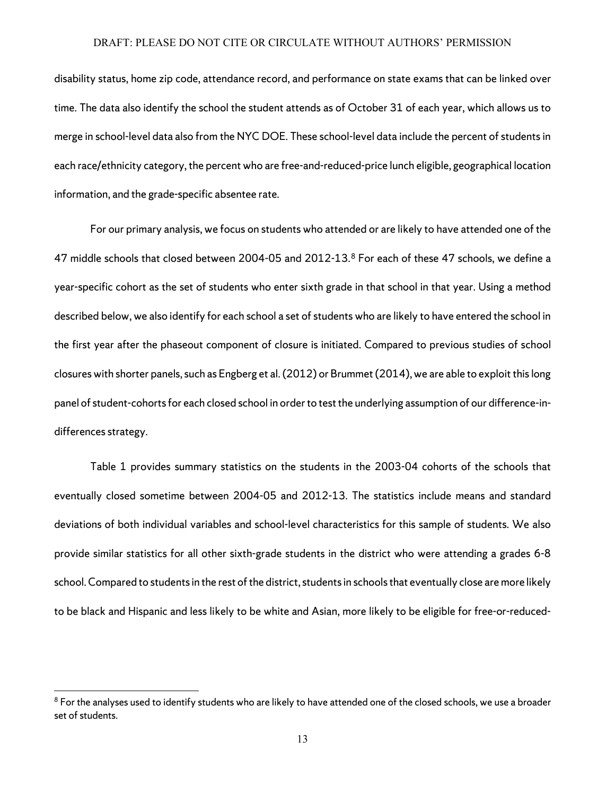disability status, home zip code, attendance record, and performance on state exams that can be linked over time. The data also identify the school the student attends as of October 31 of each year, which allows us to merge in school-level data also from the NYC DOE. These school-level data include the percent of students in each race/ethnicity category, the percent who are free-and-reduced-price lunch eligible, geographical location information, and the grade-specific absentee rate.

For our primary analysis, we focus on students who attended or are likely to have attended one of the 47 middle schools that closed between 2004-05 and 2012-13.[8](#page-15-0) For each of these 47 schools, we define a year-specific cohort as the set of students who enter sixth grade in that school in that year. Using a method described below, we also identify for each school a set of students who are likely to have entered the school in the first year after the phaseout component of closure is initiated. Compared to previous studies of school closures with shorter panels, such as Engberg et al. (2012) or Brummet (2014), we are able to exploit this long panel of student-cohorts for each closed school in order to test the underlying assumption of our difference-indifferences strategy.

Table 1 provides summary statistics on the students in the 2003-04 cohorts of the schools that eventually closed sometime between 2004-05 and 2012-13. The statistics include means and standard deviations of both individual variables and school-level characteristics for this sample of students. We also provide similar statistics for all other sixth-grade students in the district who were attending a grades 6-8 school. Compared to students in the rest of the district, students in schools that eventually close are more likely to be black and Hispanic and less likely to be white and Asian, more likely to be eligible for free-or-reduced-

<span id="page-15-0"></span> $8$  For the analyses used to identify students who are likely to have attended one of the closed schools, we use a broader set of students.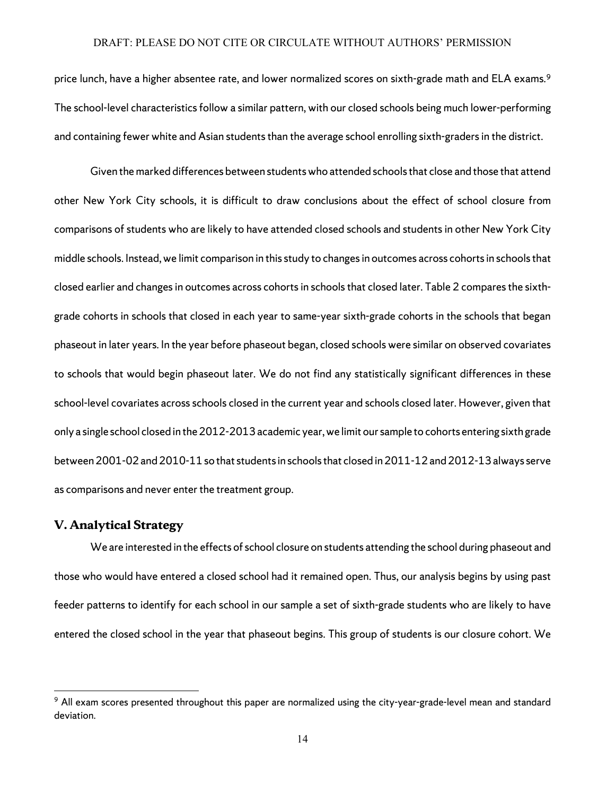price lunch, have a higher absentee rate, and lower normalized scores on sixth-grade math and ELA exams. [9](#page-16-0) The school-level characteristics follow a similar pattern, with our closed schools being much lower-performing and containing fewer white and Asian students than the average school enrolling sixth-graders in the district.

Given the marked differences between students who attended schools that close and those that attend other New York City schools, it is difficult to draw conclusions about the effect of school closure from comparisons of students who are likely to have attended closed schools and students in other New York City middle schools. Instead, we limit comparison in this study to changes in outcomes across cohorts in schools that closed earlier and changes in outcomes across cohortsin schools that closed later. Table 2 compares the sixthgrade cohorts in schools that closed in each year to same-year sixth-grade cohorts in the schools that began phaseout in later years. In the year before phaseout began, closed schools were similar on observed covariates to schools that would begin phaseout later. We do not find any statistically significant differences in these school-level covariates across schools closed in the current year and schools closed later. However, given that only a single school closed in the 2012-2013 academic year, we limit our sample to cohorts entering sixth grade between 2001-02 and 2010-11 so that students in schools that closed in 2011-12 and 2012-13 always serve as comparisons and never enter the treatment group.

#### **V. Analytical Strategy**

 $\overline{\phantom{a}}$ 

We are interested in the effects of school closure on students attending the school during phaseout and those who would have entered a closed school had it remained open. Thus, our analysis begins by using past feeder patterns to identify for each school in our sample a set of sixth-grade students who are likely to have entered the closed school in the year that phaseout begins. This group of students is our closure cohort. We

<span id="page-16-0"></span><sup>&</sup>lt;sup>9</sup> All exam scores presented throughout this paper are normalized using the city-year-grade-level mean and standard deviation.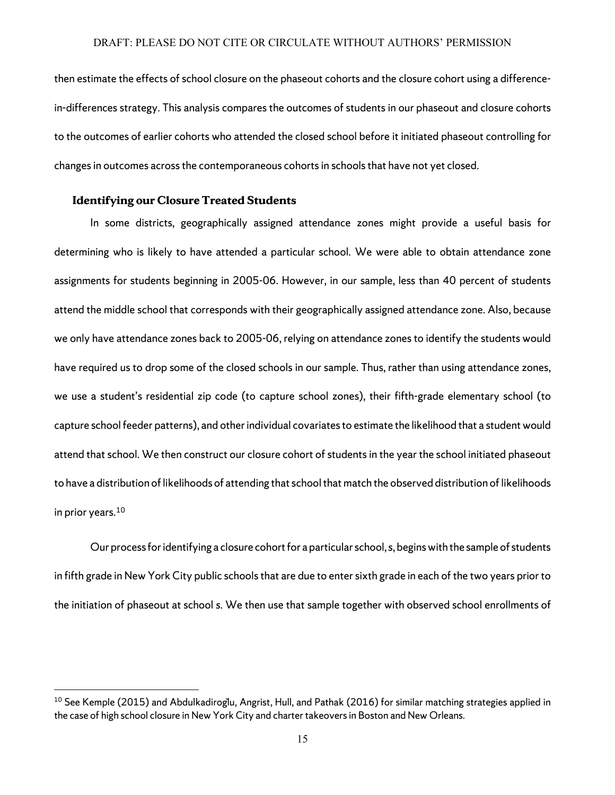then estimate the effects of school closure on the phaseout cohorts and the closure cohort using a differencein-differences strategy. This analysis compares the outcomes of students in our phaseout and closure cohorts to the outcomes of earlier cohorts who attended the closed school before it initiated phaseout controlling for changes in outcomes across the contemporaneous cohorts in schools that have not yet closed.

## **Identifying our Closure Treated Students**

 $\overline{a}$ 

In some districts, geographically assigned attendance zones might provide a useful basis for determining who is likely to have attended a particular school. We were able to obtain attendance zone assignments for students beginning in 2005-06. However, in our sample, less than 40 percent of students attend the middle school that corresponds with their geographically assigned attendance zone. Also, because we only have attendance zones back to 2005-06, relying on attendance zones to identify the students would have required us to drop some of the closed schools in our sample. Thus, rather than using attendance zones, we use a student's residential zip code (to capture school zones), their fifth-grade elementary school (to capture school feeder patterns), and other individual covariates to estimate the likelihood that a student would attend that school. We then construct our closure cohort of students in the year the school initiated phaseout to have a distribution of likelihoods of attending that school that match the observed distribution of likelihoods in prior years.<sup>10</sup>

Our process for identifying a closure cohort for a particular school, s, begins with the sample of students in fifth grade in New York City public schoolsthat are due to enter sixth grade in each of the two years prior to the initiation of phaseout at school *s*. We then use that sample together with observed school enrollments of

<span id="page-17-0"></span> $10$  See Kemple (2015) and Abdulkadiroglu, Angrist, Hull, and Pathak (2016) for similar matching strategies applied in the case of high school closure in New York City and charter takeovers in Boston and New Orleans.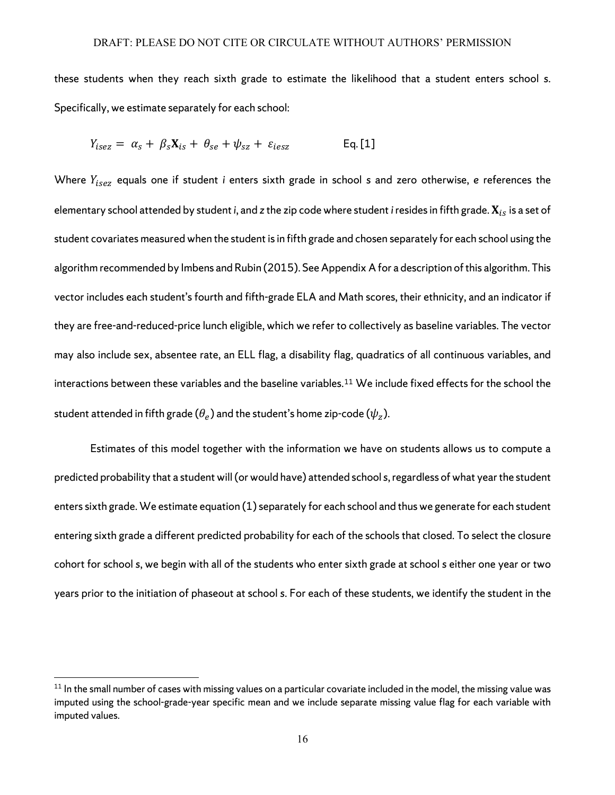these students when they reach sixth grade to estimate the likelihood that a student enters school *s*. Specifically, we estimate separately for each school:

$$
Y_{\text{isez}} = \alpha_s + \beta_s \mathbf{X}_{\text{is}} + \theta_{\text{se}} + \psi_{\text{sz}} + \varepsilon_{\text{iesz}} \qquad \qquad \text{Eq. [1]}
$$

Where  $Y_{\text{isez}}$  equals one if student *i* enters sixth grade in school *s* and zero otherwise, *e* references the elementary school attended by student *i*, and *z* the zip code where student *i* resides in fifth grade.  $X_{is}$  is a set of student covariates measured when the student is in fifth grade and chosen separately for each school using the algorithm recommended by Imbens and Rubin (2015). See Appendix Afor a description of this algorithm. This vector includes each student's fourth and fifth-grade ELA and Math scores, their ethnicity, and an indicator if they are free-and-reduced-price lunch eligible, which we refer to collectively as baseline variables. The vector may also include sex, absentee rate, an ELL flag, a disability flag, quadratics of all continuous variables, and interactions between these variables and the baseline variables.[11](#page-18-0) We include fixed effects for the school the student attended in fifth grade ( $\theta_e$ ) and the student's home zip-code ( $\psi_z$ ).

Estimates of this model together with the information we have on students allows us to compute a predicted probability that a student will (or would have) attended school *s*, regardless of what year the student enters sixth grade. We estimate equation (1) separately for each school and thus we generate for each student entering sixth grade a different predicted probability for each of the schools that closed. To select the closure cohort for school *s*, we begin with all of the students who enter sixth grade at school *s* either one year or two years prior to the initiation of phaseout at school *s*. For each of these students, we identify the student in the

l

<span id="page-18-0"></span> $11$  In the small number of cases with missing values on a particular covariate included in the model, the missing value was imputed using the school-grade-year specific mean and we include separate missing value flag for each variable with imputed values.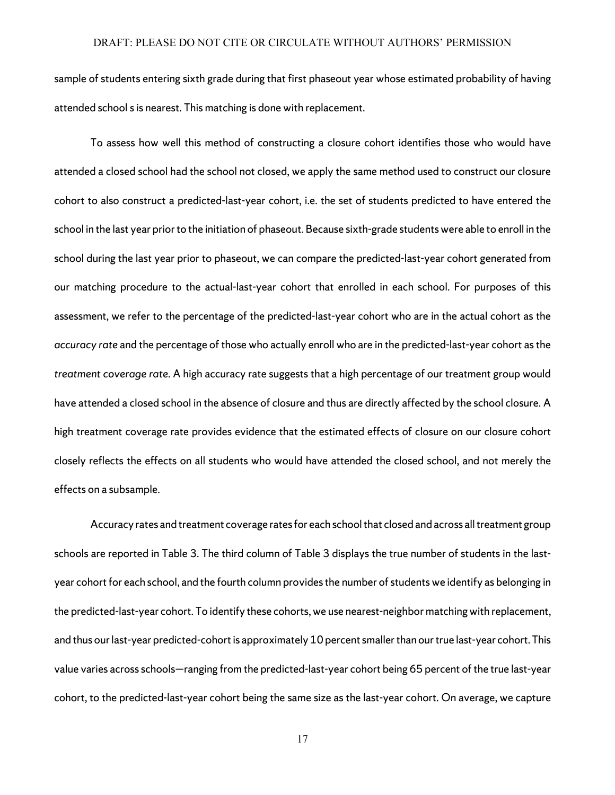sample of students entering sixth grade during that first phaseout year whose estimated probability of having attended school *s*is nearest. This matching is done with replacement.

To assess how well this method of constructing a closure cohort identifies those who would have attended a closed school had the school not closed, we apply the same method used to construct our closure cohort to also construct a predicted-last-year cohort, i.e. the set of students predicted to have entered the school in the last year prior to the initiation of phaseout. Because sixth-grade students were able to enroll in the school during the last year prior to phaseout, we can compare the predicted-last-year cohort generated from our matching procedure to the actual-last-year cohort that enrolled in each school. For purposes of this assessment, we refer to the percentage of the predicted-last-year cohort who are in the actual cohort as the *accuracy rate* and the percentage of those who actually enroll who are in the predicted-last-year cohort as the *treatment coverage rate.* A high accuracy rate suggests that a high percentage of our treatment group would have attended a closed school in the absence of closure and thus are directly affected by the school closure. A high treatment coverage rate provides evidence that the estimated effects of closure on our closure cohort closely reflects the effects on all students who would have attended the closed school, and not merely the effects on a subsample.

Accuracy rates and treatment coverage rates for each school that closed and across all treatment group schools are reported in Table 3. The third column of Table 3 displays the true number of students in the lastyear cohort for each school, and the fourth column provides the number of students we identify as belonging in the predicted-last-year cohort. To identify these cohorts, we use nearest-neighbor matching with replacement, and thus our last-year predicted-cohort is approximately 10 percent smaller than our true last-year cohort. This value varies across schools—ranging from the predicted-last-year cohort being 65 percent of the true last-year cohort, to the predicted-last-year cohort being the same size as the last-year cohort. On average, we capture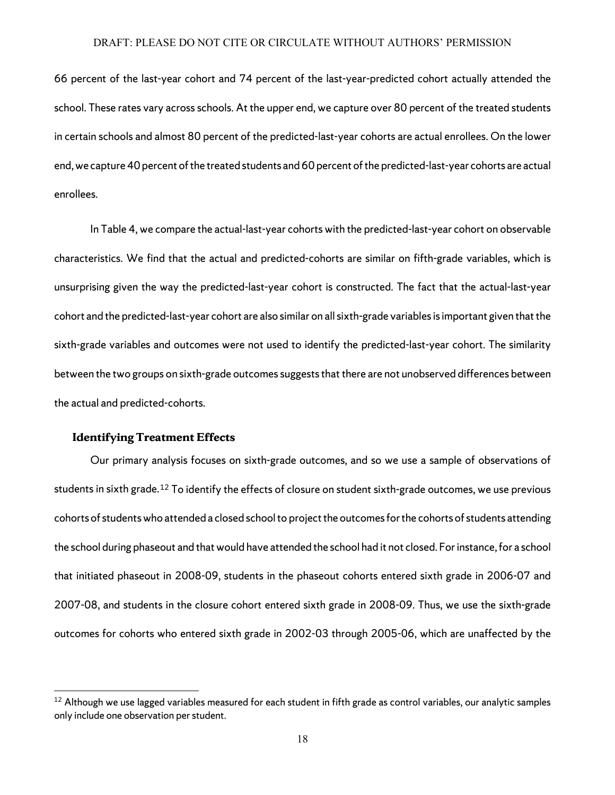66 percent of the last-year cohort and 74 percent of the last-year-predicted cohort actually attended the school. These rates vary across schools. At the upper end, we capture over 80 percent of the treated students in certain schools and almost 80 percent of the predicted-last-year cohorts are actual enrollees. On the lower end, we capture 40 percent of the treated students and 60 percent of the predicted-last-year cohorts are actual enrollees.

In Table 4, we compare the actual-last-year cohorts with the predicted-last-year cohort on observable characteristics. We find that the actual and predicted-cohorts are similar on fifth-grade variables, which is unsurprising given the way the predicted-last-year cohort is constructed. The fact that the actual-last-year cohort and the predicted-last-year cohort are also similar on all sixth-grade variables isimportant given that the sixth-grade variables and outcomes were not used to identify the predicted-last-year cohort. The similarity between the two groups on sixth-grade outcomes suggests that there are not unobserved differences between the actual and predicted-cohorts.

#### **Identifying Treatment Effects**

 $\overline{\phantom{a}}$ 

Our primary analysis focuses on sixth-grade outcomes, and so we use a sample of observations of students in sixth grade.<sup>[12](#page-20-0)</sup> To identify the effects of closure on student sixth-grade outcomes, we use previous cohorts of studentswho attended a closed school to project the outcomes for the cohorts of students attending the school during phaseout and that would have attended the school had it not closed. For instance, for a school that initiated phaseout in 2008-09, students in the phaseout cohorts entered sixth grade in 2006-07 and 2007-08, and students in the closure cohort entered sixth grade in 2008-09. Thus, we use the sixth-grade outcomes for cohorts who entered sixth grade in 2002-03 through 2005-06, which are unaffected by the

<span id="page-20-0"></span> $12$  Although we use lagged variables measured for each student in fifth grade as control variables, our analytic samples only include one observation per student.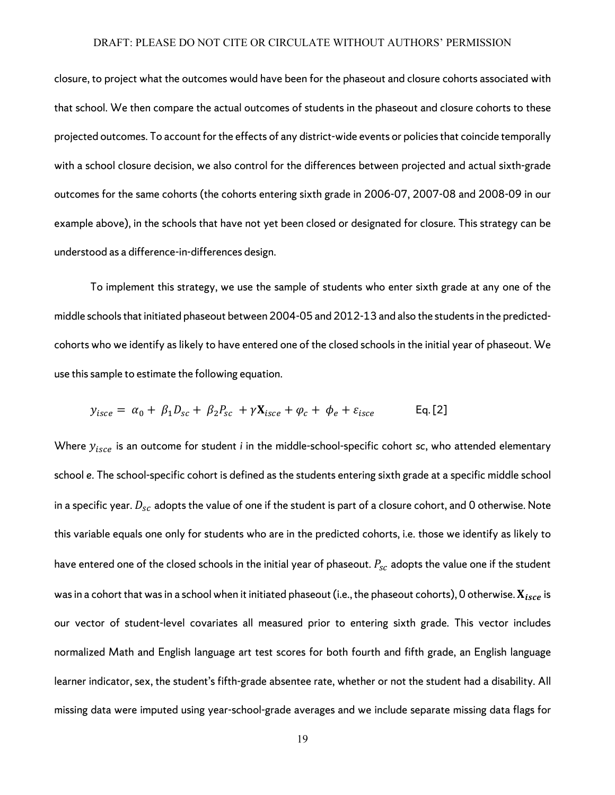closure, to project what the outcomes would have been for the phaseout and closure cohorts associated with that school. We then compare the actual outcomes of students in the phaseout and closure cohorts to these projected outcomes. To account for the effects of any district-wide events or policiesthat coincide temporally with a school closure decision, we also control for the differences between projected and actual sixth-grade outcomes for the same cohorts (the cohorts entering sixth grade in 2006-07, 2007-08 and 2008-09 in our example above), in the schools that have not yet been closed or designated for closure. This strategy can be understood as a difference-in-differences design.

To implement this strategy, we use the sample of students who enter sixth grade at any one of the middle schools that initiated phaseout between 2004-05 and 2012-13 and also the studentsin the predictedcohorts who we identify as likely to have entered one of the closed schools in the initial year of phaseout. We use this sample to estimate the following equation.

$$
y_{\text{isce}} = \alpha_0 + \beta_1 D_{\text{sc}} + \beta_2 P_{\text{sc}} + \gamma \mathbf{X}_{\text{isce}} + \varphi_c + \varphi_e + \varepsilon_{\text{isce}} \qquad \text{Eq. [2]}
$$

Where  $y_{\text{isce}}$  is an outcome for student *i* in the middle-school-specific cohort *sc*, who attended elementary school *e*. The school-specific cohort is defined as the students entering sixth grade at a specific middle school in a specific year.  $D_{sc}$  adopts the value of one if the student is part of a closure cohort, and 0 otherwise. Note this variable equals one only for students who are in the predicted cohorts, i.e. those we identify as likely to have entered one of the closed schools in the initial year of phaseout.  $P_{SC}$  adopts the value one if the student was in a cohort that was in a school when it initiated phaseout (i.e., the phaseout cohorts), 0 otherwise.  $X_{isco}$  is our vector of student-level covariates all measured prior to entering sixth grade. This vector includes normalized Math and English language art test scores for both fourth and fifth grade, an English language learner indicator, sex, the student's fifth-grade absentee rate, whether or not the student had a disability. All missing data were imputed using year-school-grade averages and we include separate missing data flags for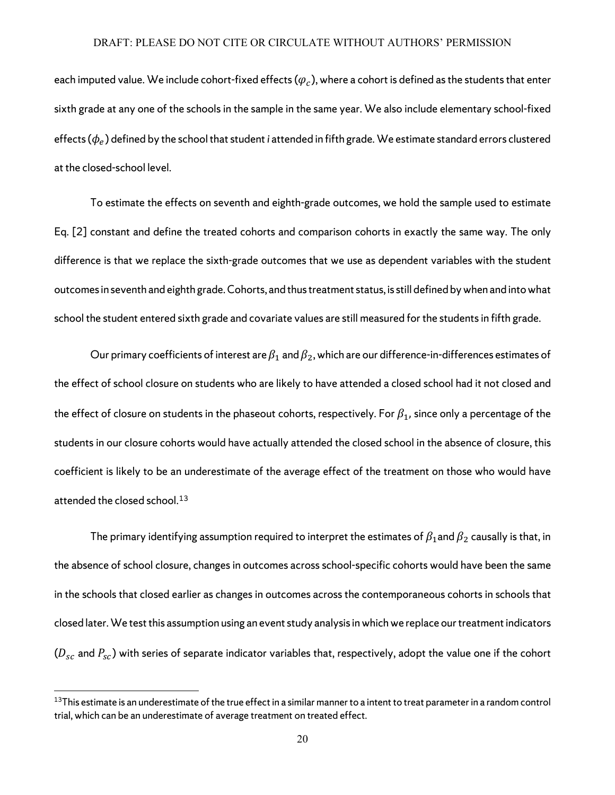each imputed value. We include cohort-fixed effects ( $\varphi_c$ ), where a cohort is defined as the students that enter sixth grade at any one of the schools in the sample in the same year. We also include elementary school-fixed effects  $(\phi_e)$  defined by the school that student *i* attended in fifth grade. We estimate standard errors clustered at the closed-school level.

To estimate the effects on seventh and eighth-grade outcomes, we hold the sample used to estimate Eq. [2] constant and define the treated cohorts and comparison cohorts in exactly the same way. The only difference is that we replace the sixth-grade outcomes that we use as dependent variables with the student outcomes in seventh and eighth grade. Cohorts, and thus treatment status, is still defined by when and into what school the student entered sixth grade and covariate values are still measured for the students in fifth grade.

Our primary coefficients of interest are  $\beta_1$  and  $\beta_2$ , which are our difference-in-differences estimates of the effect of school closure on students who are likely to have attended a closed school had it not closed and the effect of closure on students in the phaseout cohorts, respectively. For  $\beta_1$ , since only a percentage of the students in our closure cohorts would have actually attended the closed school in the absence of closure, this coefficient is likely to be an underestimate of the average effect of the treatment on those who would have attended the closed school.<sup>[13](#page-22-0)</sup>

The primary identifying assumption required to interpret the estimates of  $\beta_1$ and  $\beta_2$  causally is that, in the absence of school closure, changes in outcomes across school-specific cohorts would have been the same in the schools that closed earlier as changes in outcomes across the contemporaneous cohorts in schools that closed later.We test this assumption using an event study analysis in which we replace our treatment indicators  $(D_{sc}$  and  $P_{sc}$ ) with series of separate indicator variables that, respectively, adopt the value one if the cohort

<span id="page-22-0"></span> $13$ This estimate is an underestimate of the true effect in a similar manner to a intent to treat parameter in a random control trial, which can be an underestimate of average treatment on treated effect.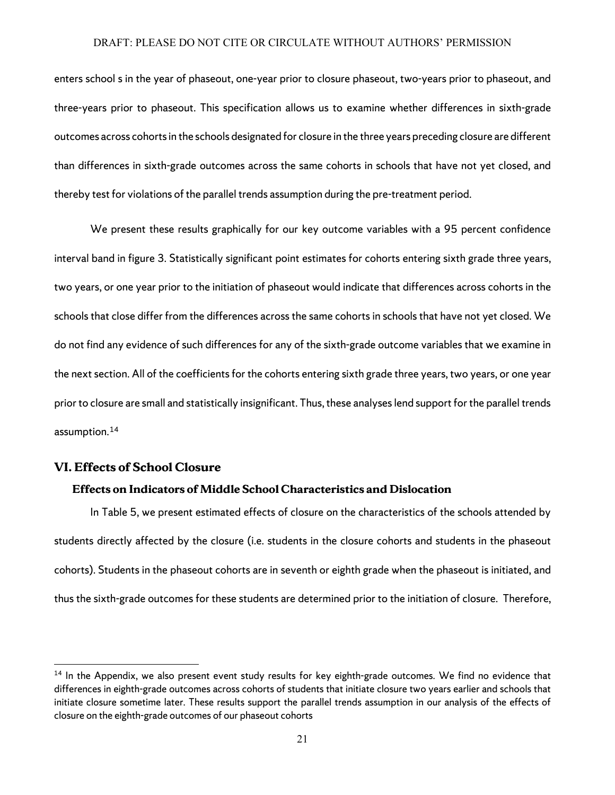enters school s in the year of phaseout, one-year prior to closure phaseout, two-years prior to phaseout, and three-years prior to phaseout. This specification allows us to examine whether differences in sixth-grade outcomes across cohorts in the schools designated for closure in the three years preceding closure are different than differences in sixth-grade outcomes across the same cohorts in schools that have not yet closed, and thereby test for violations of the parallel trends assumption during the pre-treatment period.

We present these results graphically for our key outcome variables with a 95 percent confidence interval band in figure 3. Statistically significant point estimates for cohorts entering sixth grade three years, two years, or one year prior to the initiation of phaseout would indicate that differences across cohorts in the schools that close differ from the differences across the same cohorts in schools that have not yet closed. We do not find any evidence of such differences for any of the sixth-grade outcome variables that we examine in the next section. All of the coefficients for the cohorts entering sixth grade three years, two years, or one year prior to closure are small and statistically insignificant. Thus, these analyseslend support for the parallel trends assumption.[14](#page-23-0)

## **VI. Effects of School Closure**

l

#### **Effects on Indicators of Middle School Characteristics and Dislocation**

In Table 5, we present estimated effects of closure on the characteristics of the schools attended by students directly affected by the closure (i.e. students in the closure cohorts and students in the phaseout cohorts). Students in the phaseout cohorts are in seventh or eighth grade when the phaseout is initiated, and thus the sixth-grade outcomes for these students are determined prior to the initiation of closure. Therefore,

<span id="page-23-0"></span><sup>&</sup>lt;sup>14</sup> In the Appendix, we also present event study results for key eighth-grade outcomes. We find no evidence that differences in eighth-grade outcomes across cohorts of students that initiate closure two years earlier and schools that initiate closure sometime later. These results support the parallel trends assumption in our analysis of the effects of closure on the eighth-grade outcomes of our phaseout cohorts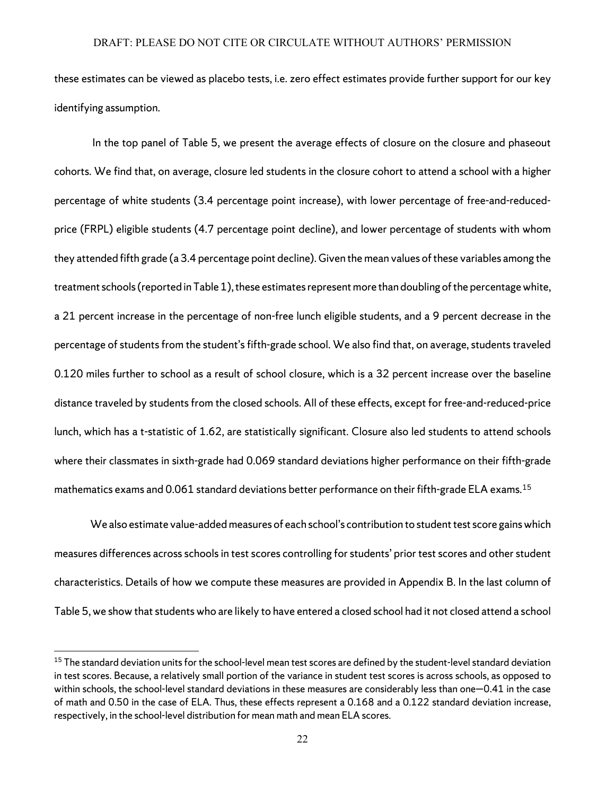these estimates can be viewed as placebo tests, i.e. zero effect estimates provide further support for our key identifying assumption.

In the top panel of Table 5, we present the average effects of closure on the closure and phaseout cohorts. We find that, on average, closure led students in the closure cohort to attend a school with a higher percentage of white students (3.4 percentage point increase), with lower percentage of free-and-reducedprice (FRPL) eligible students (4.7 percentage point decline), and lower percentage of students with whom they attended fifth grade (a 3.4 percentage point decline). Given the mean values of these variables among the treatment schools (reported in Table 1), these estimates represent more than doubling of the percentage white, a 21 percent increase in the percentage of non-free lunch eligible students, and a 9 percent decrease in the percentage of students from the student's fifth-grade school. We also find that, on average, students traveled 0.120 miles further to school as a result of school closure, which is a 32 percent increase over the baseline distance traveled by students from the closed schools. All of these effects, except for free-and-reduced-price lunch, which has a t-statistic of 1.62, are statistically significant. Closure also led students to attend schools where their classmates in sixth-grade had 0.069 standard deviations higher performance on their fifth-grade mathematics exams and 0.061 standard deviations better performance on their fifth-grade ELA exams.<sup>[15](#page-24-0)</sup>

We also estimate value-added measures of each school's contribution to student test score gains which measures differences across schools in test scores controlling for students' prior test scores and other student characteristics. Details of how we compute these measures are provided in Appendix B. In the last column of Table 5, we show that students who are likely to have entered a closed school had it not closed attend a school

 $\overline{a}$ 

<span id="page-24-0"></span><sup>&</sup>lt;sup>15</sup> The standard deviation units for the school-level mean test scores are defined by the student-level standard deviation in test scores. Because, a relatively small portion of the variance in student test scores is across schools, as opposed to within schools, the school-level standard deviations in these measures are considerably less than one—0.41 in the case of math and 0.50 in the case of ELA. Thus, these effects represent a 0.168 and a 0.122 standard deviation increase, respectively, in the school-level distribution for mean math and mean ELA scores.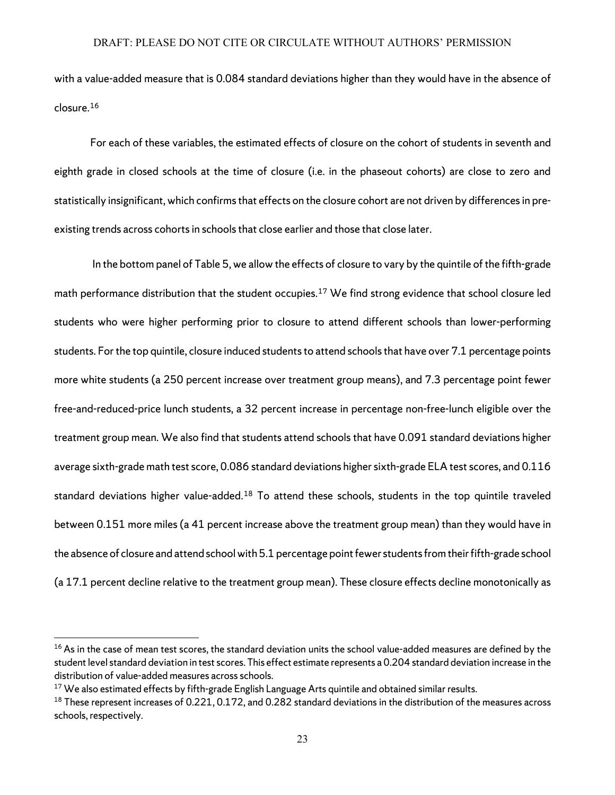with a value-added measure that is 0.084 standard deviations higher than they would have in the absence of closure.[16](#page-25-0)

For each of these variables, the estimated effects of closure on the cohort of students in seventh and eighth grade in closed schools at the time of closure (i.e. in the phaseout cohorts) are close to zero and statistically insignificant, which confirms that effects on the closure cohort are not driven by differencesin preexisting trends across cohorts in schools that close earlier and those that close later.

In the bottom panel of Table 5, we allow the effects of closure to vary by the quintile of the fifth-grade math performance distribution that the student occupies.<sup>[17](#page-25-1)</sup> We find strong evidence that school closure led students who were higher performing prior to closure to attend different schools than lower-performing students. For the top quintile, closure induced students to attend schools that have over 7.1 percentage points more white students (a 250 percent increase over treatment group means), and 7.3 percentage point fewer free-and-reduced-price lunch students, a 32 percent increase in percentage non-free-lunch eligible over the treatment group mean. We also find that students attend schools that have 0.091 standard deviations higher average sixth-grade math test score, 0.086 standard deviations higher sixth-grade ELA test scores, and 0.116 standard deviations higher value-added.<sup>[18](#page-25-2)</sup> To attend these schools, students in the top quintile traveled between 0.151 more miles(a 41 percent increase above the treatment group mean) than they would have in the absence of closure and attend school with 5.1 percentage point fewer students from their fifth-grade school (a 17.1 percent decline relative to the treatment group mean). These closure effects decline monotonically as

<span id="page-25-0"></span> $16$ As in the case of mean test scores, the standard deviation units the school value-added measures are defined by the student level standard deviation in test scores. This effect estimate represents a 0.204 standard deviation increase in the distribution of value-added measures across schools.

<span id="page-25-1"></span><sup>&</sup>lt;sup>17</sup> We also estimated effects by fifth-grade English Language Arts quintile and obtained similar results.

<span id="page-25-2"></span> $18$  These represent increases of 0.221, 0.172, and 0.282 standard deviations in the distribution of the measures across schools, respectively.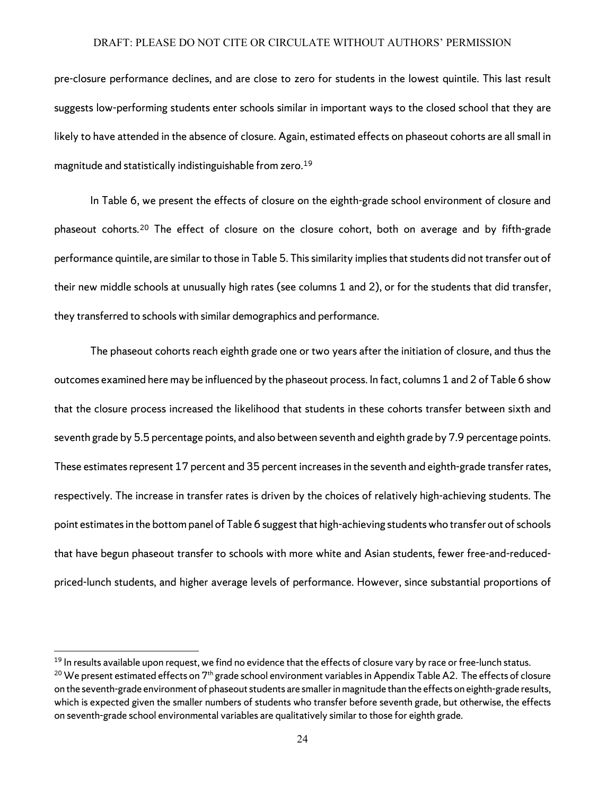pre-closure performance declines, and are close to zero for students in the lowest quintile. This last result suggests low-performing students enter schools similar in important ways to the closed school that they are likely to have attended in the absence of closure. Again, estimated effects on phaseout cohorts are all small in magnitude and statistically indistinguishable from zero.[19](#page-26-0)

In Table 6, we present the effects of closure on the eighth-grade school environment of closure and phaseout cohorts.[20](#page-26-1) The effect of closure on the closure cohort, both on average and by fifth-grade performance quintile, are similar to those in Table 5. This similarity implies that students did not transfer out of their new middle schools at unusually high rates (see columns 1 and 2), or for the students that did transfer, they transferred to schools with similar demographics and performance.

The phaseout cohorts reach eighth grade one or two years after the initiation of closure, and thus the outcomes examined here may be influenced by the phaseout process. In fact, columns 1 and 2 of Table 6 show that the closure process increased the likelihood that students in these cohorts transfer between sixth and seventh grade by 5.5 percentage points, and also between seventh and eighth grade by 7.9 percentage points. These estimates represent 17 percent and 35 percent increases in the seventh and eighth-grade transfer rates, respectively. The increase in transfer rates is driven by the choices of relatively high-achieving students. The point estimates in the bottom panel of Table 6 suggest that high-achieving studentswho transfer out of schools that have begun phaseout transfer to schools with more white and Asian students, fewer free-and-reducedpriced-lunch students, and higher average levels of performance. However, since substantial proportions of

 $\overline{a}$ 

<span id="page-26-1"></span><span id="page-26-0"></span><sup>&</sup>lt;sup>19</sup> In results available upon request, we find no evidence that the effects of closure vary by race or free-lunch status. <sup>20</sup> We present estimated effects on 7<sup>th</sup> grade school environment variables in Appendix Table A2. The effects of closure on the seventh-grade environment of phaseout students are smaller in magnitude than the effects on eighth-grade results, which is expected given the smaller numbers of students who transfer before seventh grade, but otherwise, the effects on seventh-grade school environmental variables are qualitatively similar to those for eighth grade.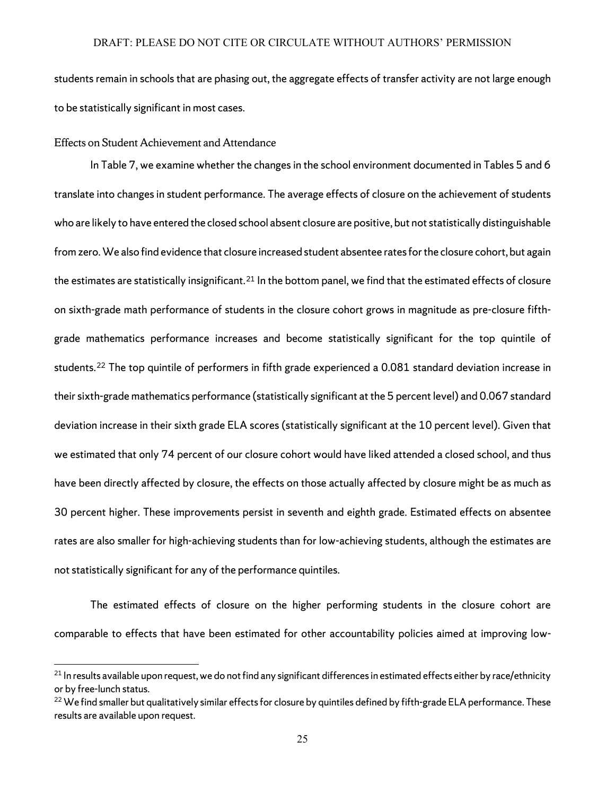students remain in schools that are phasing out, the aggregate effects of transfer activity are not large enough to be statistically significant in most cases.

#### Effects on Student Achievement and Attendance

l

In Table 7, we examine whether the changes in the school environment documented in Tables 5 and 6 translate into changes in student performance. The average effects of closure on the achievement of students who are likely to have entered the closed school absent closure are positive, but not statistically distinguishable from zero. We also find evidence that closure increased student absentee rates for the closure cohort, but again the estimates are statistically insignificant.<sup>[21](#page-27-0)</sup> In the bottom panel, we find that the estimated effects of closure on sixth-grade math performance of students in the closure cohort grows in magnitude as pre-closure fifthgrade mathematics performance increases and become statistically significant for the top quintile of students.<sup>[22](#page-27-1)</sup> The top quintile of performers in fifth grade experienced a 0.081 standard deviation increase in their sixth-grade mathematics performance (statistically significant at the 5 percent level) and 0.067 standard deviation increase in their sixth grade ELA scores (statistically significant at the 10 percent level). Given that we estimated that only 74 percent of our closure cohort would have liked attended a closed school, and thus have been directly affected by closure, the effects on those actually affected by closure might be as much as 30 percent higher. These improvements persist in seventh and eighth grade. Estimated effects on absentee rates are also smaller for high-achieving students than for low-achieving students, although the estimates are not statistically significant for any of the performance quintiles.

The estimated effects of closure on the higher performing students in the closure cohort are comparable to effects that have been estimated for other accountability policies aimed at improving low-

<span id="page-27-0"></span> $21$  In results available upon request, we do not find any significant differences in estimated effects either by race/ethnicity or by free-lunch status.

<span id="page-27-1"></span> $22$  We find smaller but qualitatively similar effects for closure by quintiles defined by fifth-grade ELA performance. These results are available upon request.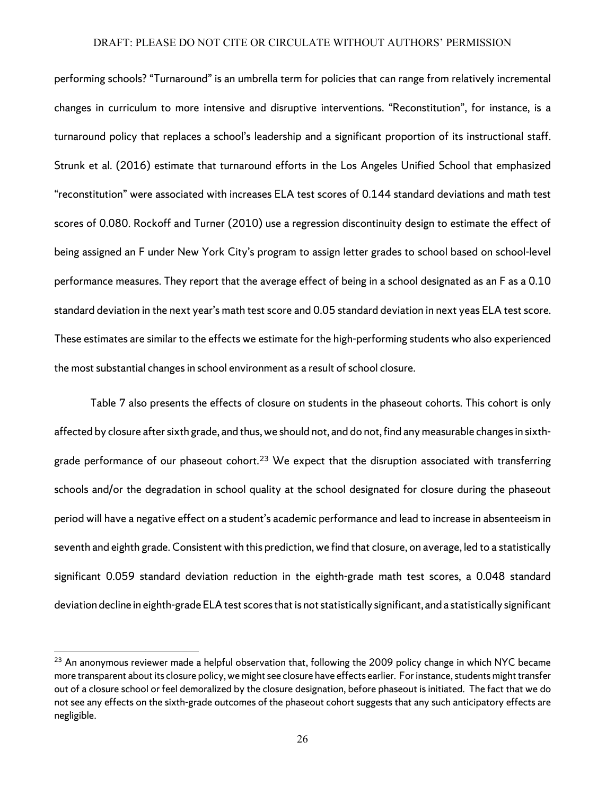performing schools? "Turnaround" is an umbrella term for policies that can range from relatively incremental changes in curriculum to more intensive and disruptive interventions. "Reconstitution", for instance, is a turnaround policy that replaces a school's leadership and a significant proportion of its instructional staff. Strunk et al. (2016) estimate that turnaround efforts in the Los Angeles Unified School that emphasized "reconstitution" were associated with increases ELA test scores of 0.144 standard deviations and math test scores of 0.080. Rockoff and Turner (2010) use a regression discontinuity design to estimate the effect of being assigned an F under New York City's program to assign letter grades to school based on school-level performance measures. They report that the average effect of being in a school designated as an F as a 0.10 standard deviation in the next year's math test score and 0.05 standard deviation in next yeas ELA test score. These estimates are similar to the effects we estimate for the high-performing students who also experienced the most substantial changes in school environment as a result of school closure.

Table 7 also presents the effects of closure on students in the phaseout cohorts. This cohort is only affected by closure after sixth grade, and thus, we should not, and do not, find any measurable changes in sixth-grade performance of our phaseout cohort.<sup>[23](#page-28-0)</sup> We expect that the disruption associated with transferring schools and/or the degradation in school quality at the school designated for closure during the phaseout period will have a negative effect on a student's academic performance and lead to increase in absenteeism in seventh and eighth grade. Consistent with this prediction, we find that closure, on average, led to a statistically significant 0.059 standard deviation reduction in the eighth-grade math test scores, a 0.048 standard deviation decline in eighth-grade ELA test scoresthat is not statistically significant, and a statistically significant

 $\overline{a}$ 

<span id="page-28-0"></span> $23$  An anonymous reviewer made a helpful observation that, following the 2009 policy change in which NYC became more transparent about its closure policy, we might see closure have effects earlier. For instance, students might transfer out of a closure school or feel demoralized by the closure designation, before phaseout is initiated. The fact that we do not see any effects on the sixth-grade outcomes of the phaseout cohort suggests that any such anticipatory effects are negligible.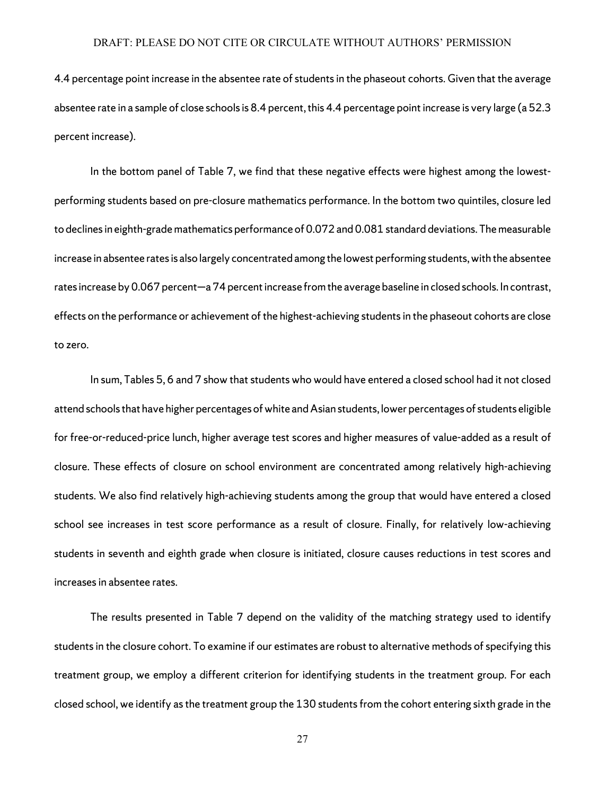4.4 percentage point increase in the absentee rate of students in the phaseout cohorts. Given that the average absentee rate in a sample of close schools is 8.4 percent, this 4.4 percentage point increase is very large (a 52.3 percent increase).

In the bottom panel of Table 7, we find that these negative effects were highest among the lowestperforming students based on pre-closure mathematics performance. In the bottom two quintiles, closure led to declines in eighth-grade mathematics performance of 0.072 and 0.081 standard deviations. The measurable increase in absentee rates is also largely concentrated among the lowest performing students, with the absentee rates increase by 0.067 percent—a74 percent increase from the average baseline in closed schools. In contrast, effects on the performance or achievement of the highest-achieving students in the phaseout cohorts are close to zero.

In sum, Tables 5, 6 and 7 show that students who would have entered a closed school had it not closed attend schools that have higher percentages of white and Asian students, lower percentages of students eligible for free-or-reduced-price lunch, higher average test scores and higher measures of value-added as a result of closure. These effects of closure on school environment are concentrated among relatively high-achieving students. We also find relatively high-achieving students among the group that would have entered a closed school see increases in test score performance as a result of closure. Finally, for relatively low-achieving students in seventh and eighth grade when closure is initiated, closure causes reductions in test scores and increases in absentee rates.

The results presented in Table 7 depend on the validity of the matching strategy used to identify students in the closure cohort. To examine if our estimates are robust to alternative methods of specifying this treatment group, we employ a different criterion for identifying students in the treatment group. For each closed school, we identify as the treatment group the 130 students from the cohort entering sixth grade in the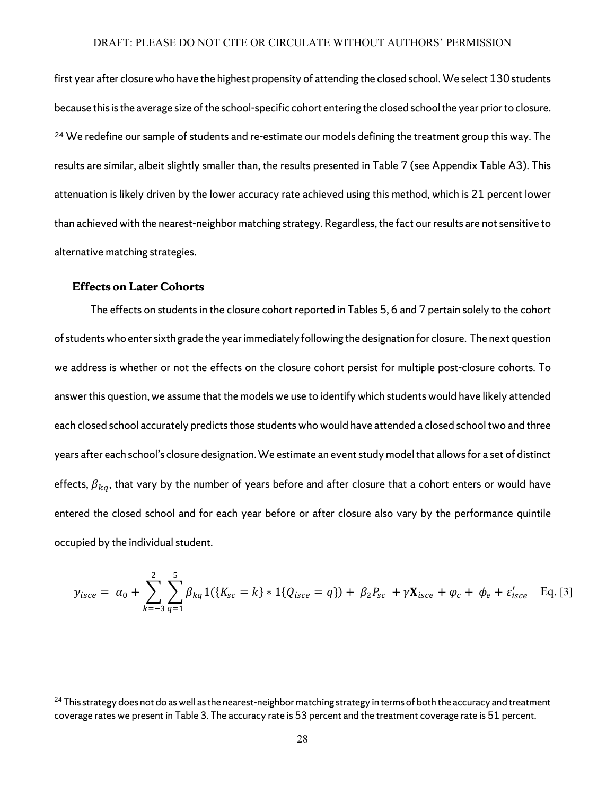first year after closure who have the highest propensity of attending the closed school. We select 130 students because this is the average size of the school-specific cohort entering the closed school the year prior to closure. <sup>[24](#page-30-0)</sup> We redefine our sample of students and re-estimate our models defining the treatment group this way. The results are similar, albeit slightly smaller than, the results presented in Table 7 (see Appendix Table A3). This attenuation is likely driven by the lower accuracy rate achieved using this method, which is 21 percent lower than achieved with the nearest-neighbor matching strategy. Regardless, the fact our results are not sensitive to alternative matching strategies.

#### **Effects on Later Cohorts**

 $\overline{\phantom{a}}$ 

The effects on students in the closure cohort reported in Tables 5, 6 and 7 pertain solely to the cohort of students who enter sixth grade the year immediately following the designation for closure. The next question we address is whether or not the effects on the closure cohort persist for multiple post-closure cohorts. To answer this question, we assume that the models we use to identify which students would have likely attended each closed school accurately predicts those students who would have attended a closed school two and three years after each school's closure designation.We estimate an event study modelthat allows for a set of distinct effects,  $\beta_{kq}$ , that vary by the number of years before and after closure that a cohort enters or would have entered the closed school and for each year before or after closure also vary by the performance quintile occupied by the individual student.

$$
y_{isce} = \alpha_0 + \sum_{k=-3}^{2} \sum_{q=1}^{5} \beta_{kq} 1({K_{sc} = k} * 1{Q_{isce} = q}) + \beta_2 P_{sc} + \gamma \mathbf{X}_{isce} + \varphi_c + \varphi_e + \varepsilon'_{isce} \quad \text{Eq. [3]}
$$

<span id="page-30-0"></span> $^{24}$  This strategy does not do as well as the nearest-neighbor matching strategy in terms of both the accuracy and treatment coverage rates we present in Table 3. The accuracy rate is 53 percent and the treatment coverage rate is 51 percent.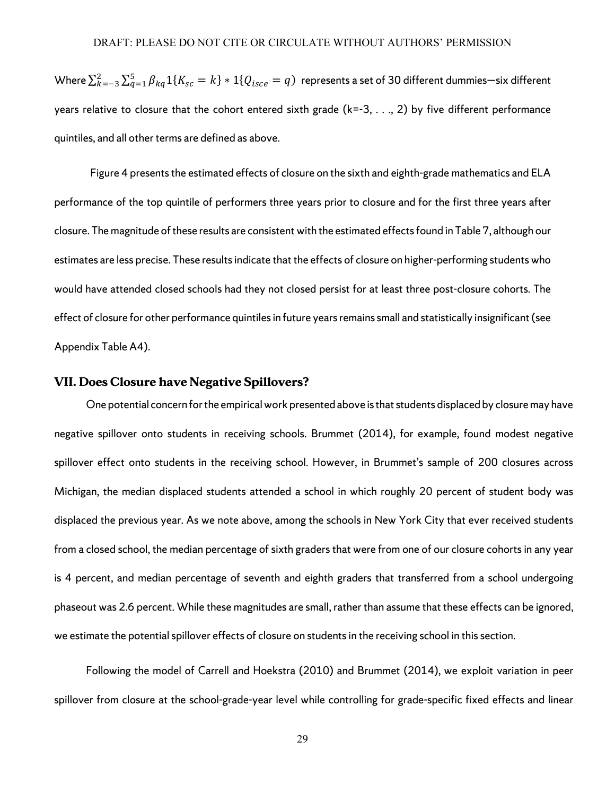Where  $\sum_{k=-3}^{2}\sum_{q=1}^{5}\beta_{kq}1\{K_{sc}=k\}*1\{Q_{isce}=q\}$  represents a set of 30 different dummies—six different years relative to closure that the cohort entered sixth grade (k=-3, . . ., 2) by five different performance quintiles, and all other terms are defined as above.

Figure 4 presents the estimated effects of closure on the sixth and eighth-grade mathematics and ELA performance of the top quintile of performers three years prior to closure and for the first three years after closure. The magnitude of these results are consistent with the estimated effectsfound in Table 7, although our estimates are less precise. These results indicate that the effects of closure on higher-performing students who would have attended closed schools had they not closed persist for at least three post-closure cohorts. The effect of closure for other performance quintilesin future years remains small and statistically insignificant (see Appendix Table A4).

## **VII. Does Closure have Negative Spillovers?**

One potential concern forthe empirical work presented above is that students displaced by closure may have negative spillover onto students in receiving schools. Brummet (2014), for example, found modest negative spillover effect onto students in the receiving school. However, in Brummet's sample of 200 closures across Michigan, the median displaced students attended a school in which roughly 20 percent of student body was displaced the previous year. As we note above, among the schools in New York City that ever received students from a closed school, the median percentage of sixth graders that were from one of our closure cohorts in any year is 4 percent, and median percentage of seventh and eighth graders that transferred from a school undergoing phaseout was 2.6 percent. While these magnitudes are small, rather than assume that these effects can be ignored, we estimate the potential spillover effects of closure on students in the receiving school in this section.

Following the model of Carrell and Hoekstra (2010) and Brummet (2014), we exploit variation in peer spillover from closure at the school-grade-year level while controlling for grade-specific fixed effects and linear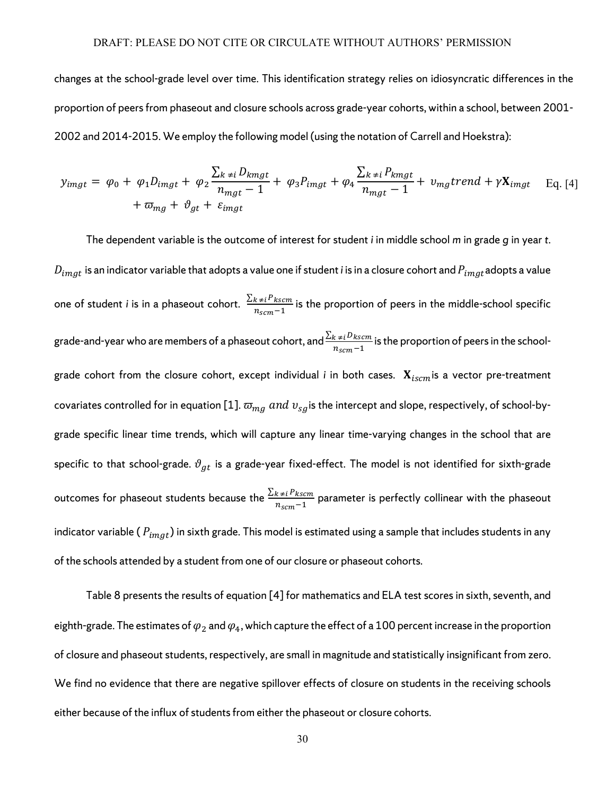changes at the school-grade level over time. This identification strategy relies on idiosyncratic differences in the proportion of peers from phaseout and closure schools across grade-year cohorts, within a school, between 2001- 2002 and 2014-2015. We employ the following model (using the notation of Carrell and Hoekstra):

$$
y_{imgt} = \varphi_0 + \varphi_1 D_{imgt} + \varphi_2 \frac{\sum_{k \neq i} D_{kmgt}}{n_{mgt} - 1} + \varphi_3 P_{imgt} + \varphi_4 \frac{\sum_{k \neq i} P_{kmgt}}{n_{mgt} - 1} + \upsilon_{mg} trend + \gamma \mathbf{X}_{imgt} \quad \text{Eq. [4]}
$$

$$
+ \varpi_{mg} + \vartheta_{gt} + \varepsilon_{imgt}
$$

The dependent variable is the outcome of interest for student *i* in middle school *m* in grade *g* in year *t.*   $D_{imgt}$  is an indicator variable that adopts a value one if student *i* is in a closure cohort and  $P_{imgt}$ adopts a value one of student *i* is in a phaseout cohort.  $\frac{\sum_{k\neq i}P_{kscm}}{n_{scm}-1}$  is the proportion of peers in the middle-school specific grade-and-year who are members of a phaseout cohort, and  $\frac{\sum_{k\neq i}D_{kscm}}{n_{scm}-1}$  is the proportion of peers in the schoolgrade cohort from the closure cohort, except individual *i* in both cases.  $\mathbf{X}_{iscm}$  is a vector pre-treatment covariates controlled for in equation [1].  $\bar{w}_{mq}$  and  $v_{sq}$  is the intercept and slope, respectively, of school-bygrade specific linear time trends, which will capture any linear time-varying changes in the school that are specific to that school-grade.  $\vartheta_{gt}$  is a grade-year fixed-effect. The model is not identified for sixth-grade outcomes for phaseout students because the  $\frac{\sum_{k\neq i}P_{kscm}}{n_{scm}-1}$  parameter is perfectly collinear with the phaseout indicator variable (  $P_{imgt}$ ) in sixth grade. This model is estimated using a sample that includes students in any of the schools attended by a student from one of our closure or phaseout cohorts.

Table 8 presents the results of equation [4] for mathematics and ELA test scores in sixth, seventh, and eighth-grade. The estimates of  $\varphi_2$  and  $\varphi_4$ , which capture the effect of a 100 percent increase in the proportion of closure and phaseout students, respectively, are small in magnitude and statistically insignificant from zero. We find no evidence that there are negative spillover effects of closure on students in the receiving schools either because of the influx of students from either the phaseout or closure cohorts.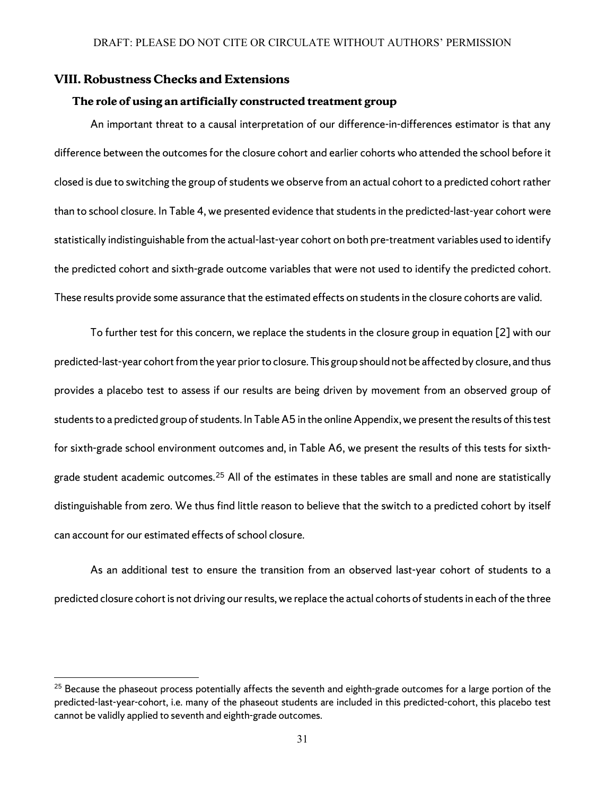## **VIII. Robustness Checks and Extensions**

l

## **The role of using an artificially constructed treatment group**

An important threat to a causal interpretation of our difference-in-differences estimator is that any difference between the outcomes for the closure cohort and earlier cohorts who attended the school before it closed is due to switching the group of students we observe from an actual cohort to a predicted cohort rather than to school closure. In Table 4, we presented evidence that students in the predicted-last-year cohort were statistically indistinguishable from the actual-last-year cohort on both pre-treatment variables used to identify the predicted cohort and sixth-grade outcome variables that were not used to identify the predicted cohort. These results provide some assurance that the estimated effects on students in the closure cohorts are valid.

To further test for this concern, we replace the students in the closure group in equation [2] with our predicted-last-year cohort from the year prior to closure. This group should not be affected by closure, and thus provides a placebo test to assess if our results are being driven by movement from an observed group of students to a predicted group of students. In Table A5 in the online Appendix, we present the results of this test for sixth-grade school environment outcomes and, in Table A6, we present the results of this tests for sixthgrade student academic outcomes. [25](#page-33-0) All of the estimates in these tables are small and none are statistically distinguishable from zero. We thus find little reason to believe that the switch to a predicted cohort by itself can account for our estimated effects of school closure.

As an additional test to ensure the transition from an observed last-year cohort of students to a predicted closure cohort is not driving our results, we replace the actual cohorts of students in each of the three

<span id="page-33-0"></span><sup>&</sup>lt;sup>25</sup> Because the phaseout process potentially affects the seventh and eighth-grade outcomes for a large portion of the predicted-last-year-cohort, i.e. many of the phaseout students are included in this predicted-cohort, this placebo test cannot be validly applied to seventh and eighth-grade outcomes.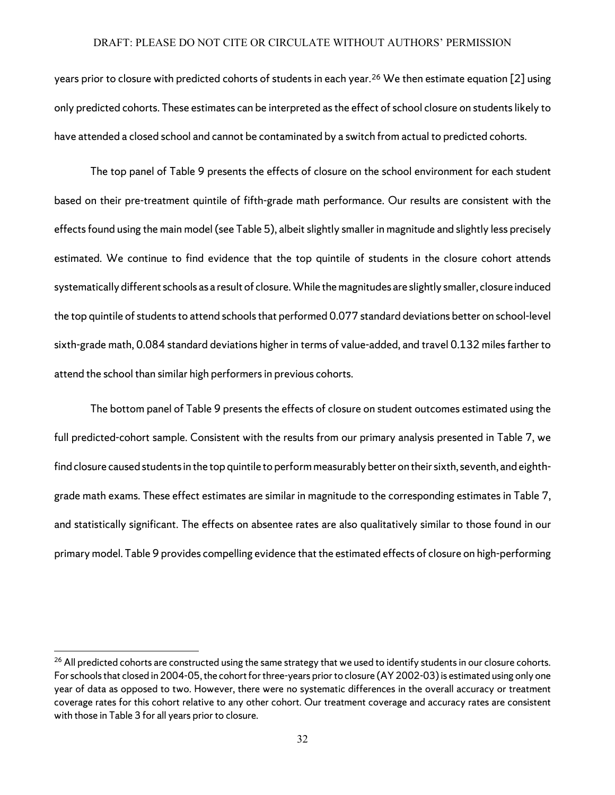years prior to closure with predicted cohorts of students in each year. [26](#page-34-0) We then estimate equation [2] using only predicted cohorts. These estimates can be interpreted as the effect of school closure on students likely to have attended a closed school and cannot be contaminated by a switch from actual to predicted cohorts.

The top panel of Table 9 presents the effects of closure on the school environment for each student based on their pre-treatment quintile of fifth-grade math performance. Our results are consistent with the effects found using the main model (see Table 5), albeit slightly smaller in magnitude and slightly less precisely estimated. We continue to find evidence that the top quintile of students in the closure cohort attends systematically different schools as a result of closure. While the magnitudes are slightly smaller, closure induced the top quintile of students to attend schools that performed 0.077 standard deviations better on school-level sixth-grade math, 0.084 standard deviations higher in terms of value-added, and travel 0.132 miles farther to attend the school than similar high performers in previous cohorts.

The bottom panel of Table 9 presents the effects of closure on student outcomes estimated using the full predicted-cohort sample. Consistent with the results from our primary analysis presented in Table 7, we find closure caused students in the top quintile to perform measurably better on their sixth, seventh, and eighthgrade math exams. These effect estimates are similar in magnitude to the corresponding estimates in Table 7, and statistically significant. The effects on absentee rates are also qualitatively similar to those found in our primary model. Table 9 provides compelling evidence that the estimated effects of closure on high-performing

 $\overline{a}$ 

<span id="page-34-0"></span><sup>&</sup>lt;sup>26</sup> All predicted cohorts are constructed using the same strategy that we used to identify students in our closure cohorts. For schools that closed in 2004-05, the cohort for three-years prior to closure (AY 2002-03) is estimated using only one year of data as opposed to two. However, there were no systematic differences in the overall accuracy or treatment coverage rates for this cohort relative to any other cohort. Our treatment coverage and accuracy rates are consistent with those in Table 3 for all years prior to closure.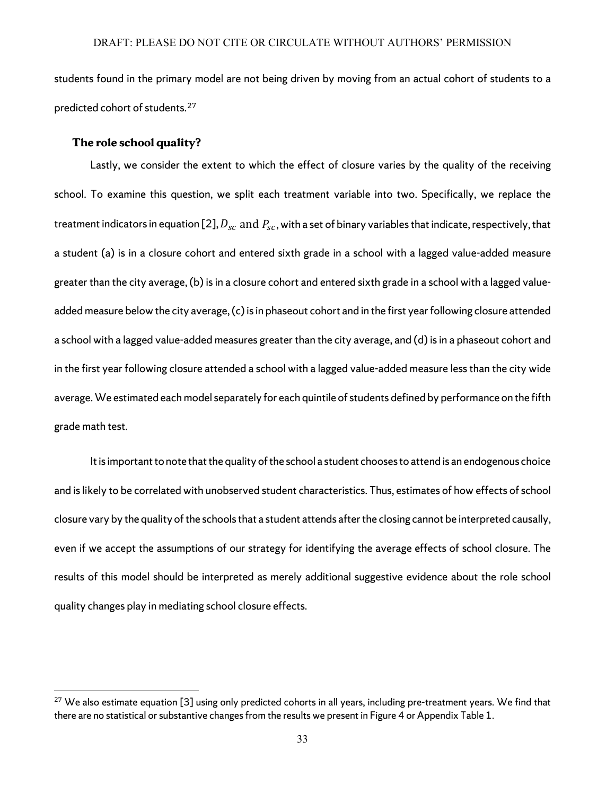students found in the primary model are not being driven by moving from an actual cohort of students to a predicted cohort of students.[27](#page-35-0)

#### **The role school quality?**

 $\overline{\phantom{a}}$ 

Lastly, we consider the extent to which the effect of closure varies by the quality of the receiving school. To examine this question, we split each treatment variable into two. Specifically, we replace the treatment indicators in equation [2],  $D_{sc}$  and  $P_{sc}$ , with a set of binary variables that indicate, respectively, that a student (a) is in a closure cohort and entered sixth grade in a school with a lagged value-added measure greater than the city average, (b) isin a closure cohort and entered sixth grade in a school with a lagged valueadded measure below the city average, (c) is in phaseout cohort and in the first year following closure attended a school with a lagged value-added measures greater than the city average, and (d) is in a phaseout cohort and in the first year following closure attended a school with a lagged value-added measure less than the city wide average. We estimated each model separately for each quintile of students defined by performance on the fifth grade math test.

It is important to note that the quality of the school a student chooses to attend is an endogenous choice and is likely to be correlated with unobserved student characteristics. Thus, estimates of how effects of school closure vary by the quality of the schools that a student attends after the closing cannot be interpreted causally, even if we accept the assumptions of our strategy for identifying the average effects of school closure. The results of this model should be interpreted as merely additional suggestive evidence about the role school quality changes play in mediating school closure effects.

<span id="page-35-0"></span> $27$  We also estimate equation [3] using only predicted cohorts in all years, including pre-treatment years. We find that there are no statistical or substantive changes from the results we present in Figure 4 or Appendix Table 1.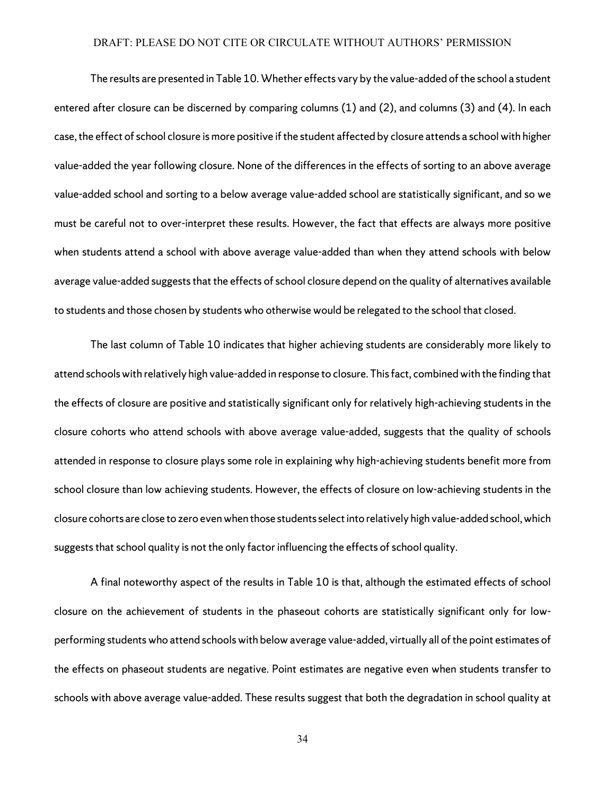The results are presented in Table 10. Whether effects vary by the value-added of the school a student entered after closure can be discerned by comparing columns (1) and (2), and columns (3) and (4). In each case, the effect of school closure is more positive if the student affected by closure attends a school with higher value-added the year following closure. None of the differences in the effects of sorting to an above average value-added school and sorting to a below average value-added school are statistically significant, and so we must be careful not to over-interpret these results. However, the fact that effects are always more positive when students attend a school with above average value-added than when they attend schools with below average value-added suggests that the effects of school closure depend on the quality of alternatives available to students and those chosen by students who otherwise would be relegated to the school that closed.

The last column of Table 10 indicates that higher achieving students are considerably more likely to attend schools with relatively high value-added in response to closure. This fact, combined with the finding that the effects of closure are positive and statistically significant only for relatively high-achieving students in the closure cohorts who attend schools with above average value-added, suggests that the quality of schools attended in response to closure plays some role in explaining why high-achieving students benefit more from school closure than low achieving students. However, the effects of closure on low-achieving students in the closure cohorts are close to zero even when those students select into relatively high value-added school, which suggests that school quality is not the only factor influencing the effects of school quality.

A final noteworthy aspect of the results in Table 10 is that, although the estimated effects of school closure on the achievement of students in the phaseout cohorts are statistically significant only for lowperforming students who attend schools with below average value-added, virtually all of the point estimates of the effects on phaseout students are negative. Point estimates are negative even when students transfer to schools with above average value-added. These results suggest that both the degradation in school quality at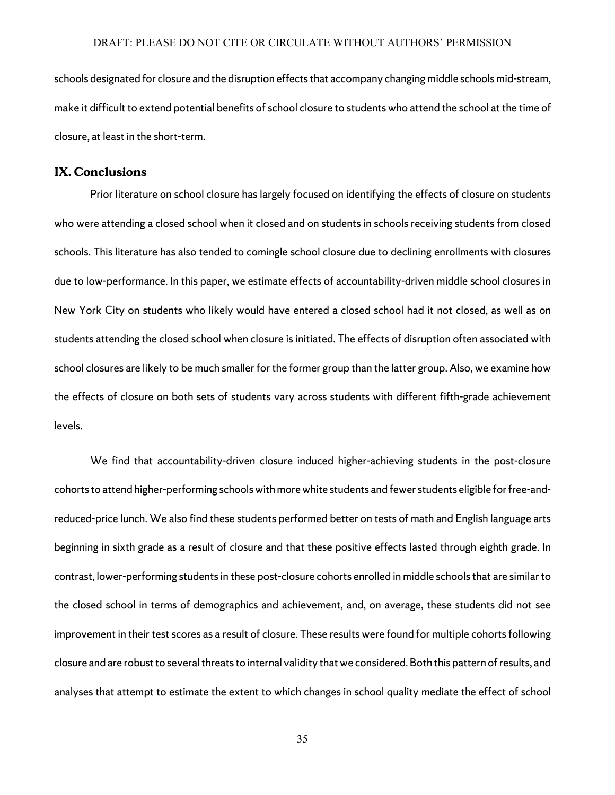schools designated for closure and the disruption effects that accompany changing middle schools mid-stream, make it difficult to extend potential benefits of school closure to students who attend the school at the time of closure, at least in the short-term.

## **IX. Conclusions**

Prior literature on school closure has largely focused on identifying the effects of closure on students who were attending a closed school when it closed and on students in schools receiving students from closed schools. This literature has also tended to comingle school closure due to declining enrollments with closures due to low-performance. In this paper, we estimate effects of accountability-driven middle school closures in New York City on students who likely would have entered a closed school had it not closed, as well as on students attending the closed school when closure is initiated. The effects of disruption often associated with school closures are likely to be much smaller for the former group than the latter group. Also, we examine how the effects of closure on both sets of students vary across students with different fifth-grade achievement levels.

We find that accountability-driven closure induced higher-achieving students in the post-closure cohorts to attend higher-performing schools with more white students and fewer students eligible for free-andreduced-price lunch. We also find these students performed better on tests of math and English language arts beginning in sixth grade as a result of closure and that these positive effects lasted through eighth grade. In contrast, lower-performing students in these post-closure cohorts enrolled in middle schools that are similar to the closed school in terms of demographics and achievement, and, on average, these students did not see improvement in their test scores as a result of closure. These results were found for multiple cohorts following closure and are robust to several threats to internal validity thatwe considered. Both this pattern of results, and analyses that attempt to estimate the extent to which changes in school quality mediate the effect of school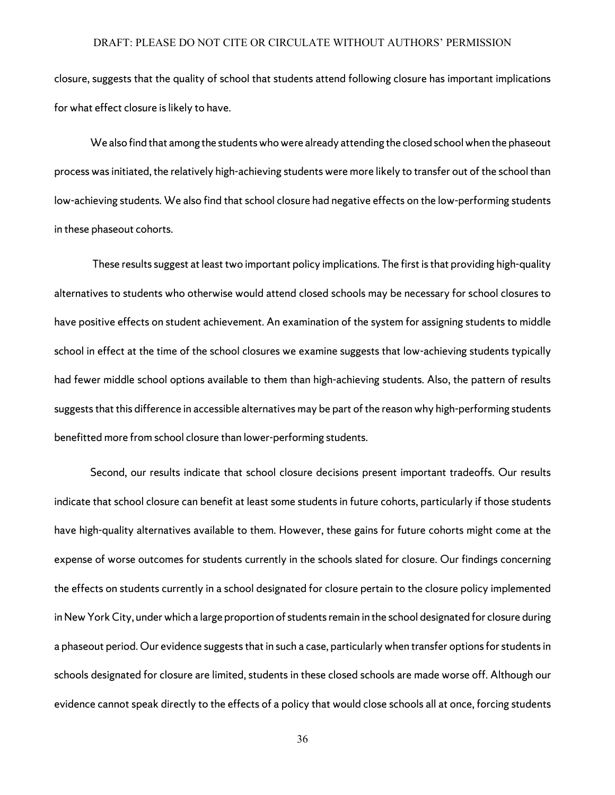closure, suggests that the quality of school that students attend following closure has important implications for what effect closure is likely to have.

We also find that among the students who were already attending the closed school when the phaseout process was initiated, the relatively high-achieving students were more likely to transfer out of the school than low-achieving students. We also find that school closure had negative effects on the low-performing students in these phaseout cohorts.

These results suggest at least two important policy implications. The first is that providing high-quality alternatives to students who otherwise would attend closed schools may be necessary for school closures to have positive effects on student achievement. An examination of the system for assigning students to middle school in effect at the time of the school closures we examine suggests that low-achieving students typically had fewer middle school options available to them than high-achieving students. Also, the pattern of results suggests that this difference in accessible alternatives may be part of the reason why high-performing students benefitted more from school closure than lower-performing students.

Second, our results indicate that school closure decisions present important tradeoffs. Our results indicate that school closure can benefit at least some students in future cohorts, particularly if those students have high-quality alternatives available to them. However, these gains for future cohorts might come at the expense of worse outcomes for students currently in the schools slated for closure. Our findings concerning the effects on students currently in a school designated for closure pertain to the closure policy implemented in New York City, under which a large proportion of students remain in the school designated for closure during a phaseout period. Our evidence suggeststhat in such a case, particularlywhen transfer options for students in schools designated for closure are limited, students in these closed schools are made worse off. Although our evidence cannot speak directly to the effects of a policy that would close schools all at once, forcing students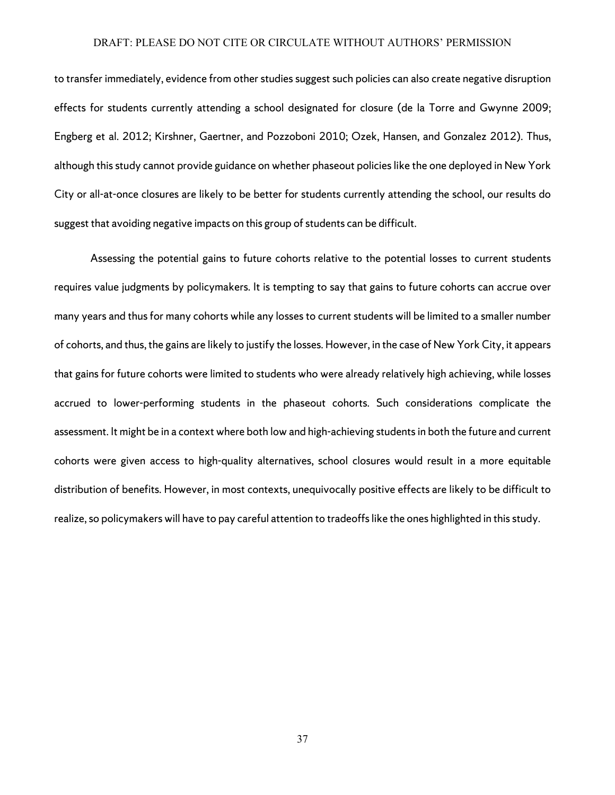to transfer immediately, evidence from other studies suggest such policies can also create negative disruption effects for students currently attending a school designated for closure (de la Torre and Gwynne 2009; Engberg et al. 2012; Kirshner, Gaertner, and Pozzoboni 2010; Ozek, Hansen, and Gonzalez 2012). Thus, although this study cannot provide guidance on whether phaseout policies like the one deployed in New York City or all-at-once closures are likely to be better for students currently attending the school, our results do suggest that avoiding negative impacts on this group of students can be difficult.

Assessing the potential gains to future cohorts relative to the potential losses to current students requires value judgments by policymakers. It is tempting to say that gains to future cohorts can accrue over many years and thus for many cohorts while any losses to current students will be limited to a smaller number of cohorts, and thus, the gains are likely to justify the losses. However, in the case of New York City, it appears that gains for future cohorts were limited to students who were already relatively high achieving, while losses accrued to lower-performing students in the phaseout cohorts. Such considerations complicate the assessment. It might be in a context where both low and high-achieving students in both the future and current cohorts were given access to high-quality alternatives, school closures would result in a more equitable distribution of benefits. However, in most contexts, unequivocally positive effects are likely to be difficult to realize, so policymakers will have to pay careful attention to tradeoffs like the ones highlighted in this study.

37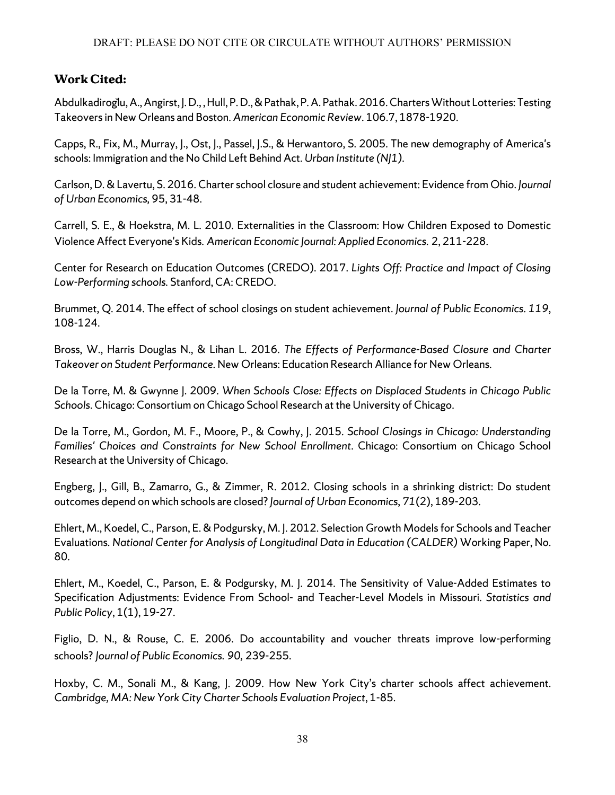## **Work Cited:**

Abdulkadiroğlu, A., Angirst, J.D., , Hull, P.D., &Pathak, P.A. Pathak. 2016.Charters Without Lotteries: Testing Takeovers in New Orleans and Boston. *American Economic Review*. 106.7, 1878-1920.

Capps, R., Fix, M., Murray, J., Ost, J., Passel, J.S., & Herwantoro, S. 2005. The new demography of America's schools: Immigration and the No Child Left Behind Act. *Urban Institute (NJ1)*.

Carlson, D. & Lavertu, S. 2016. Charter school closure and student achievement: Evidence from Ohio. *Journal of Urban Economics,* 95, 31-48.

Carrell, S. E., & Hoekstra, M. L. 2010. Externalities in the Classroom: How Children Exposed to Domestic Violence Affect Everyone's Kids. *American Economic Journal: Applied Economics.* 2, 211-228.

Center for Research on Education Outcomes (CREDO). 2017. *Lights Off: Practice and Impact of Closing Low-Performing schools.* Stanford, CA: CREDO.

Brummet, Q. 2014. The effect of school closings on student achievement. *Journal of Public Economics*. *119*, 108-124.

Bross, W., Harris Douglas N., & Lihan L. 2016. *The Effects of Performance-Based Closure and Charter Takeover on Student Performance.* New Orleans: Education Research Alliance for New Orleans.

De la Torre, M. & Gwynne J. 2009. *When Schools Close: Effects on Displaced Students in Chicago Public Schools*. Chicago: Consortium on Chicago School Research at the University of Chicago.

De la Torre, M., Gordon, M. F., Moore, P., & Cowhy, J. 2015. *School Closings in Chicago: Understanding Families' Choices and Constraints for New School Enrollment*. Chicago: Consortium on Chicago School Research at the University of Chicago.

Engberg, J., Gill, B., Zamarro, G., & Zimmer, R. 2012. Closing schools in a shrinking district: Do student outcomes depend on which schools are closed? *Journal of Urban Economics*, *71*(2), 189-203.

Ehlert, M., Koedel, C., Parson, E. & Podgursky, M. J. 2012. Selection Growth Models for Schools and Teacher Evaluations. *National Center for Analysis of Longitudinal Data in Education (CALDER)* Working Paper, No. 80.

Ehlert, M., Koedel, C., Parson, E. & Podgursky, M. J. 2014. The Sensitivity of Value-Added Estimates to Specification Adjustments: Evidence From School- and Teacher-Level Models in Missouri. *Statistics and Public Policy*, 1(1), 19-27.

Figlio, D. N., & Rouse, C. E. 2006. Do accountability and voucher threats improve low-performing schools? *Journal of Public Economics. 90,* 239-255.

Hoxby, C. M., Sonali M., & Kang, J. 2009. How New York City's charter schools affect achievement. *Cambridge, MA: New York City Charter Schools Evaluation Project*, 1-85.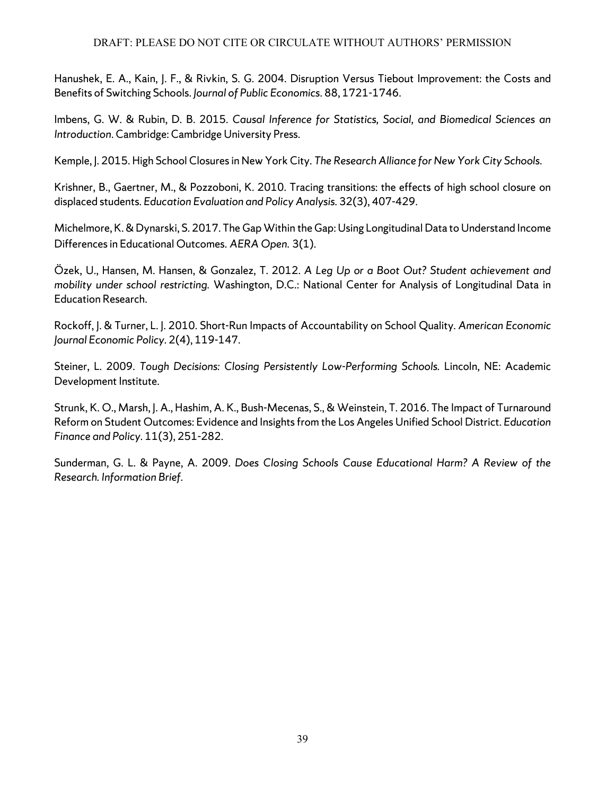Hanushek, E. A., Kain, J. F., & Rivkin, S. G. 2004. Disruption Versus Tiebout Improvement: the Costs and Benefits of Switching Schools. *Journal of Public Economics*. 88, 1721-1746.

Imbens, G. W. & Rubin, D. B. 2015. *Causal Inference for Statistics, Social, and Biomedical Sciences an Introduction*. Cambridge: Cambridge University Press.

Kemple, J. 2015. High School Closures in New York City. *The Research Alliance for New York City Schools*.

Krishner, B., Gaertner, M., & Pozzoboni, K. 2010. Tracing transitions: the effects of high school closure on displaced students. *Education Evaluation and Policy Analysis.* 32(3), 407-429.

Michelmore, K.&Dynarski, S. 2017. The Gap Within the Gap: Using Longitudinal Data to Understand Income Differences in Educational Outcomes. *AERA Open.* 3(1).

Özek, U., Hansen, M. Hansen, & Gonzalez, T. 2012. *A Leg Up or a Boot Out? Student achievement and mobility under school restricting.* Washington, D.C.: National Center for Analysis of Longitudinal Data in Education Research.

Rockoff, J. & Turner, L. J. 2010. Short-Run Impacts of Accountability on School Quality. *American Economic Journal Economic Policy.* 2(4), 119-147.

Steiner, L. 2009. *Tough Decisions: Closing Persistently Low-Performing Schools.* Lincoln, NE: Academic Development Institute.

Strunk, K. O., Marsh, J. A., Hashim, A. K., Bush-Mecenas, S., & Weinstein, T. 2016. The Impact of Turnaround Reform on Student Outcomes: Evidence and Insights from the Los Angeles Unified School District. *Education Finance and Policy.* 11(3), 251-282.

Sunderman, G. L. & Payne, A. 2009. *Does Closing Schools Cause Educational Harm? A Review of the Research. Information Brief*.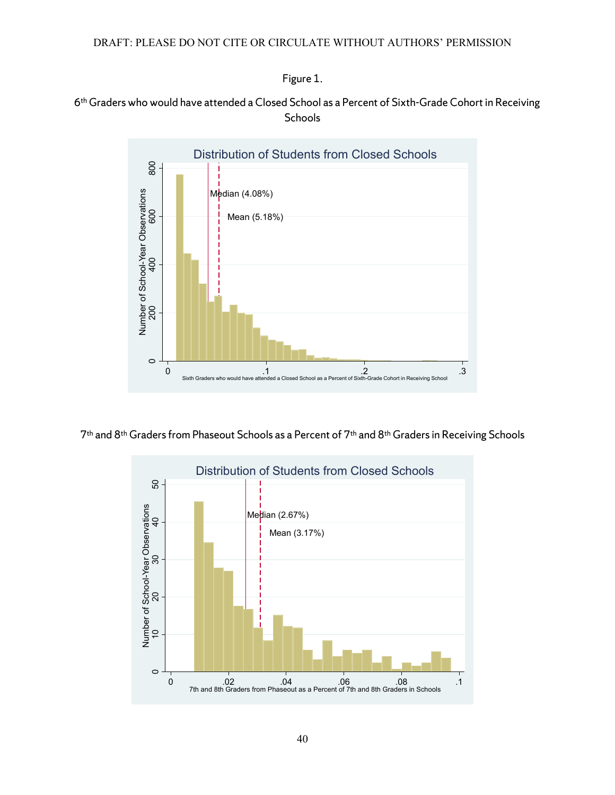Figure 1.

## 6th Graderswho would have attended a Closed School as a Percent of Sixth-Grade Cohort in Receiving **Schools**



7th and 8th Graders from Phaseout Schools as a Percent of 7th and 8th Graders in Receiving Schools

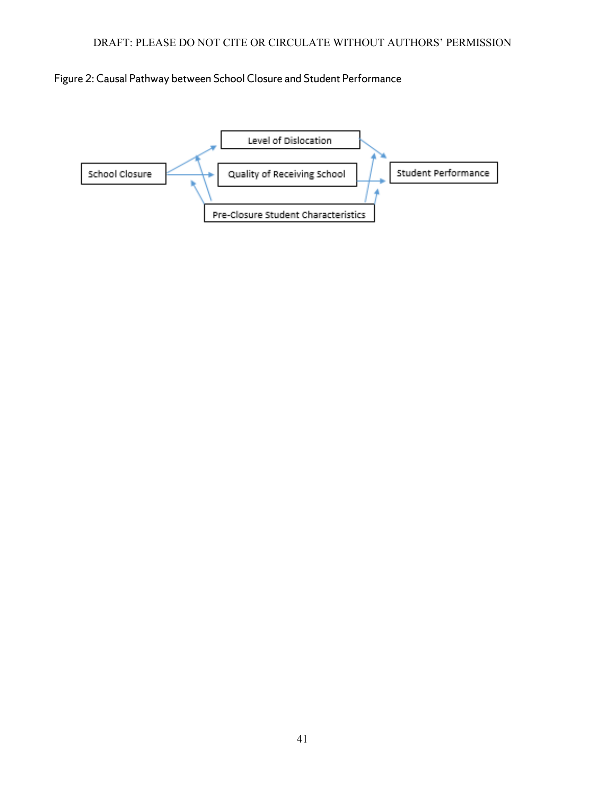

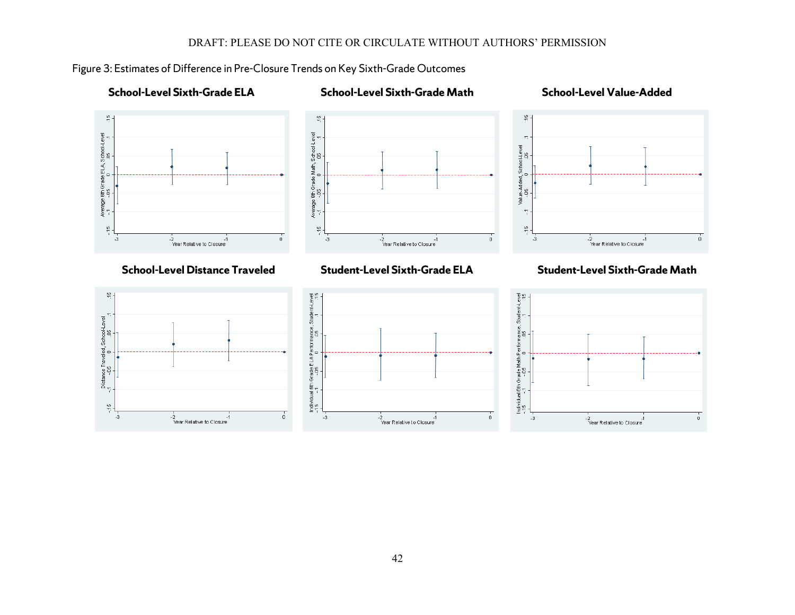

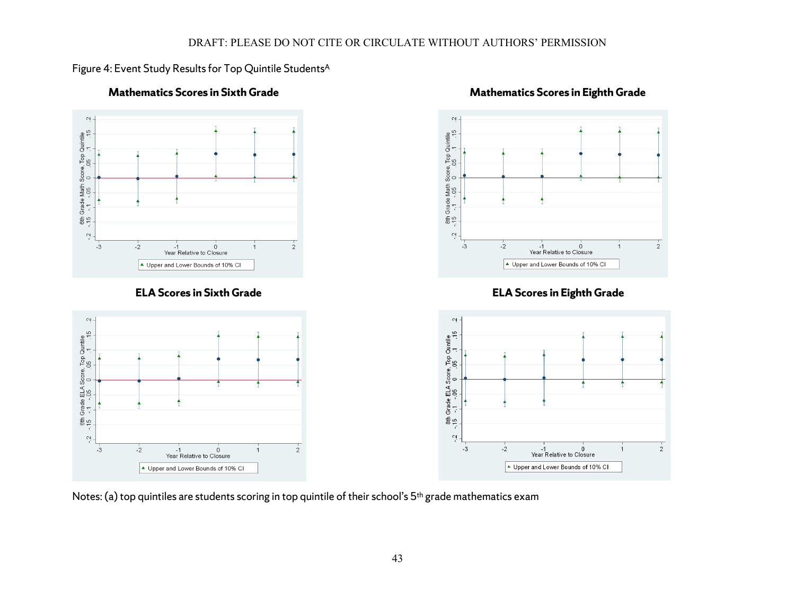## Figure 4: Event Study Results for Top Quintile Students<sup>A</sup>



## **Mathematics Scores in Sixth Grade Mathematics Scores in Eighth Grade**

Notes: (a) top quintiles are students scoring in top quintile of their school's 5<sup>th</sup> grade mathematics exam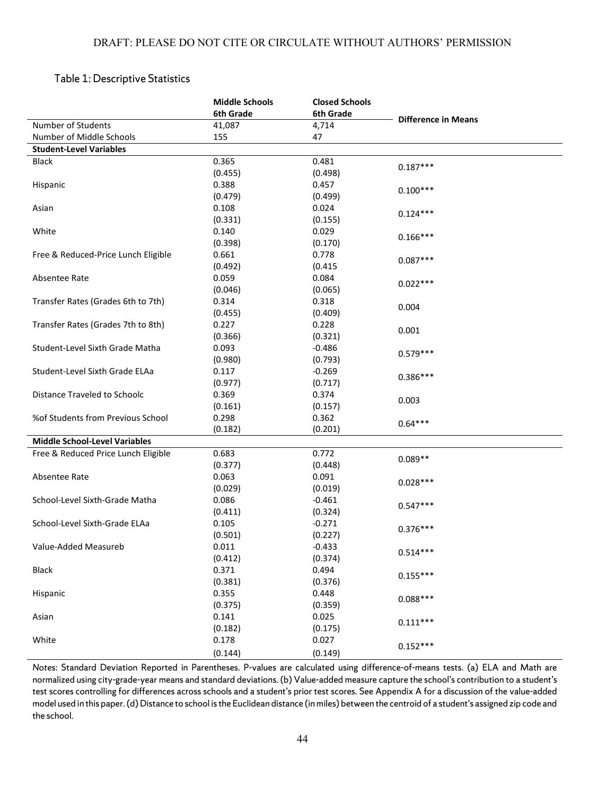## Table 1: Descriptive Statistics

|                                      | <b>Middle Schools</b> | <b>Closed Schools</b> |                            |
|--------------------------------------|-----------------------|-----------------------|----------------------------|
|                                      | 6th Grade             | 6th Grade             |                            |
| Number of Students                   | 41,087                | 4,714                 | <b>Difference in Means</b> |
| Number of Middle Schools             | 155                   | 47                    |                            |
| <b>Student-Level Variables</b>       |                       |                       |                            |
| <b>Black</b>                         | 0.365                 | 0.481                 |                            |
|                                      | (0.455)               | (0.498)               | $0.187***$                 |
| Hispanic                             | 0.388                 | 0.457                 |                            |
|                                      | (0.479)               | (0.499)               | $0.100***$                 |
| Asian                                | 0.108                 | 0.024                 |                            |
|                                      | (0.331)               | (0.155)               | $0.124***$                 |
| White                                | 0.140                 | 0.029                 |                            |
|                                      | (0.398)               | (0.170)               | $0.166***$                 |
| Free & Reduced-Price Lunch Eligible  | 0.661                 | 0.778                 |                            |
|                                      | (0.492)               | (0.415)               | $0.087***$                 |
| Absentee Rate                        | 0.059                 | 0.084                 |                            |
|                                      | (0.046)               | (0.065)               | $0.022***$                 |
| Transfer Rates (Grades 6th to 7th)   | 0.314                 | 0.318                 |                            |
|                                      | (0.455)               | (0.409)               | 0.004                      |
| Transfer Rates (Grades 7th to 8th)   | 0.227                 | 0.228                 |                            |
|                                      | (0.366)               | (0.321)               | 0.001                      |
| Student-Level Sixth Grade Matha      | 0.093                 | $-0.486$              |                            |
|                                      | (0.980)               | (0.793)               | $0.579***$                 |
| Student-Level Sixth Grade ELAa       | 0.117                 | $-0.269$              |                            |
|                                      | (0.977)               | (0.717)               | $0.386***$                 |
| Distance Traveled to Schoolc         | 0.369                 | 0.374                 |                            |
|                                      | (0.161)               | (0.157)               | 0.003                      |
| %of Students from Previous School    | 0.298                 | 0.362                 |                            |
|                                      | (0.182)               | (0.201)               | $0.64***$                  |
| <b>Middle School-Level Variables</b> |                       |                       |                            |
| Free & Reduced Price Lunch Eligible  | 0.683                 | 0.772                 |                            |
|                                      | (0.377)               | (0.448)               | $0.089**$                  |
| Absentee Rate                        | 0.063                 | 0.091                 |                            |
|                                      | (0.029)               | (0.019)               | $0.028***$                 |
| School-Level Sixth-Grade Matha       | 0.086                 | $-0.461$              |                            |
|                                      | (0.411)               | (0.324)               | $0.547***$                 |
| School-Level Sixth-Grade ELAa        | 0.105                 | $-0.271$              |                            |
|                                      | (0.501)               | (0.227)               | $0.376***$                 |
| Value-Added Measureb                 | 0.011                 | $-0.433$              |                            |
|                                      | (0.412)               | (0.374)               | $0.514***$                 |
| <b>Black</b>                         | 0.371                 | 0.494                 |                            |
|                                      | (0.381)               | (0.376)               | $0.155***$                 |
| Hispanic                             | 0.355                 | 0.448                 |                            |
|                                      | (0.375)               | (0.359)               | $0.088***$                 |
| Asian                                | 0.141                 | 0.025                 |                            |
|                                      | (0.182)               | (0.175)               | $0.111***$                 |
| White                                | 0.178                 | 0.027                 |                            |
|                                      |                       |                       | $0.152***$                 |
|                                      | (0.144)               | (0.149)               |                            |

*Notes*: Standard Deviation Reported in Parentheses. P-values are calculated using difference-of-means tests. (a) ELA and Math are normalized using city-grade-year means and standard deviations. (b) Value-added measure capture the school's contribution to a student's test scores controlling for differences across schools and a student's prior test scores. See Appendix A for a discussion of the value-added model used in this paper. (d) Distance to school is the Euclidean distance (in miles) between the centroid of a student's assigned zip code and the school.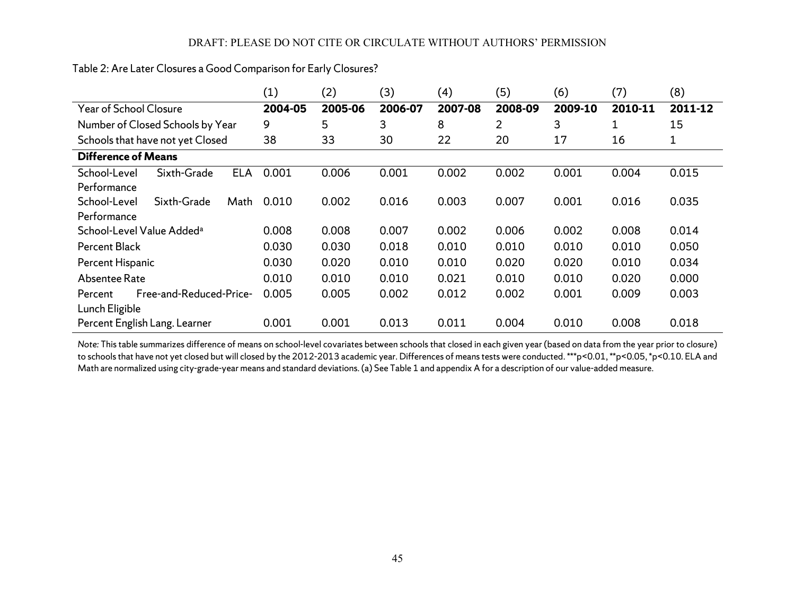|                                    |                                       |            | (1)     | (2)     | (3)     | (4)     | (5)     | (6)     | (7)     | (8)     |
|------------------------------------|---------------------------------------|------------|---------|---------|---------|---------|---------|---------|---------|---------|
| Year of School Closure             |                                       |            | 2004-05 | 2005-06 | 2006-07 | 2007-08 | 2008-09 | 2009-10 | 2010-11 | 2011-12 |
|                                    | Number of Closed Schools by Year      |            | 9       | 5       | 3       | 8       | 2       | 3       | 1       | 15      |
| Schools that have not yet Closed   |                                       |            | 38      | 33      | 30      | 22      | 20      | 17      | 16      | 1       |
| <b>Difference of Means</b>         |                                       |            |         |         |         |         |         |         |         |         |
| School-Level                       | Sixth-Grade                           | <b>ELA</b> | 0.001   | 0.006   | 0.001   | 0.002   | 0.002   | 0.001   | 0.004   | 0.015   |
| Performance                        |                                       |            |         |         |         |         |         |         |         |         |
| School-Level                       | Sixth-Grade                           | Math       | 0.010   | 0.002   | 0.016   | 0.003   | 0.007   | 0.001   | 0.016   | 0.035   |
| Performance                        |                                       |            |         |         |         |         |         |         |         |         |
|                                    | School-Level Value Added <sup>a</sup> |            | 0.008   | 0.008   | 0.007   | 0.002   | 0.006   | 0.002   | 0.008   | 0.014   |
| <b>Percent Black</b>               |                                       |            | 0.030   | 0.030   | 0.018   | 0.010   | 0.010   | 0.010   | 0.010   | 0.050   |
| Percent Hispanic                   |                                       |            | 0.030   | 0.020   | 0.010   | 0.010   | 0.020   | 0.020   | 0.010   | 0.034   |
| Absentee Rate                      |                                       |            | 0.010   | 0.010   | 0.010   | 0.021   | 0.010   | 0.010   | 0.020   | 0.000   |
| Free-and-Reduced-Price-<br>Percent |                                       |            | 0.005   | 0.005   | 0.002   | 0.012   | 0.002   | 0.001   | 0.009   | 0.003   |
|                                    | Lunch Eligible                        |            |         |         |         |         |         |         |         |         |
|                                    | Percent English Lang. Learner         |            | 0.001   | 0.001   | 0.013   | 0.011   | 0.004   | 0.010   | 0.008   | 0.018   |

Table 2: Are Later Closures a Good Comparison for Early Closures?

*Note:* This table summarizes difference of means on school-level covariates between schools that closed in each given year (based on data from the year prior to closure) to schools that have not yet closed but will closed by the 2012-2013 academic year. Differences of means tests were conducted. \*\*\*p<0.01, \*\*p<0.05, \*p<0.10. ELA and Math are normalized using city-grade-year means and standard deviations. (a) See Table 1 and appendix A for a description of our value-added measure.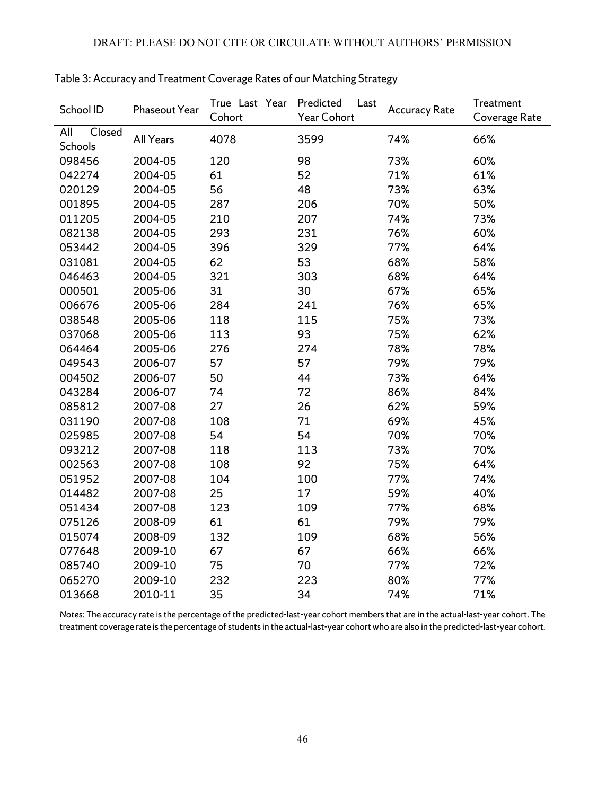| School ID     | Phaseout Year    | True Last Year | Predicted<br>Last | <b>Accuracy Rate</b> | Treatment     |
|---------------|------------------|----------------|-------------------|----------------------|---------------|
|               |                  | Cohort         | Year Cohort       |                      | Coverage Rate |
| All<br>Closed | <b>All Years</b> | 4078           | 3599              | 74%                  | 66%           |
| Schools       |                  |                |                   |                      |               |
| 098456        | 2004-05          | 120            | 98                | 73%                  | 60%           |
| 042274        | 2004-05          | 61             | 52                | 71%                  | 61%           |
| 020129        | 2004-05          | 56             | 48                | 73%                  | 63%           |
| 001895        | 2004-05          | 287            | 206               | 70%                  | 50%           |
| 011205        | 2004-05          | 210            | 207               | 74%                  | 73%           |
| 082138        | 2004-05          | 293            | 231               | 76%                  | 60%           |
| 053442        | 2004-05          | 396            | 329               | 77%                  | 64%           |
| 031081        | 2004-05          | 62             | 53                | 68%                  | 58%           |
| 046463        | 2004-05          | 321            | 303               | 68%                  | 64%           |
| 000501        | 2005-06          | 31             | 30                | 67%                  | 65%           |
| 006676        | 2005-06          | 284            | 241               | 76%                  | 65%           |
| 038548        | 2005-06          | 118            | 115               | 75%                  | 73%           |
| 037068        | 2005-06          | 113            | 93                | 75%                  | 62%           |
| 064464        | 2005-06          | 276            | 274               | 78%                  | 78%           |
| 049543        | 2006-07          | 57             | 57                | 79%                  | 79%           |
| 004502        | 2006-07          | 50             | 44                | 73%                  | 64%           |
| 043284        | 2006-07          | 74             | 72                | 86%                  | 84%           |
| 085812        | 2007-08          | 27             | 26                | 62%                  | 59%           |
| 031190        | 2007-08          | 108            | 71                | 69%                  | 45%           |
| 025985        | 2007-08          | 54             | 54                | 70%                  | 70%           |
| 093212        | 2007-08          | 118            | 113               | 73%                  | 70%           |
| 002563        | 2007-08          | 108            | 92                | 75%                  | 64%           |
| 051952        | 2007-08          | 104            | 100               | 77%                  | 74%           |
| 014482        | 2007-08          | 25             | 17                | 59%                  | 40%           |
| 051434        | 2007-08          | 123            | 109               | 77%                  | 68%           |
| 075126        | 2008-09          | 61             | 61                | 79%                  | 79%           |
| 015074        | 2008-09          | 132            | 109               | 68%                  | 56%           |
| 077648        | 2009-10          | 67             | 67                | 66%                  | 66%           |
| 085740        | 2009-10          | 75             | 70                | 77%                  | 72%           |
| 065270        | 2009-10          | 232            | 223               | 80%                  | 77%           |
| 013668        | 2010-11          | 35             | 34                | 74%                  | 71%           |

Table 3: Accuracy and Treatment Coverage Rates of our Matching Strategy

*Notes:* The accuracy rate is the percentage of the predicted-last-year cohort members that are in the actual-last-year cohort. The treatment coverage rate is the percentage of students in the actual-last-year cohort who are also in the predicted-last-year cohort.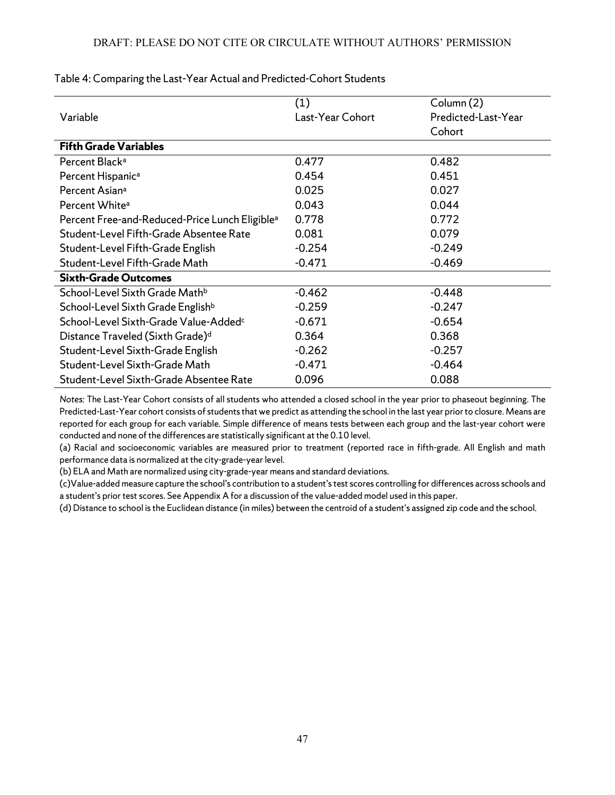|                                                            | (1)              | Column (2)          |
|------------------------------------------------------------|------------------|---------------------|
| Variable                                                   | Last-Year Cohort | Predicted-Last-Year |
|                                                            |                  | Cohort              |
| <b>Fifth Grade Variables</b>                               |                  |                     |
| Percent Black <sup>a</sup>                                 | 0.477            | 0.482               |
| Percent Hispanic <sup>a</sup>                              | 0.454            | 0.451               |
| Percent Asian <sup>a</sup>                                 | 0.025            | 0.027               |
| Percent White <sup>a</sup>                                 | 0.043            | 0.044               |
| Percent Free-and-Reduced-Price Lunch Eligible <sup>a</sup> | 0.778            | 0.772               |
| Student-Level Fifth-Grade Absentee Rate                    | 0.081            | 0.079               |
| Student-Level Fifth-Grade English                          | $-0.254$         | $-0.249$            |
| Student-Level Fifth-Grade Math                             | $-0.471$         | $-0.469$            |
| <b>Sixth-Grade Outcomes</b>                                |                  |                     |
| School-Level Sixth Grade Math <sup>b</sup>                 | $-0.462$         | $-0.448$            |
| School-Level Sixth Grade English <sup>b</sup>              | $-0.259$         | $-0.247$            |
| School-Level Sixth-Grade Value-Added <sup>c</sup>          | $-0.671$         | $-0.654$            |
| Distance Traveled (Sixth Grade) <sup>d</sup>               | 0.364            | 0.368               |
| Student-Level Sixth-Grade English                          | $-0.262$         | $-0.257$            |
| Student-Level Sixth-Grade Math                             | $-0.471$         | $-0.464$            |
| Student-Level Sixth-Grade Absentee Rate                    | 0.096            | 0.088               |

Table 4: Comparing the Last-Year Actual and Predicted-Cohort Students

*Notes:* The Last-Year Cohort consists of all students who attended a closed school in the year prior to phaseout beginning. The Predicted-Last-Year cohort consists of students that we predict as attending the school in the last year prior to closure. Means are reported for each group for each variable. Simple difference of means tests between each group and the last-year cohort were conducted and none of the differences are statistically significant at the 0.10 level.

(a) Racial and socioeconomic variables are measured prior to treatment (reported race in fifth-grade. All English and math performance data is normalized at the city-grade-year level.

(b) ELA and Math are normalized using city-grade-year means and standard deviations.

(c)Value-added measure capture the school's contribution to a student's test scores controlling for differences across schools and a student's prior test scores. See Appendix A for a discussion of the value-added model used in this paper.

(d) Distance to school is the Euclidean distance (in miles) between the centroid of a student's assigned zip code and the school.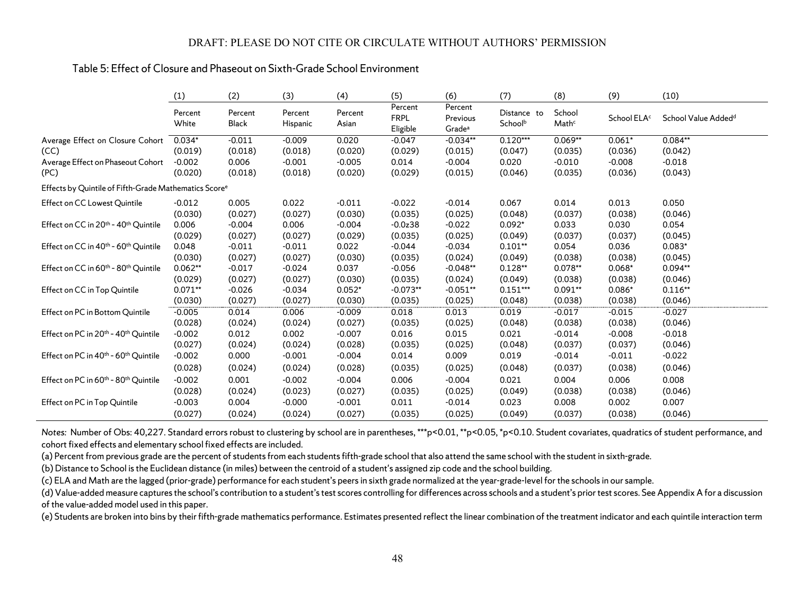## Table 5: Effect of Closure and Phaseout on Sixth-Grade School Environment

|                                                                   | (1)              | (2)              | (3)                 | (4)              | (5)                                | (6)                                       | (7)                    | (8)             | (9)                     | (10)                            |
|-------------------------------------------------------------------|------------------|------------------|---------------------|------------------|------------------------------------|-------------------------------------------|------------------------|-----------------|-------------------------|---------------------------------|
|                                                                   | Percent<br>White | Percent<br>Black | Percent<br>Hispanic | Percent<br>Asian | Percent<br><b>FRPL</b><br>Eligible | Percent<br>Previous<br>Grade <sup>a</sup> | Distance to<br>Schoolb | School<br>Mathc | School ELA <sup>c</sup> | School Value Added <sup>d</sup> |
| Average Effect on Closure Cohort                                  | $0.034*$         | $-0.011$         | $-0.009$            | 0.020            | $-0.047$                           | $-0.034**$                                | $0.120***$             | $0.069**$       | $0.061*$                | $0.084**$                       |
| (CC)                                                              | (0.019)          | (0.018)          | (0.018)             | (0.020)          | (0.029)                            | (0.015)                                   | (0.047)                | (0.035)         | (0.036)                 | (0.042)                         |
| Average Effect on Phaseout Cohort                                 | $-0.002$         | 0.006            | $-0.001$            | $-0.005$         | 0.014                              | $-0.004$                                  | 0.020                  | $-0.010$        | $-0.008$                | $-0.018$                        |
| (PC)                                                              | (0.020)          | (0.018)          | (0.018)             | (0.020)          | (0.029)                            | (0.015)                                   | (0.046)                | (0.035)         | (0.036)                 | (0.043)                         |
| Effects by Quintile of Fifth-Grade Mathematics Score <sup>e</sup> |                  |                  |                     |                  |                                    |                                           |                        |                 |                         |                                 |
| Effect on CC Lowest Quintile                                      | $-0.012$         | 0.005            | 0.022               | $-0.011$         | $-0.022$                           | $-0.014$                                  | 0.067                  | 0.014           | 0.013                   | 0.050                           |
|                                                                   | (0.030)          | (0.027)          | (0.027)             | (0.030)          | (0.035)                            | (0.025)                                   | (0.048)                | (0.037)         | (0.038)                 | (0.046)                         |
| Effect on CC in 20th - 40th Quintile                              | 0.006            | $-0.004$         | 0.006               | $-0.004$         | $-0.0z38$                          | $-0.022$                                  | $0.092*$               | 0.033           | 0.030                   | 0.054                           |
|                                                                   | (0.029)          | (0.027)          | (0.027)             | (0.029)          | (0.035)                            | (0.025)                                   | (0.049)                | (0.037)         | (0.037)                 | (0.045)                         |
| Effect on CC in 40 <sup>th</sup> - 60 <sup>th</sup> Quintile      | 0.048            | $-0.011$         | $-0.011$            | 0.022            | $-0.044$                           | $-0.034$                                  | $0.101**$              | 0.054           | 0.036                   | $0.083*$                        |
|                                                                   | (0.030)          | (0.027)          | (0.027)             | (0.030)          | (0.035)                            | (0.024)                                   | (0.049)                | (0.038)         | (0.038)                 | (0.045)                         |
| Effect on CC in 60th - 80th Quintile                              | $0.062**$        | $-0.017$         | $-0.024$            | 0.037            | $-0.056$                           | $-0.048**$                                | $0.128**$              | $0.078**$       | $0.068*$                | $0.094**$                       |
|                                                                   | (0.029)          | (0.027)          | (0.027)             | (0.030)          | (0.035)                            | (0.024)                                   | (0.049)                | (0.038)         | (0.038)                 | (0.046)                         |
| Effect on CC in Top Quintile                                      | $0.071**$        | $-0.026$         | $-0.034$            | $0.052*$         | $-0.073**$                         | $-0.051**$                                | $0.151***$             | $0.091**$       | $0.086*$                | $0.116**$                       |
|                                                                   | (0.030)          | (0.027)          | (0.027)             | (0.030)          | (0.035)                            | (0.025)                                   | (0.048)                | (0.038)         | (0.038)                 | (0.046)                         |
| Effect on PC in Bottom Quintile                                   | $-0.005$         | 0.014            | 0.006               | $-0.009$         | 0.018                              | 0.013                                     | 0.019                  | $-0.017$        | $-0.015$                | $-0.027$                        |
|                                                                   | (0.028)          | (0.024)          | (0.024)             | (0.027)          | (0.035)                            | (0.025)                                   | (0.048)                | (0.038)         | (0.038)                 | (0.046)                         |
| Effect on PC in 20th - 40th Quintile                              | $-0.002$         | 0.012            | 0.002               | $-0.007$         | 0.016                              | 0.015                                     | 0.021                  | $-0.014$        | $-0.008$                | $-0.018$                        |
|                                                                   | (0.027)          | (0.024)          | (0.024)             | (0.028)          | (0.035)                            | (0.025)                                   | (0.048)                | (0.037)         | (0.037)                 | (0.046)                         |
| Effect on PC in 40 <sup>th</sup> - 60 <sup>th</sup> Quintile      | $-0.002$         | 0.000            | $-0.001$            | $-0.004$         | 0.014                              | 0.009                                     | 0.019                  | $-0.014$        | $-0.011$                | $-0.022$                        |
|                                                                   | (0.028)          | (0.024)          | (0.024)             | (0.028)          | (0.035)                            | (0.025)                                   | (0.048)                | (0.037)         | (0.038)                 | (0.046)                         |
| Effect on PC in 60 <sup>th</sup> - 80 <sup>th</sup> Quintile      | $-0.002$         | 0.001            | $-0.002$            | $-0.004$         | 0.006                              | $-0.004$                                  | 0.021                  | 0.004           | 0.006                   | 0.008                           |
|                                                                   | (0.028)          | (0.024)          | (0.023)             | (0.027)          | (0.035)                            | (0.025)                                   | (0.049)                | (0.038)         | (0.038)                 | (0.046)                         |
| Effect on PC in Top Quintile                                      | $-0.003$         | 0.004            | $-0.000$            | $-0.001$         | 0.011                              | $-0.014$                                  | 0.023                  | 0.008           | 0.002                   | 0.007                           |
|                                                                   | (0.027)          | (0.024)          | (0.024)             | (0.027)          | (0.035)                            | (0.025)                                   | (0.049)                | (0.037)         | (0.038)                 | (0.046)                         |

*Notes:* Number of Obs: 40,227. Standard errors robust to clustering by school are in parentheses, \*\*\*p<0.01, \*\*p<0.05, \*p<0.10. Student covariates, quadratics of student performance, and cohort fixed effects and elementary school fixed effects are included.

(a) Percent from previous grade are the percent of students from each students fifth-grade school that also attend the same school with the student in sixth-grade.

(b) Distance to School is the Euclidean distance (in miles) between the centroid of a student's assigned zip code and the school building.

(c) ELA and Math are the lagged (prior-grade) performance for each student's peers in sixth grade normalized at the year-grade-level for the schools in our sample.

(d) Value-added measure captures the school's contribution to a student's test scores controlling for differences across schools and a student's prior test scores. See Appendix A for a discussion of the value-added model used in this paper.

(e) Students are broken into bins by their fifth-grade mathematics performance. Estimates presented reflect the linear combination of the treatment indicator and each quintile interaction term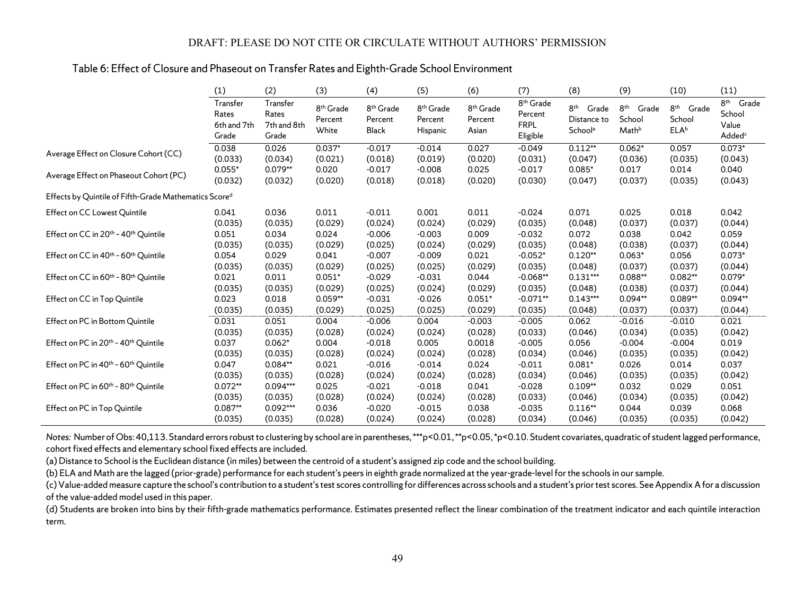## Table 6: Effect of Closure and Phaseout on Transfer Rates and Eighth-Grade School Environment

|                                                              | (1)                                       | (2)                                       | (3)                                       | (4)                                       | (5)                                          | (6)                                       | (7)                                                         | (8)                                                         | (9)                                      | (10)                                            | (11)                                                              |
|--------------------------------------------------------------|-------------------------------------------|-------------------------------------------|-------------------------------------------|-------------------------------------------|----------------------------------------------|-------------------------------------------|-------------------------------------------------------------|-------------------------------------------------------------|------------------------------------------|-------------------------------------------------|-------------------------------------------------------------------|
|                                                              | Transfer<br>Rates<br>6th and 7th<br>Grade | Transfer<br>Rates<br>7th and 8th<br>Grade | 8 <sup>th</sup> Grade<br>Percent<br>White | 8 <sup>th</sup> Grade<br>Percent<br>Black | 8 <sup>th</sup> Grade<br>Percent<br>Hispanic | 8 <sup>th</sup> Grade<br>Percent<br>Asian | 8 <sup>th</sup> Grade<br>Percent<br><b>FRPL</b><br>Eligible | 8 <sup>th</sup> Grade<br>Distance to<br>School <sup>a</sup> | 8 <sup>th</sup> Grade<br>School<br>Mathb | 8 <sup>th</sup> Grade<br>School<br><b>ELA</b> b | 8 <sup>th</sup><br>Grade<br>School<br>Value<br>Added <sup>c</sup> |
| Average Effect on Closure Cohort (CC)                        | 0.038                                     | 0.026                                     | $0.037*$                                  | $-0.017$                                  | $-0.014$                                     | 0.027                                     | $-0.049$                                                    | $0.112**$                                                   | $0.062*$                                 | 0.057                                           | $0.073*$                                                          |
|                                                              | (0.033)                                   | (0.034)                                   | (0.021)                                   | (0.018)                                   | (0.019)                                      | (0.020)                                   | (0.031)                                                     | (0.047)                                                     | (0.036)                                  | (0.035)                                         | (0.043)                                                           |
| Average Effect on Phaseout Cohort (PC)                       | $0.055*$                                  | $0.079**$                                 | 0.020                                     | $-0.017$                                  | $-0.008$                                     | 0.025                                     | $-0.017$                                                    | $0.085*$                                                    | 0.017                                    | 0.014                                           | 0.040                                                             |
|                                                              | (0.032)                                   | (0.032)                                   | (0.020)                                   | (0.018)                                   | (0.018)                                      | (0.020)                                   | (0.030)                                                     | (0.047)                                                     | (0.037)                                  | (0.035)                                         | (0.043)                                                           |
| Effects by Quintile of Fifth-Grade Mathematics Scored        |                                           |                                           |                                           |                                           |                                              |                                           |                                                             |                                                             |                                          |                                                 |                                                                   |
| Effect on CC Lowest Quintile                                 | 0.041                                     | 0.036                                     | 0.011                                     | $-0.011$                                  | 0.001                                        | 0.011                                     | $-0.024$                                                    | 0.071                                                       | 0.025                                    | 0.018                                           | 0.042                                                             |
|                                                              | (0.035)                                   | (0.035)                                   | (0.029)                                   | (0.024)                                   | (0.024)                                      | (0.029)                                   | (0.035)                                                     | (0.048)                                                     | (0.037)                                  | (0.037)                                         | (0.044)                                                           |
| Effect on CC in 20th - 40th Quintile                         | 0.051                                     | 0.034                                     | 0.024                                     | $-0.006$                                  | $-0.003$                                     | 0.009                                     | $-0.032$                                                    | 0.072                                                       | 0.038                                    | 0.042                                           | 0.059                                                             |
|                                                              | (0.035)                                   | (0.035)                                   | (0.029)                                   | (0.025)                                   | (0.024)                                      | (0.029)                                   | (0.035)                                                     | (0.048)                                                     | (0.038)                                  | (0.037)                                         | (0.044)                                                           |
| Effect on CC in 40 <sup>th</sup> - 60 <sup>th</sup> Quintile | 0.054                                     | 0.029                                     | 0.041                                     | $-0.007$                                  | $-0.009$                                     | 0.021                                     | $-0.052*$                                                   | $0.120**$                                                   | $0.063*$                                 | 0.056                                           | $0.073*$                                                          |
|                                                              | (0.035)                                   | (0.035)                                   | (0.029)                                   | (0.025)                                   | (0.025)                                      | (0.029)                                   | (0.035)                                                     | (0.048)                                                     | (0.037)                                  | (0.037)                                         | (0.044)                                                           |
| Effect on CC in 60 <sup>th</sup> - 80 <sup>th</sup> Quintile | 0.021                                     | 0.011                                     | $0.051*$                                  | $-0.029$                                  | $-0.031$                                     | 0.044                                     | $-0.068**$                                                  | $0.131***$                                                  | $0.088**$                                | $0.082**$                                       | $0.079*$                                                          |
|                                                              | (0.035)                                   | (0.035)                                   | (0.029)                                   | (0.025)                                   | (0.024)                                      | (0.029)                                   | (0.035)                                                     | (0.048)                                                     | (0.038)                                  | (0.037)                                         | (0.044)                                                           |
| Effect on CC in Top Quintile                                 | 0.023                                     | 0.018                                     | $0.059**$                                 | $-0.031$                                  | $-0.026$                                     | $0.051*$                                  | $-0.071**$                                                  | $0.143***$                                                  | $0.094**$                                | $0.089**$                                       | 0.094**                                                           |
|                                                              | (0.035)                                   | (0.035)                                   | (0.029)                                   | (0.025)                                   | (0.025)                                      | (0.029)                                   | (0.035)                                                     | (0.048)                                                     | (0.037)                                  | (0.037)                                         | (0.044)                                                           |
| Effect on PC in Bottom Quintile                              | 0.031                                     | 0.051                                     | 0.004                                     | $-0.006$                                  | 0.004                                        | $-0.003$                                  | $-0.005$                                                    | 0.062                                                       | $-0.016$                                 | $-0.010$                                        | 0.021                                                             |
|                                                              | (0.035)                                   | (0.035)                                   | (0.028)                                   | (0.024)                                   | (0.024)                                      | (0.028)                                   | (0.033)                                                     | (0.046)                                                     | (0.034)                                  | (0.035)                                         | (0.042)                                                           |
| Effect on PC in 20 <sup>th</sup> - 40 <sup>th</sup> Quintile | 0.037                                     | $0.062*$                                  | 0.004                                     | $-0.018$                                  | 0.005                                        | 0.0018                                    | $-0.005$                                                    | 0.056                                                       | $-0.004$                                 | $-0.004$                                        | 0.019                                                             |
|                                                              | (0.035)                                   | (0.035)                                   | (0.028)                                   | (0.024)                                   | (0.024)                                      | (0.028)                                   | (0.034)                                                     | (0.046)                                                     | (0.035)                                  | (0.035)                                         | (0.042)                                                           |
| Effect on PC in 40 <sup>th</sup> - 60 <sup>th</sup> Quintile | 0.047                                     | $0.084**$                                 | 0.021                                     | $-0.016$                                  | $-0.014$                                     | 0.024                                     | $-0.011$                                                    | $0.081*$                                                    | 0.026                                    | 0.014                                           | 0.037                                                             |
|                                                              | (0.035)                                   | (0.035)                                   | (0.028)                                   | (0.024)                                   | (0.024)                                      | (0.028)                                   | (0.034)                                                     | (0.046)                                                     | (0.035)                                  | (0.035)                                         | (0.042)                                                           |
| Effect on PC in 60 <sup>th</sup> - 80 <sup>th</sup> Quintile | $0.072**$                                 | 0.094***                                  | 0.025                                     | $-0.021$                                  | $-0.018$                                     | 0.041                                     | $-0.028$                                                    | $0.109**$                                                   | 0.032                                    | 0.029                                           | 0.051                                                             |
|                                                              | (0.035)                                   | (0.035)                                   | (0.028)                                   | (0.024)                                   | (0.024)                                      | (0.028)                                   | (0.033)                                                     | (0.046)                                                     | (0.034)                                  | (0.035)                                         | (0.042)                                                           |
| Effect on PC in Top Quintile                                 | $0.087**$                                 | $0.092***$                                | 0.036                                     | $-0.020$                                  | $-0.015$                                     | 0.038                                     | $-0.035$                                                    | $0.116**$                                                   | 0.044                                    | 0.039                                           | 0.068                                                             |
|                                                              | (0.035)                                   | (0.035)                                   | (0.028)                                   | (0.024)                                   | (0.024)                                      | (0.028)                                   | (0.034)                                                     | (0.046)                                                     | (0.035)                                  | (0.035)                                         | (0.042)                                                           |

Notes: Number of Obs: 40,113. Standard errors robust to clustering by school are in parentheses, \*\*\*p<0.01, \*\*p<0.05, \*p<0.10. Student covariates, quadratic of student lagged performance, cohort fixed effects and elementary school fixed effects are included.

(a) Distance to School is the Euclidean distance (in miles) between the centroid of a student's assigned zip code and the school building.

(b) ELA and Math are the lagged (prior-grade) performance for each student's peers in eighth grade normalized at the year-grade-level for the schools in our sample.

(c) Value-added measure capture the school's contribution to a student's test scores controlling for differences across schools and a student's prior test scores. See Appendix A for a discussion of the value-added model used in this paper.

(d) Students are broken into bins by their fifth-grade mathematics performance. Estimates presented reflect the linear combination of the treatment indicator and each quintile interaction term.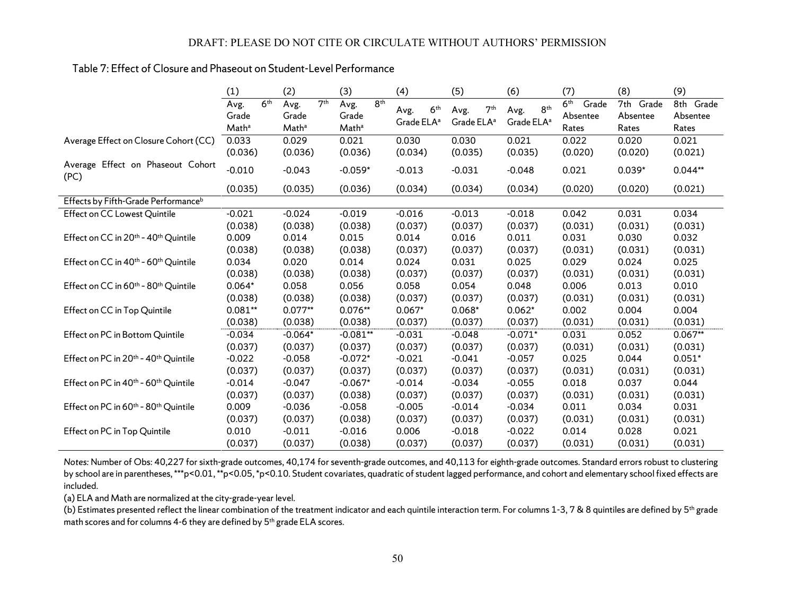## Table 7: Effect of Closure and Phaseout on Student-Level Performance

|                                                              | (1)                                |                 | (2)                                |                 | (3)                                |                 | (4)                            |                 | (5)                            |                 | (6)                            |                 | (7)                                           | (8)                               | (9)                            |
|--------------------------------------------------------------|------------------------------------|-----------------|------------------------------------|-----------------|------------------------------------|-----------------|--------------------------------|-----------------|--------------------------------|-----------------|--------------------------------|-----------------|-----------------------------------------------|-----------------------------------|--------------------------------|
|                                                              | Avg.<br>Grade<br>Math <sup>a</sup> | 6 <sup>th</sup> | Avg.<br>Grade<br>Math <sup>a</sup> | 7 <sup>th</sup> | Avg.<br>Grade<br>Math <sup>a</sup> | 8 <sup>th</sup> | Avg.<br>Grade ELA <sup>a</sup> | 6 <sup>th</sup> | Avg.<br>Grade ELA <sup>a</sup> | 7 <sup>th</sup> | Avg.<br>Grade ELA <sup>a</sup> | 8 <sup>th</sup> | 6 <sup>th</sup><br>Grade<br>Absentee<br>Rates | 7th<br>Grade<br>Absentee<br>Rates | 8th Grade<br>Absentee<br>Rates |
| Average Effect on Closure Cohort (CC)                        | 0.033                              |                 | 0.029                              |                 | 0.021                              |                 | 0.030                          |                 | 0.030                          |                 | 0.021                          |                 | 0.022                                         | 0.020                             | 0.021                          |
|                                                              | (0.036)                            |                 | (0.036)                            |                 | (0.036)                            |                 | (0.034)                        |                 | (0.035)                        |                 | (0.035)                        |                 | (0.020)                                       | (0.020)                           | (0.021)                        |
| Average Effect on Phaseout Cohort<br>(PC)                    | $-0.010$                           |                 | $-0.043$                           |                 | $-0.059*$                          |                 | $-0.013$                       |                 | $-0.031$                       |                 | $-0.048$                       |                 | 0.021                                         | $0.039*$                          | $0.044**$                      |
|                                                              | (0.035)                            |                 | (0.035)                            |                 | (0.036)                            |                 | (0.034)                        |                 | (0.034)                        |                 | (0.034)                        |                 | (0.020)                                       | (0.020)                           | (0.021)                        |
| Effects by Fifth-Grade Performanceb                          |                                    |                 |                                    |                 |                                    |                 |                                |                 |                                |                 |                                |                 |                                               |                                   |                                |
| Effect on CC Lowest Quintile                                 | $-0.021$                           |                 | $-0.024$                           |                 | $-0.019$                           |                 | $-0.016$                       |                 | $-0.013$                       |                 | $-0.018$                       |                 | 0.042                                         | 0.031                             | 0.034                          |
|                                                              | (0.038)                            |                 | (0.038)                            |                 | (0.038)                            |                 | (0.037)                        |                 | (0.037)                        |                 | (0.037)                        |                 | (0.031)                                       | (0.031)                           | (0.031)                        |
| Effect on CC in 20 <sup>th</sup> - 40 <sup>th</sup> Quintile | 0.009                              |                 | 0.014                              |                 | 0.015                              |                 | 0.014                          |                 | 0.016                          |                 | 0.011                          |                 | 0.031                                         | 0.030                             | 0.032                          |
|                                                              | (0.038)                            |                 | (0.038)                            |                 | (0.038)                            |                 | (0.037)                        |                 | (0.037)                        |                 | (0.037)                        |                 | (0.031)                                       | (0.031)                           | (0.031)                        |
| Effect on CC in 40 <sup>th</sup> - 60 <sup>th</sup> Quintile | 0.034                              |                 | 0.020                              |                 | 0.014                              |                 | 0.024                          |                 | 0.031                          |                 | 0.025                          |                 | 0.029                                         | 0.024                             | 0.025                          |
|                                                              | (0.038)                            |                 | (0.038)                            |                 | (0.038)                            |                 | (0.037)                        |                 | (0.037)                        |                 | (0.037)                        |                 | (0.031)                                       | (0.031)                           | (0.031)                        |
| Effect on CC in 60 <sup>th</sup> - 80 <sup>th</sup> Quintile | $0.064*$                           |                 | 0.058                              |                 | 0.056                              |                 | 0.058                          |                 | 0.054                          |                 | 0.048                          |                 | 0.006                                         | 0.013                             | 0.010                          |
|                                                              | (0.038)                            |                 | (0.038)                            |                 | (0.038)                            |                 | (0.037)                        |                 | (0.037)                        |                 | (0.037)                        |                 | (0.031)                                       | (0.031)                           | (0.031)                        |
| Effect on CC in Top Quintile                                 | $0.081**$                          |                 | $0.077**$                          |                 | $0.076**$                          |                 | $0.067*$                       |                 | $0.068*$                       |                 | $0.062*$                       |                 | 0.002                                         | 0.004                             | 0.004                          |
|                                                              | (0.038)                            |                 | (0.038)                            |                 | (0.038)                            |                 | (0.037)                        |                 | (0.037)                        |                 | (0.037)                        |                 | (0.031)                                       | (0.031)                           | (0.031)                        |
| Effect on PC in Bottom Quintile                              | $-0.034$                           |                 | $-0.064*$                          |                 | $-0.081**$                         |                 | $-0.031$                       |                 | $-0.048$                       |                 | $-0.071*$                      |                 | 0.031                                         | 0.052                             | $0.067**$                      |
|                                                              | (0.037)                            |                 | (0.037)                            |                 | (0.037)                            |                 | (0.037)                        |                 | (0.037)                        |                 | (0.037)                        |                 | (0.031)                                       | (0.031)                           | (0.031)                        |
| Effect on PC in 20 <sup>th</sup> - 40 <sup>th</sup> Quintile | $-0.022$                           |                 | $-0.058$                           |                 | $-0.072*$                          |                 | $-0.021$                       |                 | $-0.041$                       |                 | $-0.057$                       |                 | 0.025                                         | 0.044                             | $0.051*$                       |
|                                                              | (0.037)                            |                 | (0.037)                            |                 | (0.037)                            |                 | (0.037)                        |                 | (0.037)                        |                 | (0.037)                        |                 | (0.031)                                       | (0.031)                           | (0.031)                        |
| Effect on PC in 40 <sup>th</sup> - 60 <sup>th</sup> Quintile | $-0.014$                           |                 | $-0.047$                           |                 | $-0.067*$                          |                 | $-0.014$                       |                 | $-0.034$                       |                 | $-0.055$                       |                 | 0.018                                         | 0.037                             | 0.044                          |
|                                                              | (0.037)                            |                 | (0.037)                            |                 | (0.038)                            |                 | (0.037)                        |                 | (0.037)                        |                 | (0.037)                        |                 | (0.031)                                       | (0.031)                           | (0.031)                        |
| Effect on PC in 60 <sup>th</sup> - 80 <sup>th</sup> Quintile | 0.009                              |                 | $-0.036$                           |                 | $-0.058$                           |                 | $-0.005$                       |                 | $-0.014$                       |                 | $-0.034$                       |                 | 0.011                                         | 0.034                             | 0.031                          |
|                                                              | (0.037)                            |                 | (0.037)                            |                 | (0.038)                            |                 | (0.037)                        |                 | (0.037)                        |                 | (0.037)                        |                 | (0.031)                                       | (0.031)                           | (0.031)                        |
| Effect on PC in Top Quintile                                 | 0.010                              |                 | $-0.011$                           |                 | $-0.016$                           |                 | 0.006                          |                 | $-0.018$                       |                 | $-0.022$                       |                 | 0.014                                         | 0.028                             | 0.021                          |
|                                                              | (0.037)                            |                 | (0.037)                            |                 | (0.038)                            |                 | (0.037)                        |                 | (0.037)                        |                 | (0.037)                        |                 | (0.031)                                       | (0.031)                           | (0.031)                        |

*Notes:* Number of Obs: 40,227 for sixth-grade outcomes, 40,174 for seventh-grade outcomes, and 40,113 for eighth-grade outcomes. Standard errors robust to clustering by school are in parentheses, \*\*\*p<0.01, \*\*p<0.05, \*p<0.10. Student covariates, quadratic of student lagged performance, and cohort and elementary school fixed effects are included.

(a) ELA and Math are normalized at the city-grade-year level.

(b) Estimates presented reflect the linear combination of the treatment indicator and each quintile interaction term. For columns 1-3, 7 & 8 quintiles are defined by  $5<sup>th</sup>$  grade math scores and for columns 4-6 they are defined by 5<sup>th</sup> grade ELA scores.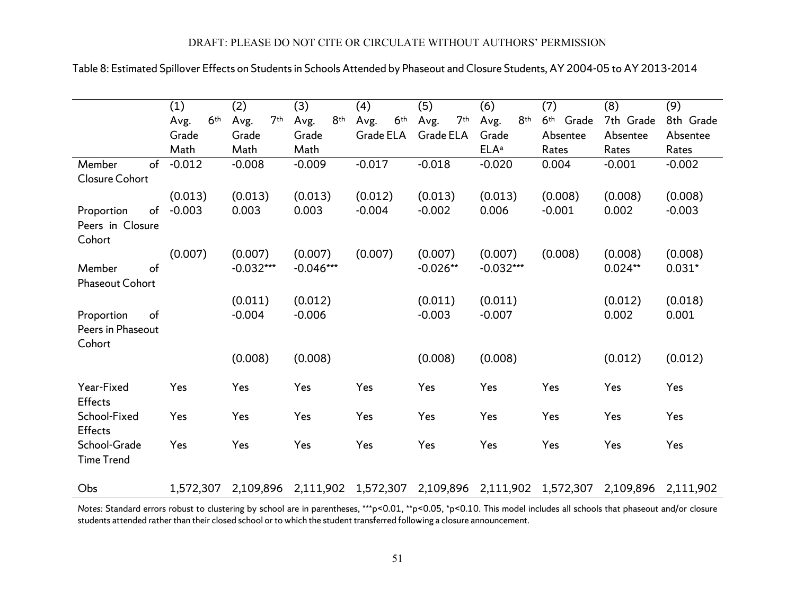|                                                 | (1)                     | (2)                     | (3)                 | (4)                     | (5)                     | (6)                     | (7)                   | (8)       | (9)       |
|-------------------------------------------------|-------------------------|-------------------------|---------------------|-------------------------|-------------------------|-------------------------|-----------------------|-----------|-----------|
|                                                 | 6 <sup>th</sup><br>Avg. | 7 <sup>th</sup><br>Avg. | 8th<br>Avg.         | 6 <sup>th</sup><br>Avg. | 7 <sup>th</sup><br>Avg. | 8 <sup>th</sup><br>Avg. | 6 <sup>th</sup> Grade | 7th Grade | 8th Grade |
|                                                 | Grade                   | Grade                   | Grade               | Grade ELA               | Grade ELA               | Grade                   | Absentee              | Absentee  | Absentee  |
|                                                 | Math                    | Math                    | Math                |                         |                         | <b>ELA</b> <sup>a</sup> | Rates                 | Rates     | Rates     |
| of<br>Member<br>Closure Cohort                  | $-0.012$                | $-0.008$                | $-0.009$            | $-0.017$                | $-0.018$                | $-0.020$                | 0.004                 | $-0.001$  | $-0.002$  |
|                                                 | (0.013)                 | (0.013)                 | (0.013)             | (0.012)                 | (0.013)                 | (0.013)                 | (0.008)               | (0.008)   | (0.008)   |
| of<br>Proportion<br>Peers in Closure<br>Cohort  | $-0.003$                | 0.003                   | 0.003               | $-0.004$                | $-0.002$                | 0.006                   | $-0.001$              | 0.002     | $-0.003$  |
|                                                 | (0.007)                 | (0.007)                 | (0.007)             | (0.007)                 | (0.007)                 | (0.007)                 | (0.008)               | (0.008)   | (0.008)   |
| of<br>Member<br><b>Phaseout Cohort</b>          |                         | $-0.032***$             | $-0.046***$         |                         | $-0.026**$              | $-0.032***$             |                       | $0.024**$ | $0.031*$  |
|                                                 |                         | (0.011)                 | (0.012)             |                         | (0.011)                 | (0.011)                 |                       | (0.012)   | (0.018)   |
| of<br>Proportion<br>Peers in Phaseout<br>Cohort |                         | $-0.004$                | $-0.006$            |                         | $-0.003$                | $-0.007$                |                       | 0.002     | 0.001     |
|                                                 |                         | (0.008)                 | (0.008)             |                         | (0.008)                 | (0.008)                 |                       | (0.012)   | (0.012)   |
| Year-Fixed<br><b>Effects</b>                    | Yes                     | Yes                     | Yes                 | Yes                     | Yes                     | Yes                     | Yes                   | Yes       | Yes       |
| School-Fixed<br><b>Effects</b>                  | Yes                     | Yes                     | Yes                 | Yes                     | Yes                     | Yes                     | Yes                   | Yes       | Yes       |
| School-Grade<br><b>Time Trend</b>               | Yes                     | Yes                     | Yes                 | Yes                     | Yes                     | Yes                     | Yes                   | Yes       | Yes       |
| Obs                                             | 1,572,307               | 2,109,896               | 2,111,902 1,572,307 |                         |                         | 2,109,896 2,111,902     | 1,572,307             | 2,109,896 | 2,111,902 |

## Table 8: Estimated Spillover Effects on Students in Schools Attended by Phaseout and Closure Students, AY 2004-05 to AY 2013-2014

*Notes:* Standard errors robust to clustering by school are in parentheses, \*\*\*p<0.01, \*\*p<0.05, \*p<0.10. This model includes all schools that phaseout and/or closure students attended rather than their closed school or to which the student transferred following a closure announcement.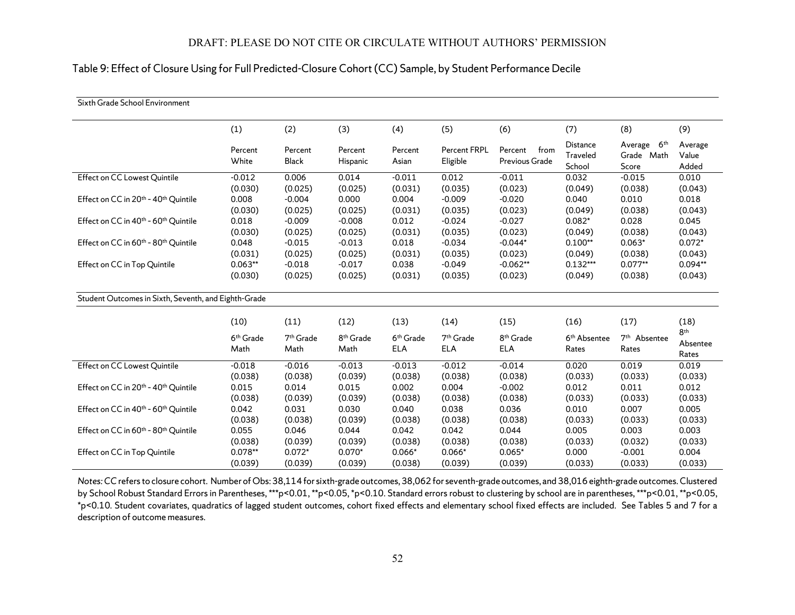## Table 9: Effect of Closure Using for Full Predicted-Closure Cohort (CC) Sample, by Student Performance Decile

| Sixth Grade School Environment                               |                               |                               |                               |                                     |                           |                                     |                                       |                                                   |                                      |
|--------------------------------------------------------------|-------------------------------|-------------------------------|-------------------------------|-------------------------------------|---------------------------|-------------------------------------|---------------------------------------|---------------------------------------------------|--------------------------------------|
|                                                              | (1)                           | (2)                           | (3)                           | (4)                                 | (5)                       | (6)                                 | (7)                                   | (8)                                               | (9)                                  |
|                                                              | Percent<br>White              | Percent<br><b>Black</b>       | Percent<br>Hispanic           | Percent<br>Asian                    | Percent FRPL<br>Eligible  | Percent<br>from<br>Previous Grade   | <b>Distance</b><br>Traveled<br>School | Average<br>6 <sup>th</sup><br>Grade Math<br>Score | Average<br>Value<br>Added            |
| Effect on CC Lowest Quintile                                 | $-0.012$                      | 0.006                         | 0.014                         | $-0.011$                            | 0.012                     | $-0.011$                            | 0.032                                 | $-0.015$                                          | 0.010                                |
|                                                              | (0.030)                       | (0.025)                       | (0.025)                       | (0.031)                             | (0.035)                   | (0.023)                             | (0.049)                               | (0.038)                                           | (0.043)                              |
| Effect on CC in 20 <sup>th</sup> - 40 <sup>th</sup> Quintile | 0.008                         | $-0.004$                      | 0.000                         | 0.004                               | $-0.009$                  | $-0.020$                            | 0.040                                 | 0.010                                             | 0.018                                |
|                                                              | (0.030)                       | (0.025)                       | (0.025)                       | (0.031)                             | (0.035)                   | (0.023)                             | (0.049)                               | (0.038)                                           | (0.043)                              |
| Effect on CC in 40 <sup>th</sup> - 60 <sup>th</sup> Quintile | 0.018                         | $-0.009$                      | $-0.008$                      | 0.012                               | $-0.024$                  | $-0.027$                            | $0.082*$                              | 0.028                                             | 0.045                                |
|                                                              | (0.030)                       | (0.025)                       | (0.025)                       | (0.031)                             | (0.035)                   | (0.023)                             | (0.049)                               | (0.038)                                           | (0.043)                              |
| Effect on CC in 60 <sup>th</sup> - 80 <sup>th</sup> Quintile | 0.048                         | $-0.015$                      | $-0.013$                      | 0.018                               | $-0.034$                  | $-0.044*$                           | $0.100**$                             | $0.063*$                                          | $0.072*$                             |
|                                                              | (0.031)                       | (0.025)                       | (0.025)                       | (0.031)                             | (0.035)                   | (0.023)                             | (0.049)                               | (0.038)                                           | (0.043)                              |
| Effect on CC in Top Quintile                                 | $0.063**$                     | $-0.018$                      | $-0.017$                      | 0.038                               | $-0.049$                  | $-0.062**$                          | $0.132***$                            | $0.077**$                                         | $0.094**$                            |
|                                                              | (0.030)                       | (0.025)                       | (0.025)                       | (0.031)                             | (0.035)                   | (0.023)                             | (0.049)                               | (0.038)                                           | (0.043)                              |
| Student Outcomes in Sixth, Seventh, and Eighth-Grade         |                               |                               |                               |                                     |                           |                                     |                                       |                                                   |                                      |
|                                                              | (10)                          | (11)                          | (12)                          | (13)                                | (14)                      | (15)                                | (16)                                  | (17)                                              | (18)                                 |
|                                                              | 6 <sup>th</sup> Grade<br>Math | 7 <sup>th</sup> Grade<br>Math | 8 <sup>th</sup> Grade<br>Math | 6 <sup>th</sup> Grade<br><b>ELA</b> | $7th$ Grade<br><b>ELA</b> | 8 <sup>th</sup> Grade<br><b>ELA</b> | 6 <sup>th</sup> Absentee<br>Rates     | 7 <sup>th</sup> Absentee<br>Rates                 | 8 <sup>th</sup><br>Absentee<br>Rates |
| Effect on CC Lowest Quintile                                 | $-0.018$                      | $-0.016$                      | $-0.013$                      | $-0.013$                            | $-0.012$                  | $-0.014$                            | 0.020                                 | 0.019                                             | 0.019                                |
|                                                              | (0.038)                       | (0.038)                       | (0.039)                       | (0.038)                             | (0.038)                   | (0.038)                             | (0.033)                               | (0.033)                                           | (0.033)                              |
| Effect on CC in 20th - 40th Quintile                         | 0.015                         | 0.014                         | 0.015                         | 0.002                               | 0.004                     | $-0.002$                            | 0.012                                 | 0.011                                             | 0.012                                |
|                                                              | (0.038)                       | (0.039)                       | (0.039)                       | (0.038)                             | (0.038)                   | (0.038)                             | (0.033)                               | (0.033)                                           | (0.033)                              |
| Effect on CC in 40 <sup>th</sup> - 60 <sup>th</sup> Quintile | 0.042                         | 0.031                         | 0.030                         | 0.040                               | 0.038                     | 0.036                               | 0.010                                 | 0.007                                             | 0.005                                |
|                                                              | (0.038)                       | (0.038)                       | (0.039)                       | (0.038)                             | (0.038)                   | (0.038)                             | (0.033)                               | (0.033)                                           | (0.033)                              |
| Effect on CC in 60 <sup>th</sup> - 80 <sup>th</sup> Quintile | 0.055                         | 0.046                         | 0.044                         | 0.042                               | 0.042                     | 0.044                               | 0.005                                 | 0.003                                             | 0.003                                |
|                                                              | (0.038)                       | (0.039)                       | (0.039)                       | (0.038)                             | (0.038)                   | (0.038)                             | (0.033)                               | (0.032)                                           | (0.033)                              |
| Effect on CC in Top Quintile                                 | $0.078**$                     | $0.072*$                      | $0.070*$                      | $0.066*$                            | $0.066*$                  | $0.065*$                            | 0.000                                 | $-0.001$                                          | 0.004                                |
|                                                              | (0.039)                       | (0.039)                       | (0.039)                       | (0.038)                             | (0.039)                   | (0.039)                             | (0.033)                               | (0.033)                                           | (0.033)                              |

*Notes:CC* refers to closure cohort. Number of Obs: 38,114 for sixth-grade outcomes, 38,062 for seventh-grade outcomes, and 38,016 eighth-grade outcomes. Clustered by School Robust Standard Errors in Parentheses, \*\*\*p<0.01, \*\*p<0.05, \*p<0.10. Standard errors robust to clustering by school are in parentheses, \*\*\*p<0.01, \*\*p<0.05, \*p<0.10. Student covariates, quadratics of lagged student outcomes, cohort fixed effects and elementary school fixed effects are included. See Tables 5 and 7 for a description of outcome measures.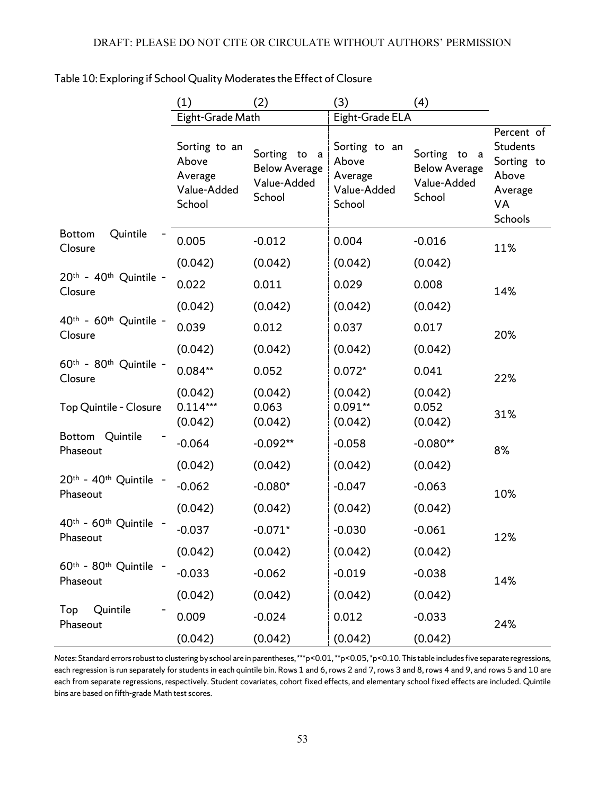|                                                          | (1)                                                        | (2)                                                           | (3)                                                        | (4)                                                              |                                                                                         |
|----------------------------------------------------------|------------------------------------------------------------|---------------------------------------------------------------|------------------------------------------------------------|------------------------------------------------------------------|-----------------------------------------------------------------------------------------|
|                                                          | Eight-Grade Math                                           |                                                               | Eight-Grade ELA                                            |                                                                  |                                                                                         |
|                                                          | Sorting to an<br>Above<br>Average<br>Value-Added<br>School | Sorting to a<br><b>Below Average</b><br>Value-Added<br>School | Sorting to an<br>Above<br>Average<br>Value-Added<br>School | Sorting<br>to a<br><b>Below Average</b><br>Value-Added<br>School | Percent of<br><b>Students</b><br>Sorting to<br>Above<br>Average<br>VA<br><b>Schools</b> |
| Quintile<br><b>Bottom</b><br>Closure                     | 0.005                                                      | $-0.012$                                                      | 0.004                                                      | $-0.016$                                                         | 11%                                                                                     |
|                                                          | (0.042)                                                    | (0.042)                                                       | (0.042)                                                    | (0.042)                                                          |                                                                                         |
| 20th - 40th Quintile -<br>Closure                        | 0.022                                                      | 0.011                                                         | 0.029                                                      | 0.008                                                            | 14%                                                                                     |
|                                                          | (0.042)                                                    | (0.042)                                                       | (0.042)                                                    | (0.042)                                                          |                                                                                         |
| 40th - 60th Quintile -<br>Closure                        | 0.039                                                      | 0.012                                                         | 0.037                                                      | 0.017                                                            | 20%                                                                                     |
| 60th - 80th Quintile -<br>Closure                        | (0.042)                                                    | (0.042)                                                       | (0.042)                                                    | (0.042)                                                          |                                                                                         |
|                                                          | $0.084**$                                                  | 0.052                                                         | $0.072*$                                                   | 0.041                                                            | 22%                                                                                     |
| Top Quintile - Closure                                   | (0.042)<br>$0.114***$<br>(0.042)                           | (0.042)<br>0.063<br>(0.042)                                   | (0.042)<br>$0.091**$<br>(0.042)                            | (0.042)<br>0.052<br>(0.042)                                      | 31%                                                                                     |
| Bottom Quintile<br>Phaseout                              | $-0.064$                                                   | $-0.092**$                                                    | $-0.058$                                                   | $-0.080**$                                                       | 8%                                                                                      |
|                                                          | (0.042)                                                    | (0.042)                                                       | (0.042)                                                    | (0.042)                                                          |                                                                                         |
| 20th - 40th Quintile<br>Phaseout                         | $-0.062$                                                   | $-0.080*$                                                     | $-0.047$                                                   | $-0.063$                                                         | 10%                                                                                     |
|                                                          | (0.042)                                                    | (0.042)                                                       | (0.042)                                                    | (0.042)                                                          |                                                                                         |
| 40th - 60th Quintile<br>Phaseout                         | $-0.037$                                                   | $-0.071*$                                                     | $-0.030$                                                   | $-0.061$                                                         | 12%                                                                                     |
|                                                          | (0.042)                                                    | (0.042)                                                       | (0.042)                                                    | (0.042)                                                          |                                                                                         |
| 60 <sup>th</sup> - 80 <sup>th</sup> Quintile<br>Phaseout | $-0.033$                                                   | $-0.062$                                                      | $-0.019$                                                   | $-0.038$                                                         | 14%                                                                                     |
|                                                          | (0.042)                                                    | (0.042)                                                       | (0.042)                                                    | (0.042)                                                          |                                                                                         |
| Quintile<br>Top<br>Phaseout                              | 0.009                                                      | $-0.024$                                                      | 0.012                                                      | $-0.033$                                                         | 24%                                                                                     |
|                                                          | (0.042)                                                    | (0.042)                                                       | (0.042)                                                    | (0.042)                                                          |                                                                                         |

## Table 10: Exploring if School Quality Moderates the Effect of Closure

*Notes*: Standard errors robust to clustering by school are in parentheses, \*\*\*p<0.01, \*\*p<0.05, \*p<0.10. This table includes five separate regressions, each regression is run separately for students in each quintile bin. Rows 1 and 6, rows 2 and 7, rows 3 and 8, rows 4 and 9, and rows 5 and 10 are each from separate regressions, respectively. Student covariates, cohort fixed effects, and elementary school fixed effects are included. Quintile bins are based on fifth-grade Math test scores.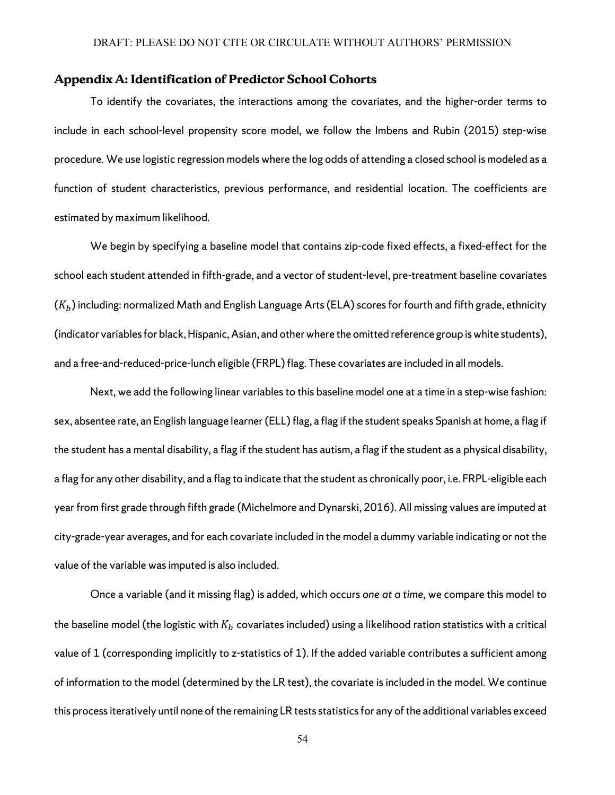#### **Appendix A: Identification of Predictor School Cohorts**

To identify the covariates, the interactions among the covariates, and the higher-order terms to include in each school-level propensity score model, we follow the Imbens and Rubin (2015) step-wise procedure. We use logistic regression models where the log odds of attending a closed school is modeled as a function of student characteristics, previous performance, and residential location. The coefficients are estimated by maximum likelihood.

We begin by specifying a baseline model that contains zip-code fixed effects, a fixed-effect for the school each student attended in fifth-grade, and a vector of student-level, pre-treatment baseline covariates  $(K_h)$  including: normalized Math and English Language Arts (ELA) scores for fourth and fifth grade, ethnicity (indicator variablesfor black, Hispanic, Asian, and other where the omitted reference group is white students), and a free-and-reduced-price-lunch eligible (FRPL) flag. These covariates are included in all models.

Next, we add the following linear variables to this baseline model one at a time in a step-wise fashion: sex, absentee rate, an English language learner (ELL) flag, a flag if the student speaks Spanish at home, a flag if the student has a mental disability, a flag if the student has autism, a flag if the student as a physical disability, a flag for any other disability, and a flag to indicate that the student as chronically poor, i.e. FRPL-eligible each year from first grade through fifth grade (Michelmore and Dynarski, 2016). All missing values are imputed at city-grade-year averages, and for each covariate included in the model a dummy variable indicating or not the value of the variable was imputed is also included.

Once a variable (and it missing flag) is added, which occurs *one at a time,* we compare this model to the baseline model (the logistic with  $K_b$  covariates included) using a likelihood ration statistics with a critical value of 1 (corresponding implicitly to z-statistics of 1). If the added variable contributes a sufficient among of information to the model (determined by the LR test), the covariate is included in the model. We continue this process iteratively until none of the remaining LR tests statistics for any of the additional variables exceed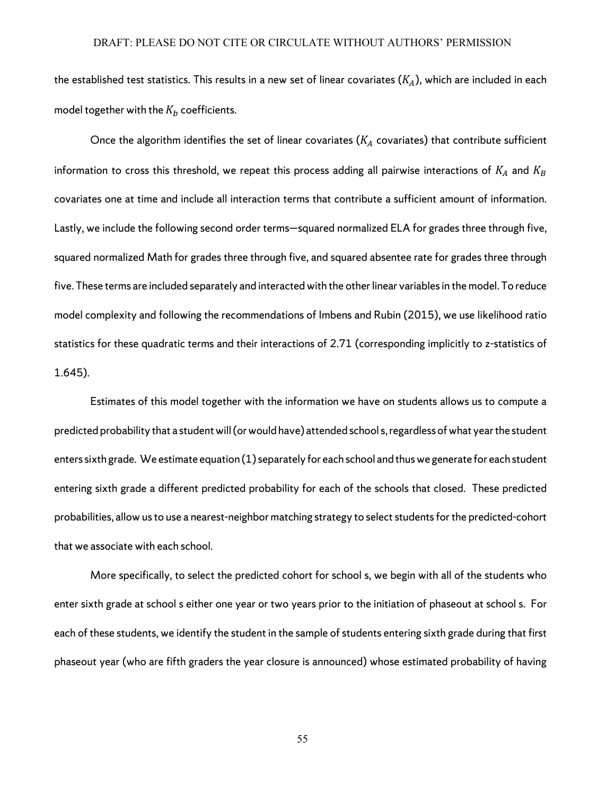the established test statistics. This results in a new set of linear covariates  $(K_A)$ , which are included in each model together with the  $K_b$  coefficients.

Once the algorithm identifies the set of linear covariates ( $K_A$  covariates) that contribute sufficient information to cross this threshold, we repeat this process adding all pairwise interactions of  $K_A$  and  $K_B$ covariates one at time and include all interaction terms that contribute a sufficient amount of information. Lastly, we include the following second order terms—squared normalized ELA for grades three through five, squared normalized Math for grades three through five, and squared absentee rate for grades three through five. These terms are included separately and interacted with the other linear variables in the model. To reduce model complexity and following the recommendations of Imbens and Rubin (2015), we use likelihood ratio statistics for these quadratic terms and their interactions of 2.71 (corresponding implicitly to z-statistics of 1.645).

Estimates of this model together with the information we have on students allows us to compute a predicted probability that a student will (or would have) attended school s, regardless of what year the student enters sixth grade. We estimate equation (1) separately for each school and thus we generate for each student entering sixth grade a different predicted probability for each of the schools that closed. These predicted probabilities, allow us to use a nearest-neighbor matching strategy to select students for the predicted-cohort that we associate with each school.

More specifically, to select the predicted cohort for school s, we begin with all of the students who enter sixth grade at school s either one year or two years prior to the initiation of phaseout at school s. For each of these students, we identify the student in the sample of students entering sixth grade during that first phaseout year (who are fifth graders the year closure is announced) whose estimated probability of having

55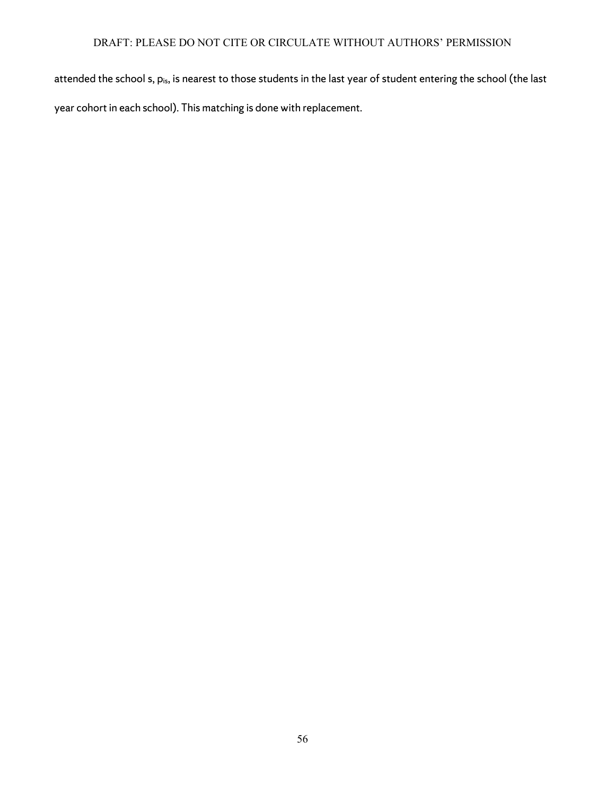attended the school s, pis, is nearest to those students in the last year of student entering the school (the last year cohort in each school). This matching is done with replacement.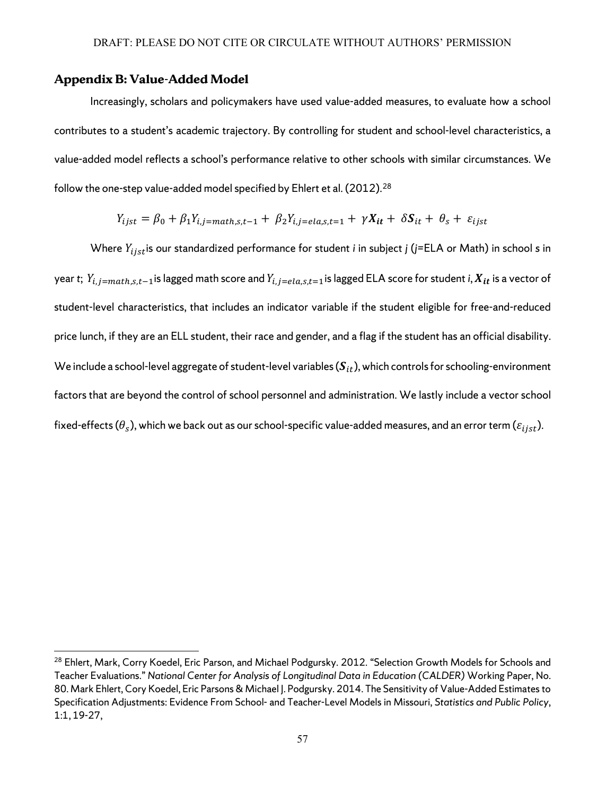## **Appendix B: Value-Added Model**

 $\overline{a}$ 

Increasingly, scholars and policymakers have used value-added measures, to evaluate how a school contributes to a student's academic trajectory. By controlling for student and school-level characteristics, a value-added model reflects a school's performance relative to other schools with similar circumstances. We follow the one-step value-added model specified by Ehlert et al. (2012). $^{\rm 28}$  $^{\rm 28}$  $^{\rm 28}$ 

$$
Y_{ijst} = \beta_0 + \beta_1 Y_{i,j = math,s,t-1} + \beta_2 Y_{i,j = ela,s,t=1} + \gamma X_{it} + \delta S_{it} + \theta_s + \varepsilon_{ijst}
$$

Where  $Y_{i,jst}$  is our standardized performance for student *i* in subject *j* (*j*=ELA or Math) in school *s* in year *t*;  $Y_{i,j=math,s,t-1}$  is lagged math score and  $Y_{i,j=ela,s,t=1}$  is lagged ELA score for student *i*,  $X_{it}$  is a vector of student-level characteristics, that includes an indicator variable if the student eligible for free-and-reduced price lunch, if they are an ELL student, their race and gender, and a flag if the student has an official disability. We include a school-level aggregate of student-level variables  $(S_{it})$ , which controls for schooling-environment factors that are beyond the control of school personnel and administration. We lastly include a vector school fixed-effects ( $\theta_s$ ), which we back out as our school-specific value-added measures, and an error term ( $\varepsilon_{i j s t}$ ).

<span id="page-59-0"></span><sup>&</sup>lt;sup>28</sup> Ehlert, Mark, Corry Koedel, Eric Parson, and Michael Podgursky. 2012. "Selection Growth Models for Schools and Teacher Evaluations." *National Center for Analysis of Longitudinal Data in Education (CALDER)* Working Paper, No. 80. Mark Ehlert, Cory Koedel, Eric Parsons & Michael J. Podgursky. 2014. The Sensitivity of Value-Added Estimates to Specification Adjustments: Evidence From School- and Teacher-Level Models in Missouri, *Statistics and Public Policy*, 1:1, 19-27,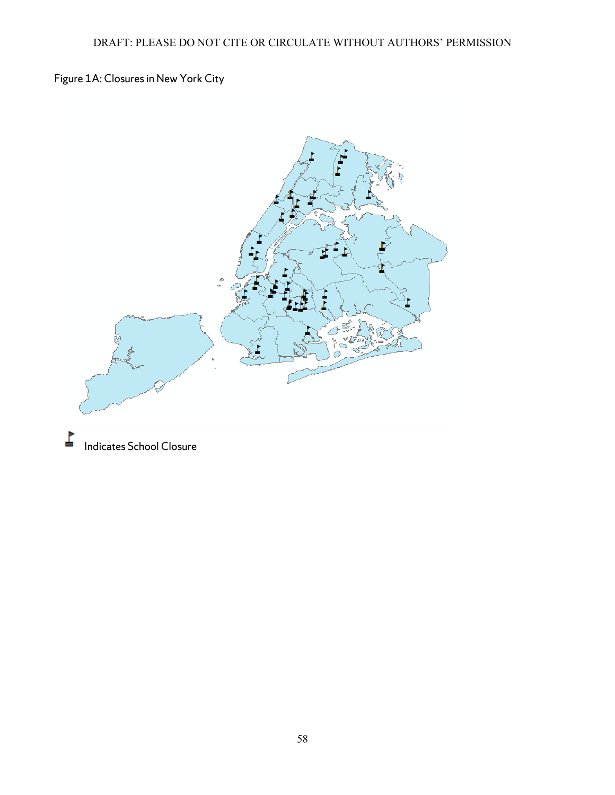Figure 1A: Closures in New York City



Indicates School Closure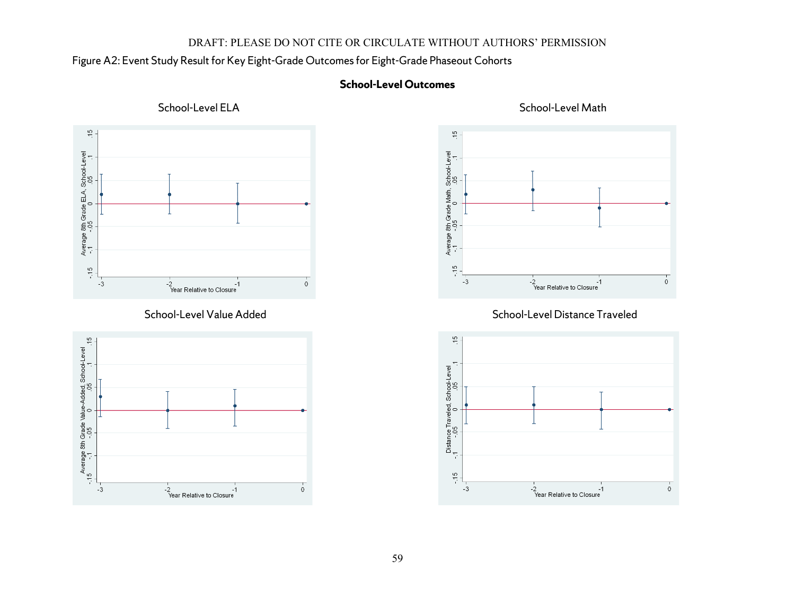## Figure A2: Event Study Result for Key Eight-Grade Outcomes for Eight-Grade Phaseout Cohorts

## **School-Level Outcomes**







## School-Level Value Added School-Level Distance Traveled



School-Level ELA School-Level Math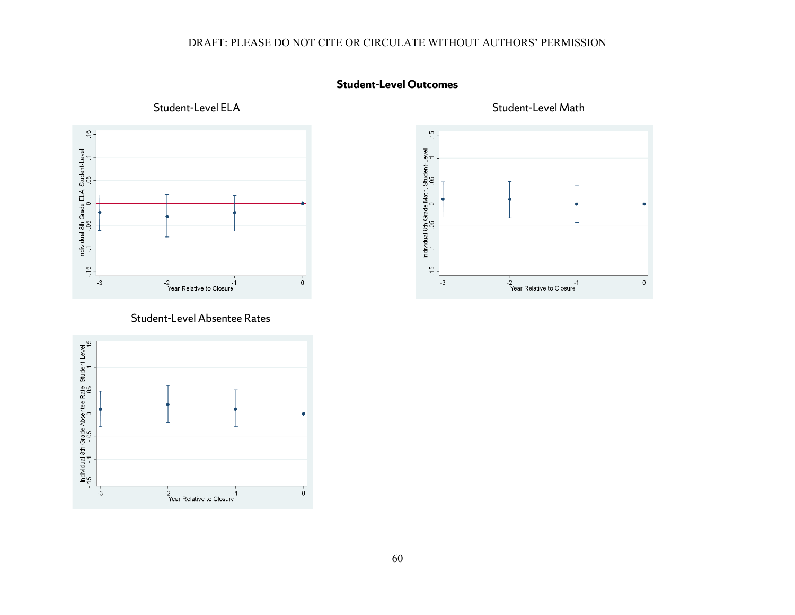

## Student-Level Absentee Rates







Student-Level ELA Student-Level Math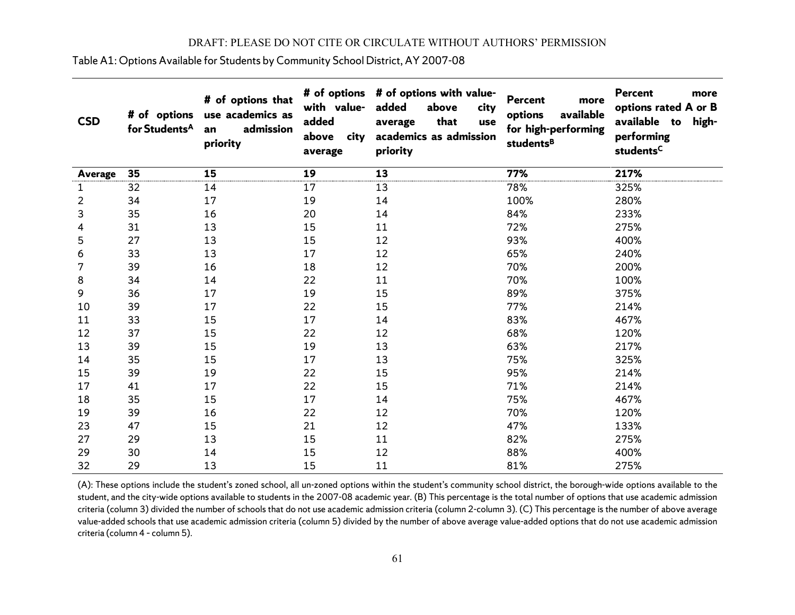Table A1: Options Available for Students by Community School District, AY 2007-08

| <b>CSD</b>     | # of options<br>for Students <sup>A</sup> | # of options that<br>use academics as<br>admission<br>an<br>priority | with value-<br>added<br>above<br>city<br>average | # of options # of options with value-<br>added<br>above<br>city<br>that<br>average<br>use<br>academics as admission<br>priority | <b>Percent</b><br>more<br>available<br>options<br>for high-performing<br>students <sup>B</sup> | <b>Percent</b><br>more<br>options rated A or B<br>available to<br>high-<br>performing<br>students <sup>C</sup> |
|----------------|-------------------------------------------|----------------------------------------------------------------------|--------------------------------------------------|---------------------------------------------------------------------------------------------------------------------------------|------------------------------------------------------------------------------------------------|----------------------------------------------------------------------------------------------------------------|
| <b>Average</b> | 35                                        | 15                                                                   | 19                                               | 13                                                                                                                              | 77%                                                                                            | 217%                                                                                                           |
| 1              | 32                                        | 14                                                                   | 17                                               | 13                                                                                                                              | 78%                                                                                            | 325%                                                                                                           |
| $\overline{2}$ | 34                                        | 17                                                                   | 19                                               | 14                                                                                                                              | 100%                                                                                           | 280%                                                                                                           |
| 3              | 35                                        | 16                                                                   | 20                                               | 14                                                                                                                              | 84%                                                                                            | 233%                                                                                                           |
| 4              | 31                                        | 13                                                                   | 15                                               | 11                                                                                                                              | 72%                                                                                            | 275%                                                                                                           |
| 5              | 27                                        | 13                                                                   | 15                                               | 12                                                                                                                              | 93%                                                                                            | 400%                                                                                                           |
| 6              | 33                                        | 13                                                                   | 17                                               | 12                                                                                                                              | 65%                                                                                            | 240%                                                                                                           |
| 7              | 39                                        | 16                                                                   | 18                                               | 12                                                                                                                              | 70%                                                                                            | 200%                                                                                                           |
| 8              | 34                                        | 14                                                                   | 22                                               | 11                                                                                                                              | 70%                                                                                            | 100%                                                                                                           |
| 9              | 36                                        | 17                                                                   | 19                                               | 15                                                                                                                              | 89%                                                                                            | 375%                                                                                                           |
| 10             | 39                                        | 17                                                                   | 22                                               | 15                                                                                                                              | 77%                                                                                            | 214%                                                                                                           |
| 11             | 33                                        | 15                                                                   | 17                                               | 14                                                                                                                              | 83%                                                                                            | 467%                                                                                                           |
| 12             | 37                                        | 15                                                                   | 22                                               | 12                                                                                                                              | 68%                                                                                            | 120%                                                                                                           |
| 13             | 39                                        | 15                                                                   | 19                                               | 13                                                                                                                              | 63%                                                                                            | 217%                                                                                                           |
| 14             | 35                                        | 15                                                                   | 17                                               | 13                                                                                                                              | 75%                                                                                            | 325%                                                                                                           |
| 15             | 39                                        | 19                                                                   | 22                                               | 15                                                                                                                              | 95%                                                                                            | 214%                                                                                                           |
| 17             | 41                                        | 17                                                                   | 22                                               | 15                                                                                                                              | 71%                                                                                            | 214%                                                                                                           |
| 18             | 35                                        | 15                                                                   | 17                                               | 14                                                                                                                              | 75%                                                                                            | 467%                                                                                                           |
| 19             | 39                                        | 16                                                                   | 22                                               | 12                                                                                                                              | 70%                                                                                            | 120%                                                                                                           |
| 23             | 47                                        | 15                                                                   | 21                                               | 12                                                                                                                              | 47%                                                                                            | 133%                                                                                                           |
| 27             | 29                                        | 13                                                                   | 15                                               | 11                                                                                                                              | 82%                                                                                            | 275%                                                                                                           |
| 29             | 30                                        | 14                                                                   | 15                                               | 12                                                                                                                              | 88%                                                                                            | 400%                                                                                                           |
| 32             | 29                                        | 13                                                                   | 15                                               | 11                                                                                                                              | 81%                                                                                            | 275%                                                                                                           |

(A): These options include the student's zoned school, all un-zoned options within the student's community school district, the borough-wide options available to the student, and the city-wide options available to students in the 2007-08 academic year. (B) This percentage is the total number of options that use academic admission criteria (column 3) divided the number of schools that do not use academic admission criteria (column 2-column 3). (C) This percentage is the number of above average value-added schools that use academic admission criteria (column 5) divided by the number of above average value-added options that do not use academic admission criteria (column 4 – column 5).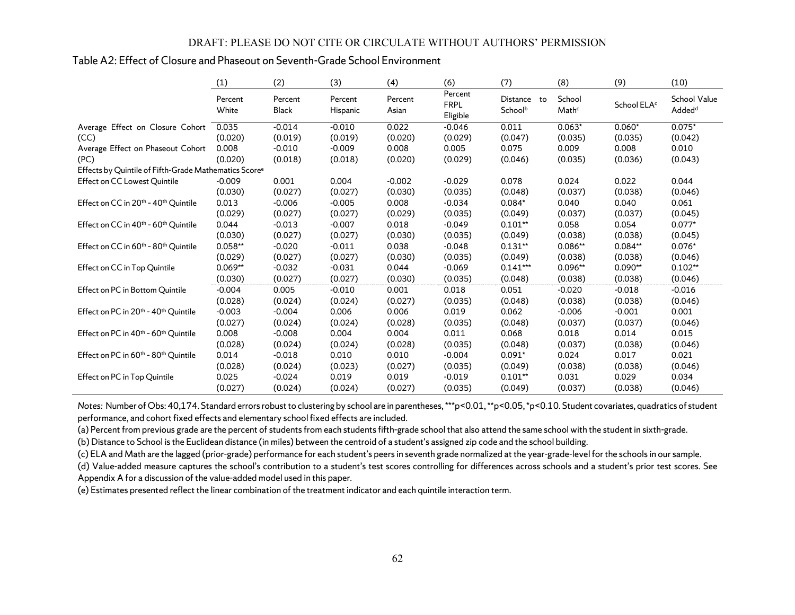## Table A2: Effect of Closure and Phaseout on Seventh-Grade School Environment

|                                                                   | (1)              | (2)              | (3)                 | (4)              | (6)                                | (7)                    | (8)             | (9)                     | (10)                               |
|-------------------------------------------------------------------|------------------|------------------|---------------------|------------------|------------------------------------|------------------------|-----------------|-------------------------|------------------------------------|
|                                                                   | Percent<br>White | Percent<br>Black | Percent<br>Hispanic | Percent<br>Asian | Percent<br><b>FRPL</b><br>Eligible | Distance to<br>Schoolb | School<br>Mathc | School ELA <sup>c</sup> | School Value<br>Added <sup>d</sup> |
| Average Effect on Closure Cohort                                  | 0.035            | $-0.014$         | $-0.010$            | 0.022            | $-0.046$                           | 0.011                  | $0.063*$        | $0.060*$                | $0.075*$                           |
| (CC)                                                              | (0.020)          | (0.019)          | (0.019)             | (0.020)          | (0.029)                            | (0.047)                | (0.035)         | (0.035)                 | (0.042)                            |
| Average Effect on Phaseout Cohort                                 | 0.008            | $-0.010$         | $-0.009$            | 0.008            | 0.005                              | 0.075                  | 0.009           | 0.008                   | 0.010                              |
| (PC)                                                              | (0.020)          | (0.018)          | (0.018)             | (0.020)          | (0.029)                            | (0.046)                | (0.035)         | (0.036)                 | (0.043)                            |
| Effects by Quintile of Fifth-Grade Mathematics Score <sup>e</sup> |                  |                  |                     |                  |                                    |                        |                 |                         |                                    |
| Effect on CC Lowest Quintile                                      | $-0.009$         | 0.001            | 0.004               | $-0.002$         | $-0.029$                           | 0.078                  | 0.024           | 0.022                   | 0.044                              |
|                                                                   | (0.030)          | (0.027)          | (0.027)             | (0.030)          | (0.035)                            | (0.048)                | (0.037)         | (0.038)                 | (0.046)                            |
| Effect on CC in 20 <sup>th</sup> - 40 <sup>th</sup> Quintile      | 0.013            | $-0.006$         | $-0.005$            | 0.008            | $-0.034$                           | $0.084*$               | 0.040           | 0.040                   | 0.061                              |
|                                                                   | (0.029)          | (0.027)          | (0.027)             | (0.029)          | (0.035)                            | (0.049)                | (0.037)         | (0.037)                 | (0.045)                            |
| Effect on CC in 40 <sup>th</sup> - 60 <sup>th</sup> Quintile      | 0.044            | $-0.013$         | $-0.007$            | 0.018            | $-0.049$                           | $0.101**$              | 0.058           | 0.054                   | $0.077*$                           |
|                                                                   | (0.030)          | (0.027)          | (0.027)             | (0.030)          | (0.035)                            | (0.049)                | (0.038)         | (0.038)                 | (0.045)                            |
| Effect on CC in 60 <sup>th</sup> - 80 <sup>th</sup> Quintile      | $0.058**$        | $-0.020$         | $-0.011$            | 0.038            | $-0.048$                           | $0.131**$              | $0.086**$       | $0.084**$               | $0.076*$                           |
|                                                                   | (0.029)          | (0.027)          | (0.027)             | (0.030)          | (0.035)                            | (0.049)                | (0.038)         | (0.038)                 | (0.046)                            |
| Effect on CC in Top Quintile                                      | $0.069**$        | $-0.032$         | $-0.031$            | 0.044            | $-0.069$                           | $0.141***$             | 0.096**         | $0.090**$               | $0.102**$                          |
|                                                                   | (0.030)          | (0.027)          | (0.027)             | (0.030)          | (0.035)                            | (0.048)                | (0.038)         | (0.038)                 | (0.046)                            |
| Effect on PC in Bottom Quintile                                   | $-0.004$         | 0.005            | $-0.010$            | 0.001            | 0.018                              | 0.051                  | $-0.020$        | $-0.018$                | $-0.016$                           |
|                                                                   | (0.028)          | (0.024)          | (0.024)             | (0.027)          | (0.035)                            | (0.048)                | (0.038)         | (0.038)                 | (0.046)                            |
| Effect on PC in 20 <sup>th</sup> - 40 <sup>th</sup> Quintile      | $-0.003$         | $-0.004$         | 0.006               | 0.006            | 0.019                              | 0.062                  | $-0.006$        | $-0.001$                | 0.001                              |
|                                                                   | (0.027)          | (0.024)          | (0.024)             | (0.028)          | (0.035)                            | (0.048)                | (0.037)         | (0.037)                 | (0.046)                            |
| Effect on PC in 40 <sup>th</sup> - 60 <sup>th</sup> Quintile      | 0.008            | $-0.008$         | 0.004               | 0.004            | 0.011                              | 0.068                  | 0.018           | 0.014                   | 0.015                              |
|                                                                   | (0.028)          | (0.024)          | (0.024)             | (0.028)          | (0.035)                            | (0.048)                | (0.037)         | (0.038)                 | (0.046)                            |
| Effect on PC in 60 <sup>th</sup> - 80 <sup>th</sup> Quintile      | 0.014            | $-0.018$         | 0.010               | 0.010            | $-0.004$                           | $0.091*$               | 0.024           | 0.017                   | 0.021                              |
|                                                                   | (0.028)          | (0.024)          | (0.023)             | (0.027)          | (0.035)                            | (0.049)                | (0.038)         | (0.038)                 | (0.046)                            |
| Effect on PC in Top Quintile                                      | 0.025            | $-0.024$         | 0.019               | 0.019            | $-0.019$                           | $0.101**$              | 0.031           | 0.029                   | 0.034                              |
|                                                                   | (0.027)          | (0.024)          | (0.024)             | (0.027)          | (0.035)                            | (0.049)                | (0.037)         | (0.038)                 | (0.046)                            |

*Notes:* Number of Obs: 40,174. Standard errors robust to clustering by school are in parentheses, \*\*\*p<0.01, \*\*p<0.05, \*p<0.10. Student covariates, quadratics of student performance, and cohort fixed effects and elementary school fixed effects are included.

(a) Percent from previous grade are the percent of students from each students fifth-grade school that also attend the same school with the student in sixth-grade.

(b) Distance to School is the Euclidean distance (in miles) between the centroid of a student's assigned zip code and the school building.

(c) ELA and Math are the lagged (prior-grade) performance for each student's peers in seventh grade normalized at the year-grade-level for the schools in our sample.

(d) Value-added measure captures the school's contribution to a student's test scores controlling for differences across schools and a student's prior test scores. See Appendix A for a discussion of the value-added model used in this paper.

(e) Estimates presented reflect the linear combination of the treatment indicator and each quintile interaction term.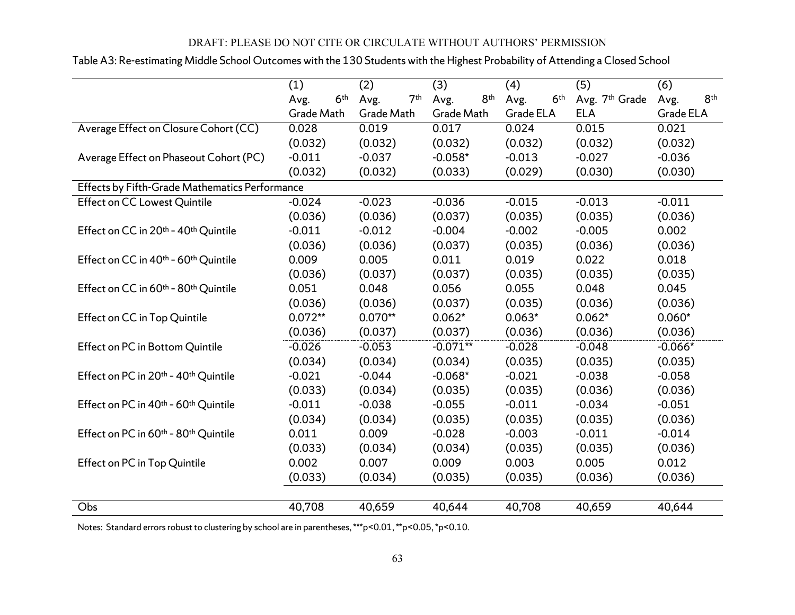|                                                              | (1)                     | (2)                     | (3)                     | (4)                     | (5)            | (6)                     |
|--------------------------------------------------------------|-------------------------|-------------------------|-------------------------|-------------------------|----------------|-------------------------|
|                                                              | 6 <sup>th</sup><br>Avg. | 7 <sup>th</sup><br>Avg. | 8 <sup>th</sup><br>Avg. | 6 <sup>th</sup><br>Avg. | Avg. 7th Grade | 8 <sup>th</sup><br>Avg. |
|                                                              | Grade Math              | Grade Math              | Grade Math              | Grade ELA               | <b>ELA</b>     | Grade ELA               |
| Average Effect on Closure Cohort (CC)                        | 0.028                   | 0.019                   | 0.017                   | 0.024                   | 0.015          | 0.021                   |
|                                                              | (0.032)                 | (0.032)                 | (0.032)                 | (0.032)                 | (0.032)        | (0.032)                 |
| Average Effect on Phaseout Cohort (PC)                       | $-0.011$                | $-0.037$                | $-0.058*$               | $-0.013$                | $-0.027$       | $-0.036$                |
|                                                              | (0.032)                 | (0.032)                 | (0.033)                 | (0.029)                 | (0.030)        | (0.030)                 |
| Effects by Fifth-Grade Mathematics Performance               |                         |                         |                         |                         |                |                         |
| <b>Effect on CC Lowest Quintile</b>                          | $-0.024$                | $-0.023$                | $-0.036$                | $-0.015$                | $-0.013$       | $-0.011$                |
|                                                              | (0.036)                 | (0.036)                 | (0.037)                 | (0.035)                 | (0.035)        | (0.036)                 |
| Effect on CC in 20th - 40th Quintile                         | $-0.011$                | $-0.012$                | $-0.004$                | $-0.002$                | $-0.005$       | 0.002                   |
|                                                              | (0.036)                 | (0.036)                 | (0.037)                 | (0.035)                 | (0.036)        | (0.036)                 |
| Effect on CC in 40 <sup>th</sup> - 60 <sup>th</sup> Quintile | 0.009                   | 0.005                   | 0.011                   | 0.019                   | 0.022          | 0.018                   |
|                                                              | (0.036)                 | (0.037)                 | (0.037)                 | (0.035)                 | (0.035)        | (0.035)                 |
| Effect on CC in 60th - 80th Quintile                         | 0.051                   | 0.048                   | 0.056                   | 0.055                   | 0.048          | 0.045                   |
|                                                              | (0.036)                 | (0.036)                 | (0.037)                 | (0.035)                 | (0.036)        | (0.036)                 |
| <b>Effect on CC in Top Quintile</b>                          | $0.072**$               | $0.070**$               | $0.062*$                | $0.063*$                | $0.062*$       | $0.060*$                |
|                                                              | (0.036)                 | (0.037)                 | (0.037)                 | (0.036)                 | (0.036)        | (0.036)                 |
| Effect on PC in Bottom Quintile                              | $-0.026$                | $-0.053$                | $-0.071**$              | $-0.028$                | $-0.048$       | $-0.066*$               |
|                                                              | (0.034)                 | (0.034)                 | (0.034)                 | (0.035)                 | (0.035)        | (0.035)                 |
| Effect on PC in 20 <sup>th</sup> - 40 <sup>th</sup> Quintile | $-0.021$                | $-0.044$                | $-0.068*$               | $-0.021$                | $-0.038$       | $-0.058$                |
|                                                              | (0.033)                 | (0.034)                 | (0.035)                 | (0.035)                 | (0.036)        | (0.036)                 |
| Effect on PC in 40th - 60th Quintile                         | $-0.011$                | $-0.038$                | $-0.055$                | $-0.011$                | $-0.034$       | $-0.051$                |
|                                                              | (0.034)                 | (0.034)                 | (0.035)                 | (0.035)                 | (0.035)        | (0.036)                 |
| Effect on PC in 60th - 80th Quintile                         | 0.011                   | 0.009                   | $-0.028$                | $-0.003$                | $-0.011$       | $-0.014$                |
|                                                              | (0.033)                 | (0.034)                 | (0.034)                 | (0.035)                 | (0.035)        | (0.036)                 |
| Effect on PC in Top Quintile                                 | 0.002                   | 0.007                   | 0.009                   | 0.003                   | 0.005          | 0.012                   |
|                                                              | (0.033)                 | (0.034)                 | (0.035)                 | (0.035)                 | (0.036)        | (0.036)                 |
|                                                              |                         |                         |                         |                         |                |                         |
| Obs                                                          | 40,708                  | 40,659                  | 40,644                  | 40,708                  | 40,659         | 40,644                  |

## Table A3: Re-estimating Middle School Outcomes with the 130 Students with the Highest Probability of Attending a Closed School

Notes: Standard errors robust to clustering by school are in parentheses, \*\*\*p<0.01, \*\*p<0.05, \*p<0.10.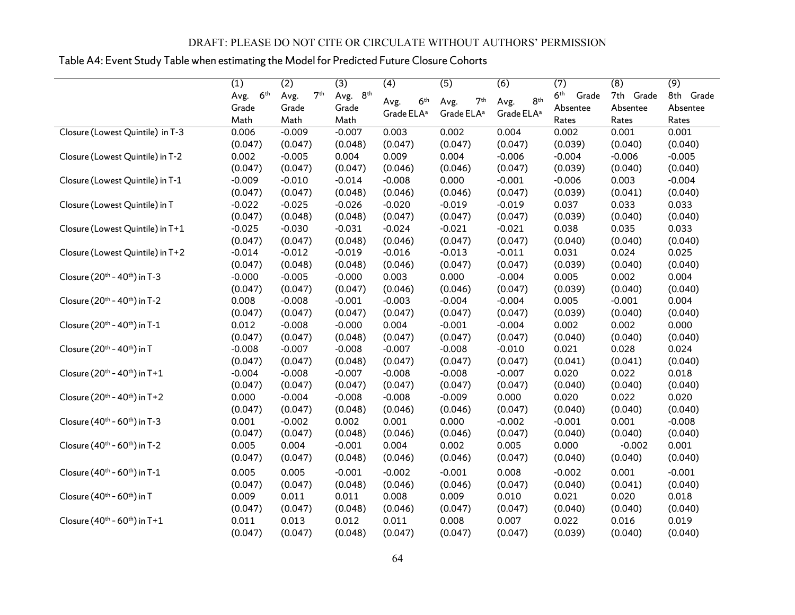## Table A4: Event Study Table when estimating the Model for Predicted Future Closure Cohorts

|                                                       | (1)                     | (2)                     | (3)      | (4)                    | (5)                    | (6)                    | (7)                      | (8)       | (9)       |
|-------------------------------------------------------|-------------------------|-------------------------|----------|------------------------|------------------------|------------------------|--------------------------|-----------|-----------|
|                                                       | 6 <sup>th</sup><br>Avg. | 7 <sup>th</sup><br>Avg. | Avg. 8th | 6 <sup>th</sup>        | 7 <sup>th</sup>        | 8 <sup>th</sup>        | 6 <sup>th</sup><br>Grade | 7th Grade | 8th Grade |
|                                                       | Grade                   | Grade                   | Grade    | Avg.                   | Avg.                   | Avg.                   | Absentee                 | Absentee  | Absentee  |
|                                                       | Math                    | Math                    | Math     | Grade ELA <sup>a</sup> | Grade ELA <sup>a</sup> | Grade ELA <sup>a</sup> | Rates                    | Rates     | Rates     |
| Closure (Lowest Quintile) in T-3                      | 0.006                   | $-0.009$                | $-0.007$ | 0.003                  | 0.002                  | 0.004                  | 0.002                    | 0.001     | 0.001     |
|                                                       | (0.047)                 | (0.047)                 | (0.048)  | (0.047)                | (0.047)                | (0.047)                | (0.039)                  | (0.040)   | (0.040)   |
| Closure (Lowest Quintile) in T-2                      | 0.002                   | $-0.005$                | 0.004    | 0.009                  | 0.004                  | $-0.006$               | $-0.004$                 | $-0.006$  | $-0.005$  |
|                                                       | (0.047)                 | (0.047)                 | (0.047)  | (0.046)                | (0.046)                | (0.047)                | (0.039)                  | (0.040)   | (0.040)   |
| Closure (Lowest Quintile) in T-1                      | $-0.009$                | $-0.010$                | $-0.014$ | $-0.008$               | 0.000                  | $-0.001$               | $-0.006$                 | 0.003     | $-0.004$  |
|                                                       | (0.047)                 | (0.047)                 | (0.048)  | (0.046)                | (0.046)                | (0.047)                | (0.039)                  | (0.041)   | (0.040)   |
| Closure (Lowest Quintile) in T                        | $-0.022$                | $-0.025$                | $-0.026$ | $-0.020$               | $-0.019$               | $-0.019$               | 0.037                    | 0.033     | 0.033     |
|                                                       | (0.047)                 | (0.048)                 | (0.048)  | (0.047)                | (0.047)                | (0.047)                | (0.039)                  | (0.040)   | (0.040)   |
| Closure (Lowest Quintile) in T+1                      | $-0.025$                | $-0.030$                | $-0.031$ | $-0.024$               | $-0.021$               | $-0.021$               | 0.038                    | 0.035     | 0.033     |
|                                                       | (0.047)                 | (0.047)                 | (0.048)  | (0.046)                | (0.047)                | (0.047)                | (0.040)                  | (0.040)   | (0.040)   |
| Closure (Lowest Quintile) in T+2                      | $-0.014$                | $-0.012$                | $-0.019$ | $-0.016$               | $-0.013$               | $-0.011$               | 0.031                    | 0.024     | 0.025     |
|                                                       | (0.047)                 | (0.048)                 | (0.048)  | (0.046)                | (0.047)                | (0.047)                | (0.039)                  | (0.040)   | (0.040)   |
| Closure (20 <sup>th</sup> - 40 <sup>th</sup> ) in T-3 | $-0.000$                | $-0.005$                | $-0.000$ | 0.003                  | 0.000                  | $-0.004$               | 0.005                    | 0.002     | 0.004     |
|                                                       | (0.047)                 | (0.047)                 | (0.047)  | (0.046)                | (0.046)                | (0.047)                | (0.039)                  | (0.040)   | (0.040)   |
| Closure (20 <sup>th</sup> - 40 <sup>th</sup> ) in T-2 | 0.008                   | $-0.008$                | $-0.001$ | $-0.003$               | $-0.004$               | $-0.004$               | 0.005                    | $-0.001$  | 0.004     |
|                                                       | (0.047)                 | (0.047)                 | (0.047)  | (0.047)                | (0.047)                | (0.047)                | (0.039)                  | (0.040)   | (0.040)   |
| Closure (20 <sup>th</sup> - 40 <sup>th</sup> ) in T-1 | 0.012                   | $-0.008$                | $-0.000$ | 0.004                  | $-0.001$               | $-0.004$               | 0.002                    | 0.002     | 0.000     |
|                                                       | (0.047)                 | (0.047)                 | (0.048)  | (0.047)                | (0.047)                | (0.047)                | (0.040)                  | (0.040)   | (0.040)   |
| Closure (20 <sup>th</sup> - 40 <sup>th</sup> ) in T   | $-0.008$                | $-0.007$                | $-0.008$ | $-0.007$               | $-0.008$               | $-0.010$               | 0.021                    | 0.028     | 0.024     |
|                                                       | (0.047)                 | (0.047)                 | (0.048)  | (0.047)                | (0.047)                | (0.047)                | (0.041)                  | (0.041)   | (0.040)   |
| Closure (20 <sup>th</sup> - 40 <sup>th</sup> ) in T+1 | $-0.004$                | $-0.008$                | $-0.007$ | $-0.008$               | $-0.008$               | $-0.007$               | 0.020                    | 0.022     | 0.018     |
|                                                       | (0.047)                 | (0.047)                 | (0.047)  | (0.047)                | (0.047)                | (0.047)                | (0.040)                  | (0.040)   | (0.040)   |
| Closure (20 <sup>th</sup> - 40 <sup>th</sup> ) in T+2 | 0.000                   | $-0.004$                | $-0.008$ | $-0.008$               | $-0.009$               | 0.000                  | 0.020                    | 0.022     | 0.020     |
|                                                       | (0.047)                 | (0.047)                 | (0.048)  | (0.046)                | (0.046)                | (0.047)                | (0.040)                  | (0.040)   | (0.040)   |
| Closure (40 <sup>th</sup> - 60 <sup>th</sup> ) in T-3 | 0.001                   | $-0.002$                | 0.002    | 0.001                  | 0.000                  | $-0.002$               | $-0.001$                 | 0.001     | $-0.008$  |
|                                                       | (0.047)                 | (0.047)                 | (0.048)  | (0.046)                | (0.046)                | (0.047)                | (0.040)                  | (0.040)   | (0.040)   |
| Closure $(40^{th} - 60^{th})$ in T-2                  | 0.005                   | 0.004                   | $-0.001$ | 0.004                  | 0.002                  | 0.005                  | 0.000                    | $-0.002$  | 0.001     |
|                                                       | (0.047)                 | (0.047)                 | (0.048)  | (0.046)                | (0.046)                | (0.047)                | (0.040)                  | (0.040)   | (0.040)   |
| Closure (40 <sup>th</sup> - 60 <sup>th</sup> ) in T-1 | 0.005                   | 0.005                   | $-0.001$ | $-0.002$               | $-0.001$               | 0.008                  | $-0.002$                 | 0.001     | $-0.001$  |
|                                                       | (0.047)                 | (0.047)                 | (0.048)  | (0.046)                | (0.046)                | (0.047)                | (0.040)                  | (0.041)   | (0.040)   |
| Closure (40 <sup>th</sup> - 60 <sup>th</sup> ) in T   | 0.009                   | 0.011                   | 0.011    | 0.008                  | 0.009                  | 0.010                  | 0.021                    | 0.020     | 0.018     |
|                                                       | (0.047)                 | (0.047)                 | (0.048)  | (0.046)                | (0.047)                | (0.047)                | (0.040)                  | (0.040)   | (0.040)   |
| Closure $(40^{th} - 60^{th})$ in T+1                  | 0.011                   | 0.013                   | 0.012    | 0.011                  | 0.008                  | 0.007                  | 0.022                    | 0.016     | 0.019     |
|                                                       | (0.047)                 | (0.047)                 | (0.048)  | (0.047)                | (0.047)                | (0.047)                | (0.039)                  | (0.040)   | (0.040)   |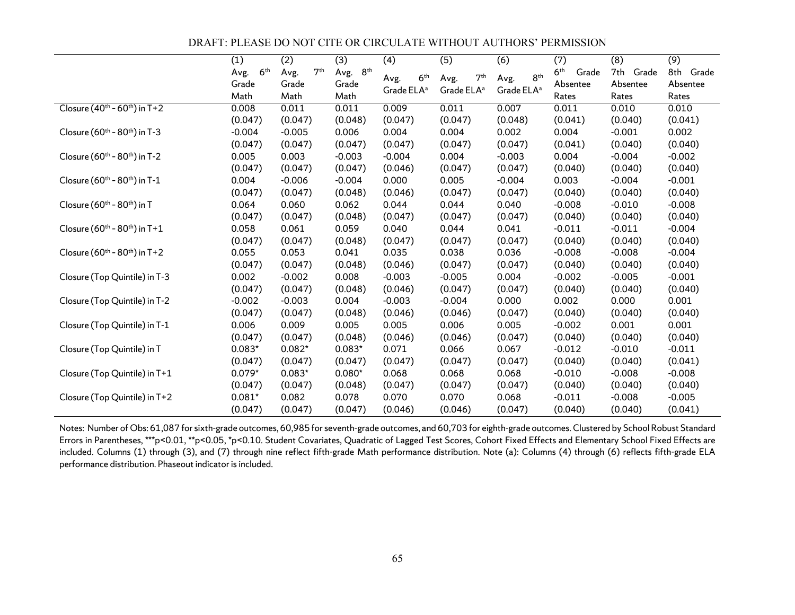DRAFT: PLEASE DO NOT CITE OR CIRCULATE WITHOUT AUTHORS' PERMISSION

|                                                       | (1)                     | (2)                     | (3)      | (4)                     | (5)                     | (6)                     | (7)                      | (8)       | (9)       |
|-------------------------------------------------------|-------------------------|-------------------------|----------|-------------------------|-------------------------|-------------------------|--------------------------|-----------|-----------|
|                                                       | 6 <sup>th</sup><br>Avg. | 7 <sup>th</sup><br>Avg. | Avg. 8th |                         |                         |                         | 6 <sup>th</sup><br>Grade | 7th Grade | 8th Grade |
|                                                       | Grade                   | Grade                   | Grade    | 6 <sup>th</sup><br>Avg. | 7 <sup>th</sup><br>Avg. | 8 <sup>th</sup><br>Avg. | Absentee                 | Absentee  | Absentee  |
|                                                       | Math                    | Math                    | Math     | Grade ELA <sup>a</sup>  | Grade ELA <sup>a</sup>  | Grade ELA <sup>a</sup>  | Rates                    | Rates     | Rates     |
| Closure $(40^{th} - 60^{th})$ in T+2                  | 0.008                   | 0.011                   | 0.011    | 0.009                   | 0.011                   | 0.007                   | 0.011                    | 0.010     | 0.010     |
|                                                       | (0.047)                 | (0.047)                 | (0.048)  | (0.047)                 | (0.047)                 | (0.048)                 | (0.041)                  | (0.040)   | (0.041)   |
| Closure (60 <sup>th</sup> - 80 <sup>th</sup> ) in T-3 | $-0.004$                | $-0.005$                | 0.006    | 0.004                   | 0.004                   | 0.002                   | 0.004                    | $-0.001$  | 0.002     |
|                                                       | (0.047)                 | (0.047)                 | (0.047)  | (0.047)                 | (0.047)                 | (0.047)                 | (0.041)                  | (0.040)   | (0.040)   |
| Closure (60 <sup>th</sup> - 80 <sup>th</sup> ) in T-2 | 0.005                   | 0.003                   | $-0.003$ | $-0.004$                | 0.004                   | $-0.003$                | 0.004                    | $-0.004$  | $-0.002$  |
|                                                       | (0.047)                 | (0.047)                 | (0.047)  | (0.046)                 | (0.047)                 | (0.047)                 | (0.040)                  | (0.040)   | (0.040)   |
| Closure $(60^{th} - 80^{th})$ in T-1                  | 0.004                   | $-0.006$                | $-0.004$ | 0.000                   | 0.005                   | $-0.004$                | 0.003                    | $-0.004$  | $-0.001$  |
|                                                       | (0.047)                 | (0.047)                 | (0.048)  | (0.046)                 | (0.047)                 | (0.047)                 | (0.040)                  | (0.040)   | (0.040)   |
| Closure (60 <sup>th</sup> - 80 <sup>th</sup> ) in T   | 0.064                   | 0.060                   | 0.062    | 0.044                   | 0.044                   | 0.040                   | $-0.008$                 | $-0.010$  | $-0.008$  |
|                                                       | (0.047)                 | (0.047)                 | (0.048)  | (0.047)                 | (0.047)                 | (0.047)                 | (0.040)                  | (0.040)   | (0.040)   |
| Closure (60 <sup>th</sup> - 80 <sup>th</sup> ) in T+1 | 0.058                   | 0.061                   | 0.059    | 0.040                   | 0.044                   | 0.041                   | $-0.011$                 | $-0.011$  | $-0.004$  |
|                                                       | (0.047)                 | (0.047)                 | (0.048)  | (0.047)                 | (0.047)                 | (0.047)                 | (0.040)                  | (0.040)   | (0.040)   |
| Closure $(60^{th} - 80^{th})$ in T+2                  | 0.055                   | 0.053                   | 0.041    | 0.035                   | 0.038                   | 0.036                   | $-0.008$                 | $-0.008$  | $-0.004$  |
|                                                       | (0.047)                 | (0.047)                 | (0.048)  | (0.046)                 | (0.047)                 | (0.047)                 | (0.040)                  | (0.040)   | (0.040)   |
| Closure (Top Quintile) in T-3                         | 0.002                   | $-0.002$                | 0.008    | $-0.003$                | $-0.005$                | 0.004                   | $-0.002$                 | $-0.005$  | $-0.001$  |
|                                                       | (0.047)                 | (0.047)                 | (0.048)  | (0.046)                 | (0.047)                 | (0.047)                 | (0.040)                  | (0.040)   | (0.040)   |
| Closure (Top Quintile) in T-2                         | $-0.002$                | $-0.003$                | 0.004    | $-0.003$                | $-0.004$                | 0.000                   | 0.002                    | 0.000     | 0.001     |
|                                                       | (0.047)                 | (0.047)                 | (0.048)  | (0.046)                 | (0.046)                 | (0.047)                 | (0.040)                  | (0.040)   | (0.040)   |
| Closure (Top Quintile) in T-1                         | 0.006                   | 0.009                   | 0.005    | 0.005                   | 0.006                   | 0.005                   | $-0.002$                 | 0.001     | 0.001     |
|                                                       | (0.047)                 | (0.047)                 | (0.048)  | (0.046)                 | (0.046)                 | (0.047)                 | (0.040)                  | (0.040)   | (0.040)   |
| Closure (Top Quintile) in T                           | $0.083*$                | $0.082*$                | $0.083*$ | 0.071                   | 0.066                   | 0.067                   | $-0.012$                 | $-0.010$  | $-0.011$  |
|                                                       | (0.047)                 | (0.047)                 | (0.047)  | (0.047)                 | (0.047)                 | (0.047)                 | (0.040)                  | (0.040)   | (0.041)   |
| Closure (Top Quintile) in T+1                         | $0.079*$                | $0.083*$                | $0.080*$ | 0.068                   | 0.068                   | 0.068                   | $-0.010$                 | $-0.008$  | $-0.008$  |
|                                                       | (0.047)                 | (0.047)                 | (0.048)  | (0.047)                 | (0.047)                 | (0.047)                 | (0.040)                  | (0.040)   | (0.040)   |
| Closure (Top Quintile) in T+2                         | $0.081*$                | 0.082                   | 0.078    | 0.070                   | 0.070                   | 0.068                   | $-0.011$                 | $-0.008$  | $-0.005$  |
|                                                       | (0.047)                 | (0.047)                 | (0.047)  | (0.046)                 | (0.046)                 | (0.047)                 | (0.040)                  | (0.040)   | (0.041)   |

Notes: Number of Obs: 61,087 for sixth-grade outcomes, 60,985 for seventh-grade outcomes, and 60,703 for eighth-grade outcomes. Clustered by School Robust Standard Errors in Parentheses, \*\*\*p<0.01, \*\*p<0.05, \*p<0.10. Student Covariates, Quadratic of Lagged Test Scores, Cohort Fixed Effects and Elementary School Fixed Effects are included. Columns (1) through (3), and (7) through nine reflect fifth-grade Math performance distribution. Note (a): Columns (4) through (6) reflects fifth-grade ELA performance distribution. Phaseout indicator is included.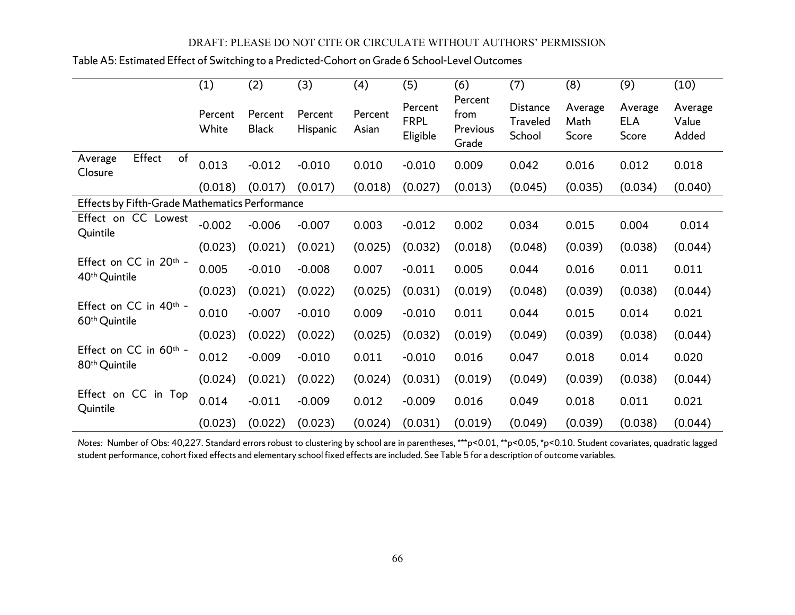|  | Table A5: Estimated Effect of Switching to a Predicted-Cohort on Grade 6 School-Level Outcomes |  |  |  |  |
|--|------------------------------------------------------------------------------------------------|--|--|--|--|
|--|------------------------------------------------------------------------------------------------|--|--|--|--|

|                                                                 | (1)              | (2)                     | (3)                 | (4)              | (5)                                | (6)                                  | (7)                                   | (8)                      | (9)                            | (10)                      |
|-----------------------------------------------------------------|------------------|-------------------------|---------------------|------------------|------------------------------------|--------------------------------------|---------------------------------------|--------------------------|--------------------------------|---------------------------|
|                                                                 | Percent<br>White | Percent<br><b>Black</b> | Percent<br>Hispanic | Percent<br>Asian | Percent<br><b>FRPL</b><br>Eligible | Percent<br>from<br>Previous<br>Grade | Distance<br><b>Traveled</b><br>School | Average<br>Math<br>Score | Average<br><b>ELA</b><br>Score | Average<br>Value<br>Added |
| Effect<br>of<br>Average<br>Closure                              | 0.013            | $-0.012$                | $-0.010$            | 0.010            | $-0.010$                           | 0.009                                | 0.042                                 | 0.016                    | 0.012                          | 0.018                     |
|                                                                 | (0.018)          | (0.017)                 | (0.017)             | (0.018)          | (0.027)                            | (0.013)                              | (0.045)                               | (0.035)                  | (0.034)                        | (0.040)                   |
| Effects by Fifth-Grade Mathematics Performance                  |                  |                         |                     |                  |                                    |                                      |                                       |                          |                                |                           |
| Effect on CC Lowest<br>Quintile                                 | $-0.002$         | $-0.006$                | $-0.007$            | 0.003            | $-0.012$                           | 0.002                                | 0.034                                 | 0.015                    | 0.004                          | 0.014                     |
|                                                                 | (0.023)          | (0.021)                 | (0.021)             | (0.025)          | (0.032)                            | (0.018)                              | (0.048)                               | (0.039)                  | (0.038)                        | (0.044)                   |
| Effect on CC in 20th -<br>40 <sup>th</sup> Quintile             | 0.005            | $-0.010$                | $-0.008$            | 0.007            | $-0.011$                           | 0.005                                | 0.044                                 | 0.016                    | 0.011                          | 0.011                     |
|                                                                 | (0.023)          | (0.021)                 | (0.022)             | (0.025)          | (0.031)                            | (0.019)                              | (0.048)                               | (0.039)                  | (0.038)                        | (0.044)                   |
| Effect on CC in 40 <sup>th</sup> -<br>60 <sup>th</sup> Quintile | 0.010            | $-0.007$                | $-0.010$            | 0.009            | $-0.010$                           | 0.011                                | 0.044                                 | 0.015                    | 0.014                          | 0.021                     |
|                                                                 | (0.023)          | (0.022)                 | (0.022)             | (0.025)          | (0.032)                            | (0.019)                              | (0.049)                               | (0.039)                  | (0.038)                        | (0.044)                   |
| Effect on CC in 60th -<br>80 <sup>th</sup> Quintile             | 0.012            | $-0.009$                | $-0.010$            | 0.011            | $-0.010$                           | 0.016                                | 0.047                                 | 0.018                    | 0.014                          | 0.020                     |
|                                                                 | (0.024)          | (0.021)                 | (0.022)             | (0.024)          | (0.031)                            | (0.019)                              | (0.049)                               | (0.039)                  | (0.038)                        | (0.044)                   |
| Effect on CC in Top<br>Quintile                                 | 0.014            | $-0.011$                | $-0.009$            | 0.012            | $-0.009$                           | 0.016                                | 0.049                                 | 0.018                    | 0.011                          | 0.021                     |
|                                                                 | (0.023)          | (0.022)                 | (0.023)             | (0.024)          | (0.031)                            | (0.019)                              | (0.049)                               | (0.039)                  | (0.038)                        | (0.044)                   |

*Notes:* Number of Obs: 40,227. Standard errors robust to clustering by school are in parentheses, \*\*\*p<0.01, \*\*p<0.05, \*p<0.10. Student covariates, quadratic lagged student performance, cohort fixed effects and elementary school fixed effects are included. See Table 5 for a description of outcome variables.